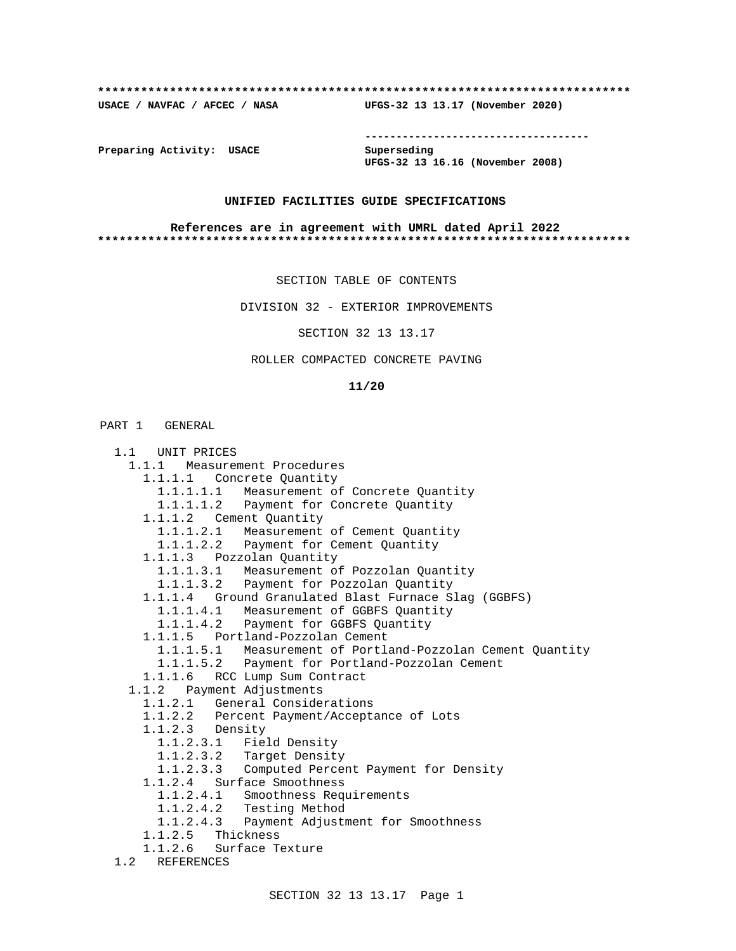#### **\*\*\*\*\*\*\*\*\*\*\*\*\*\*\*\*\*\*\*\*\*\*\*\*\*\*\*\*\*\*\*\*\*\*\*\*\*\*\*\*\*\*\*\*\*\*\*\*\*\*\*\*\*\*\*\*\*\*\*\*\*\*\*\*\*\*\*\*\*\*\*\*\*\***

**USACE / NAVFAC / AFCEC / NASA UFGS-32 13 13.17 (November 2020)**

**------------------------------------**

**Preparing Activity: USACE** Superseding

**UFGS-32 13 16.16 (November 2008)**

## **UNIFIED FACILITIES GUIDE SPECIFICATIONS**

#### **References are in agreement with UMRL dated April 2022 \*\*\*\*\*\*\*\*\*\*\*\*\*\*\*\*\*\*\*\*\*\*\*\*\*\*\*\*\*\*\*\*\*\*\*\*\*\*\*\*\*\*\*\*\*\*\*\*\*\*\*\*\*\*\*\*\*\*\*\*\*\*\*\*\*\*\*\*\*\*\*\*\*\***

SECTION TABLE OF CONTENTS

DIVISION 32 - EXTERIOR IMPROVEMENTS

SECTION 32 13 13.17

## ROLLER COMPACTED CONCRETE PAVING

### **11/20**

## PART 1 GENERAL

| UNIT PRICES<br>1.1                                         |
|------------------------------------------------------------|
| 1.1.1 Measurement Procedures                               |
| 1.1.1.1 Concrete Quantity                                  |
| 1.1.1.1.1 Measurement of Concrete Quantity                 |
| 1.1.1.1.2 Payment for Concrete Quantity                    |
| 1.1.1.2 Cement Quantity                                    |
| 1.1.1.2.1 Measurement of Cement Quantity                   |
| 1.1.1.2.2 Payment for Cement Quantity                      |
| 1.1.1.3 Pozzolan Quantity                                  |
| 1.1.1.3.1 Measurement of Pozzolan Quantity                 |
| 1.1.1.3.2 Payment for Pozzolan Quantity                    |
| 1.1.1.4 Ground Granulated Blast Furnace Slag (GGBFS)       |
| 1.1.1.4.1 Measurement of GGBFS Quantity                    |
| 1.1.1.4.2 Payment for GGBFS Quantity                       |
| 1.1.1.5 Portland-Pozzolan Cement                           |
| 1.1.1.5.1 Measurement of Portland-Pozzolan Cement Quantity |
| 1.1.1.5.2 Payment for Portland-Pozzolan Cement             |
| 1.1.1.6 RCC Lump Sum Contract                              |
| 1.1.2 Payment Adjustments                                  |
| 1.1.2.1 General Considerations                             |
| 1.1.2.2 Percent Payment/Acceptance of Lots                 |
| $1.1.2.3$ Density                                          |
| 1.1.2.3.1 Field Density                                    |
| 1.1.2.3.2 Target Density                                   |
| 1.1.2.3.3 Computed Percent Payment for Density             |
| 1.1.2.4 Surface Smoothness                                 |
| 1.1.2.4.1 Smoothness Requirements                          |
| 1.1.2.4.2 Testing Method                                   |
| 1.1.2.4.3 Payment Adjustment for Smoothness                |
| 1.1.2.5 Thickness                                          |
| 1.1.2.6 Surface Texture                                    |
| 1.2<br>REFERENCES                                          |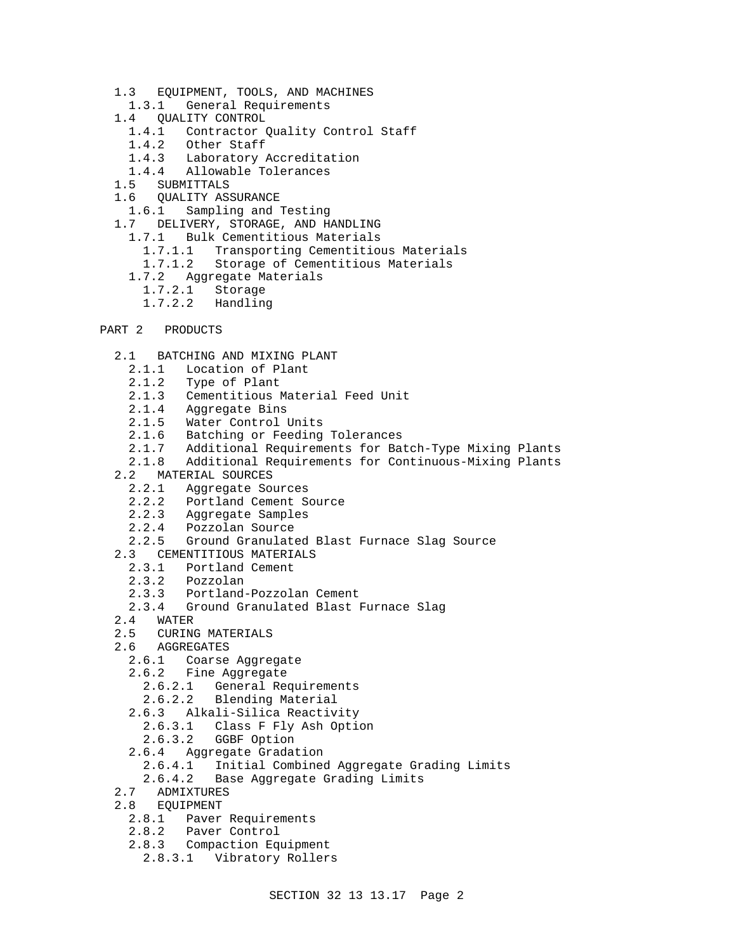- 1.3 EQUIPMENT, TOOLS, AND MACHINES
- 1.3.1 General Requirements
- 1.4 QUALITY CONTROL
	- 1.4.1 Contractor Quality Control Staff
	- 1.4.2 Other Staff
- 1.4.3 Laboratory Accreditation
- 1.4.4 Allowable Tolerances
	- 1.5 SUBMITTALS
	- 1.6 QUALITY ASSURANCE
	- 1.6.1 Sampling and Testing
	- 1.7 DELIVERY, STORAGE, AND HANDLING
		- 1.7.1 Bulk Cementitious Materials
			- 1.7.1.1 Transporting Cementitious Materials
			- 1.7.1.2 Storage of Cementitious Materials
		- 1.7.2 Aggregate Materials
		- 1.7.2.1 Storage
		- 1.7.2.2 Handling
- PART 2 PRODUCTS
	- 2.1 BATCHING AND MIXING PLANT
		- 2.1.1 Location of Plant
		- 2.1.2 Type of Plant
		- 2.1.3 Cementitious Material Feed Unit
		- 2.1.4 Aggregate Bins
		- 2.1.5 Water Control Units
		- 2.1.6 Batching or Feeding Tolerances<br>2.1.7 Additional Requirements for Ba
		- Additional Requirements for Batch-Type Mixing Plants
		- 2.1.8 Additional Requirements for Continuous-Mixing Plants
	- 2.2 MATERIAL SOURCES<br>2.2.1 Aggregate So
		- Aggregate Sources
		- 2.2.2 Portland Cement Source
		- 2.2.3 Aggregate Samples
		- 2.2.4 Pozzolan Source
		- 2.2.5 Ground Granulated Blast Furnace Slag Source
	- 2.3 CEMENTITIOUS MATERIALS
	- 2.3.1 Portland Cement
		- 2.3.2 Pozzolan
		- 2.3.3 Portland-Pozzolan Cement
		- 2.3.4 Ground Granulated Blast Furnace Slag
	- 2.4 WATER
	- 2.5 CURING MATERIALS
	- 2.6 AGGREGATES
		- 2.6.1 Coarse Aggregate
		- 2.6.2 Fine Aggregate
			- 2.6.2.1 General Requirements
			- 2.6.2.2 Blending Material
		- 2.6.3 Alkali-Silica Reactivity
		- 2.6.3.1 Class F Fly Ash Option
		- 2.6.3.2 GGBF Option
		- 2.6.4 Aggregate Gradation
			- 2.6.4.1 Initial Combined Aggregate Grading Limits
			- 2.6.4.2 Base Aggregate Grading Limits
	- 2.7 ADMIXTURES
	- 2.8 EQUIPMENT
		- 2.8.1 Paver Requirements
		- 2.8.2 Paver Control
		- 2.8.3 Compaction Equipment
		- 2.8.3.1 Vibratory Rollers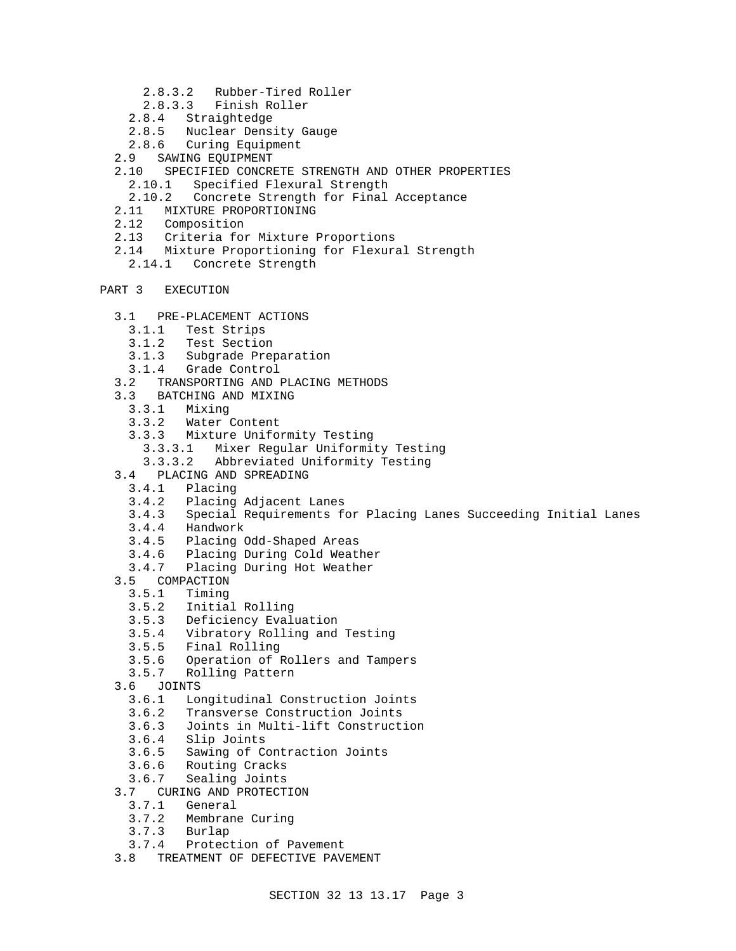- 2.8.3.2 Rubber-Tired Roller
- 2.8.3.3 Finish Roller
- 2.8.4 Straightedge
- 2.8.5 Nuclear Density Gauge
- 2.8.6 Curing Equipment
- 2.9 SAWING EQUIPMENT
- 2.10 SPECIFIED CONCRETE STRENGTH AND OTHER PROPERTIES
	- 2.10.1 Specified Flexural Strength
- 2.10.2 Concrete Strength for Final Acceptance
- 2.11 MIXTURE PROPORTIONING
- 2.12 Composition
- 2.13 Criteria for Mixture Proportions
- 2.14 Mixture Proportioning for Flexural Strength
	- 2.14.1 Concrete Strength
- PART 3 EXECUTION
	- 3.1 PRE-PLACEMENT ACTIONS
		- 3.1.1 Test Strips
		-
		- 3.1.2 Test Section Subgrade Preparation
		- 3.1.4 Grade Control
	- 3.2 TRANSPORTING AND PLACING METHODS
	- 3.3 BATCHING AND MIXING
	- 3.3.1 Mixing
	- 3.3.2 Water Content
	- 3.3.3 Mixture Uniformity Testing
		- 3.3.3.1 Mixer Regular Uniformity Testing
		- 3.3.3.2 Abbreviated Uniformity Testing
	- 3.4 PLACING AND SPREADING
		- 3.4.1 Placing
		- 3.4.2 Placing Adjacent Lanes
		- Special Requirements for Placing Lanes Succeeding Initial Lanes
		- 3.4.4 Handwork
		- 3.4.5 Placing Odd-Shaped Areas
		- 3.4.6 Placing During Cold Weather
		- 3.4.7 Placing During Hot Weather
	- 3.5 COMPACTION<br>3.5.1 Timing
		- Timing
		- 3.5.2 Initial Rolling
		- 3.5.3 Deficiency Evaluation
		- 3.5.4 Vibratory Rolling and Testing
		- 3.5.5 Final Rolling
		- 3.5.6 Operation of Rollers and Tampers
		- 3.5.7 Rolling Pattern
	- 3.6 JOINTS
		- 3.6.1 Longitudinal Construction Joints
		- 3.6.2 Transverse Construction Joints
		- 3.6.3 Joints in Multi-lift Construction
		- 3.6.4 Slip Joints
		- Sawing of Contraction Joints
		- 3.6.6 Routing Cracks
		- 3.6.7 Sealing Joints
	- 3.7 CURING AND PROTECTION<br>3.7.1 General
		- General
		- 3.7.2 Membrane Curing
		- 3.7.3 Burlap
		- 3.7.4 Protection of Pavement
	- 3.8 TREATMENT OF DEFECTIVE PAVEMENT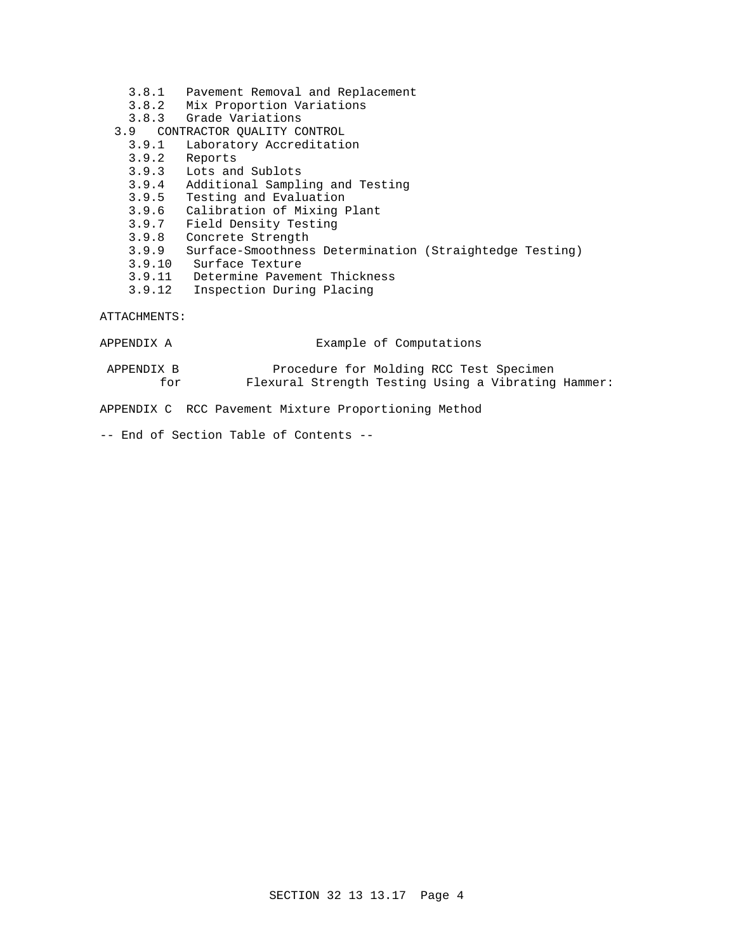- 3.8.1 Pavement Removal and Replacement
- 3.8.2 Mix Proportion Variations
- 3.8.3 Grade Variations
- 3.9 CONTRACTOR QUALITY CONTROL
	- Laboratory Accreditation
	- 3.9.2 Reports
	- 3.9.3 Lots and Sublots
	- 3.9.4 Additional Sampling and Testing
	- 3.9.5 Testing and Evaluation
	- 3.9.6 Calibration of Mixing Plant
	- 3.9.7 Field Density Testing
	- 3.9.8 Concrete Strength
	- 3.9.9 Surface-Smoothness Determination (Straightedge Testing)
	- 3.9.10 Surface Texture
	- 3.9.11 Determine Pavement Thickness
	- 3.9.12 Inspection During Placing

ATTACHMENTS:

| APPENDIX A | Example of Computations |
|------------|-------------------------|
|------------|-------------------------|

 APPENDIX B Procedure for Molding RCC Test Specimen for Flexural Strength Testing Using a Vibrating Hammer:

APPENDIX C RCC Pavement Mixture Proportioning Method

-- End of Section Table of Contents --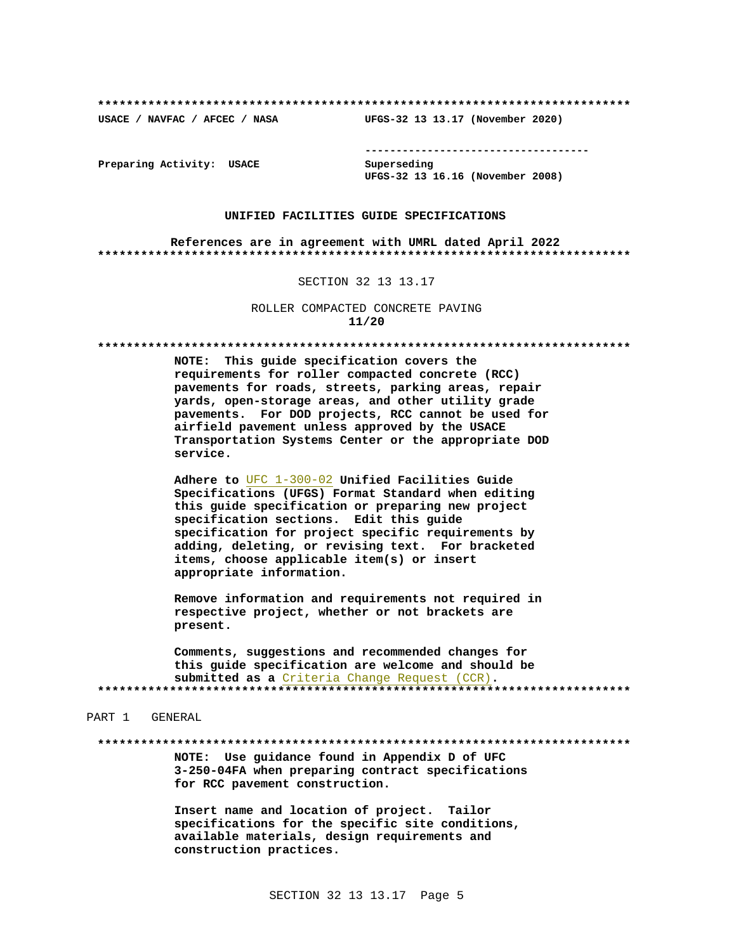USACE / NAVFAC / AFCEC / NASA

--------------------------------------

Preparing Activity: USACE

Superseding UFGS-32 13 16.16 (November 2008)

UFGS-32 13 13.17 (November 2020)

#### UNIFIED FACILITIES GUIDE SPECIFICATIONS

References are in agreement with UMRL dated April 2022 

#### SECTION 32 13 13.17

ROLLER COMPACTED CONCRETE PAVING  $11/20$ 

#### 

NOTE: This guide specification covers the requirements for roller compacted concrete (RCC) pavements for roads, streets, parking areas, repair yards, open-storage areas, and other utility grade pavements. For DOD projects, RCC cannot be used for airfield pavement unless approved by the USACE Transportation Systems Center or the appropriate DOD service.

Adhere to UFC 1-300-02 Unified Facilities Guide Specifications (UFGS) Format Standard when editing this guide specification or preparing new project specification sections. Edit this guide specification for project specific requirements by adding, deleting, or revising text. For bracketed items, choose applicable item(s) or insert appropriate information.

Remove information and requirements not required in respective project, whether or not brackets are present.

Comments, suggestions and recommended changes for this guide specification are welcome and should be submitted as a Criteria Change Request (CCR). 

#### PART 1 GENERAL

NOTE: Use guidance found in Appendix D of UFC 3-250-04FA when preparing contract specifications for RCC pavement construction.

Insert name and location of project. Tailor specifications for the specific site conditions, available materials, design requirements and construction practices.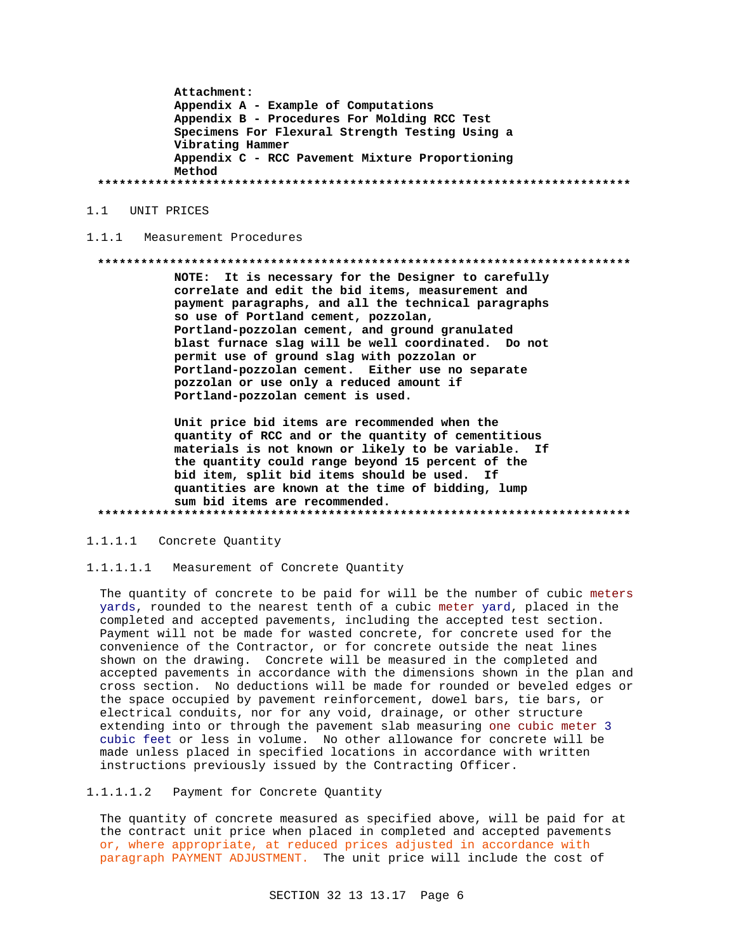Attachment: Appendix A - Example of Computations Appendix B - Procedures For Molding RCC Test Specimens For Flexural Strength Testing Using a Vibrating Hammer Appendix C - RCC Pavement Mixture Proportioning Method 

1.1 UNIT PRICES

#### $1.1.1$ Measurement Procedures

#### 

NOTE: It is necessary for the Designer to carefully correlate and edit the bid items, measurement and payment paragraphs, and all the technical paragraphs so use of Portland cement, pozzolan, Portland-pozzolan cement, and ground granulated blast furnace slag will be well coordinated. Do not permit use of ground slag with pozzolan or Portland-pozzolan cement. Either use no separate pozzolan or use only a reduced amount if Portland-pozzolan cement is used.

Unit price bid items are recommended when the quantity of RCC and or the quantity of cementitious materials is not known or likely to be variable. If the quantity could range beyond 15 percent of the bid item, split bid items should be used. If quantities are known at the time of bidding, lump sum bid items are recommended. 

 $1.1.1.1$ Concrete Quantity

Measurement of Concrete Quantity  $1.1.1.1.1$ 

The quantity of concrete to be paid for will be the number of cubic meters yards, rounded to the nearest tenth of a cubic meter yard, placed in the completed and accepted pavements, including the accepted test section. Payment will not be made for wasted concrete, for concrete used for the convenience of the Contractor, or for concrete outside the neat lines shown on the drawing. Concrete will be measured in the completed and accepted pavements in accordance with the dimensions shown in the plan and cross section. No deductions will be made for rounded or beveled edges or the space occupied by pavement reinforcement, dowel bars, tie bars, or electrical conduits, nor for any void, drainage, or other structure extending into or through the pavement slab measuring one cubic meter 3 cubic feet or less in volume. No other allowance for concrete will be made unless placed in specified locations in accordance with written instructions previously issued by the Contracting Officer.

#### $1.1.1.1.2$ Payment for Concrete Quantity

The quantity of concrete measured as specified above, will be paid for at the contract unit price when placed in completed and accepted pavements or, where appropriate, at reduced prices adjusted in accordance with paragraph PAYMENT ADJUSTMENT. The unit price will include the cost of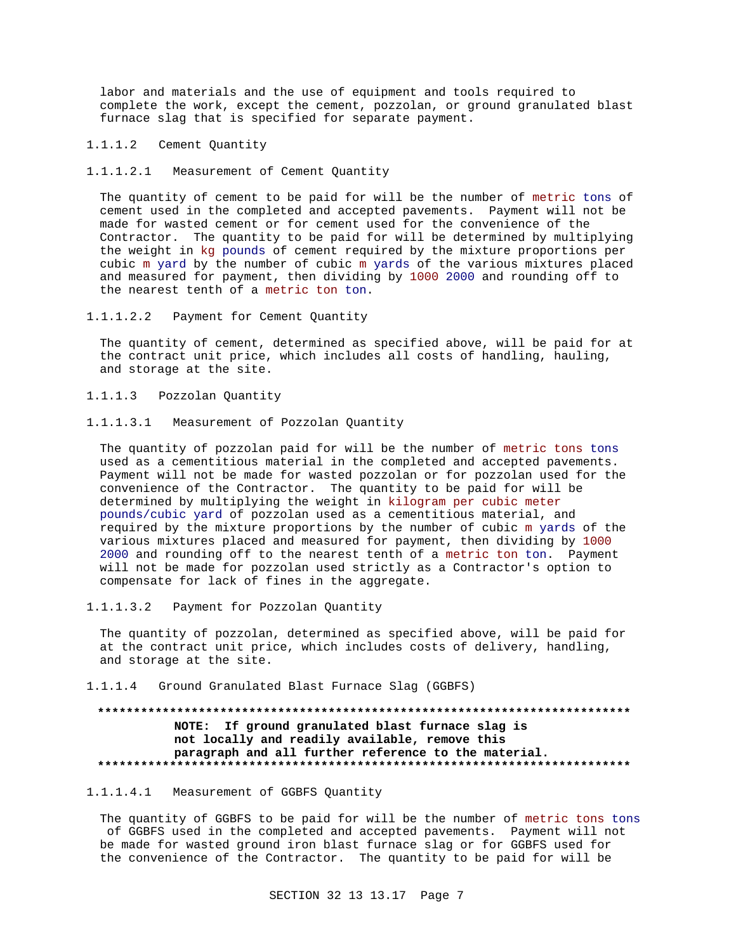labor and materials and the use of equipment and tools required to complete the work, except the cement, pozzolan, or ground granulated blast furnace slag that is specified for separate payment.

1.1.1.2 Cement Quantity

1.1.1.2.1 Measurement of Cement Quantity

The quantity of cement to be paid for will be the number of metric tons of cement used in the completed and accepted pavements. Payment will not be made for wasted cement or for cement used for the convenience of the Contractor. The quantity to be paid for will be determined by multiplying the weight in kg pounds of cement required by the mixture proportions per cubic m yard by the number of cubic m yards of the various mixtures placed and measured for payment, then dividing by 1000 2000 and rounding off to the nearest tenth of a metric ton ton.

1.1.1.2.2 Payment for Cement Quantity

The quantity of cement, determined as specified above, will be paid for at the contract unit price, which includes all costs of handling, hauling, and storage at the site.

- 1.1.1.3 Pozzolan Quantity
- 1.1.1.3.1 Measurement of Pozzolan Quantity

The quantity of pozzolan paid for will be the number of metric tons tons used as a cementitious material in the completed and accepted pavements. Payment will not be made for wasted pozzolan or for pozzolan used for the convenience of the Contractor. The quantity to be paid for will be determined by multiplying the weight in kilogram per cubic meter pounds/cubic yard of pozzolan used as a cementitious material, and required by the mixture proportions by the number of cubic m yards of the various mixtures placed and measured for payment, then dividing by 1000 2000 and rounding off to the nearest tenth of a metric ton ton. Payment will not be made for pozzolan used strictly as a Contractor's option to compensate for lack of fines in the aggregate.

1.1.1.3.2 Payment for Pozzolan Quantity

The quantity of pozzolan, determined as specified above, will be paid for at the contract unit price, which includes costs of delivery, handling, and storage at the site.

1.1.1.4 Ground Granulated Blast Furnace Slag (GGBFS)

## **\*\*\*\*\*\*\*\*\*\*\*\*\*\*\*\*\*\*\*\*\*\*\*\*\*\*\*\*\*\*\*\*\*\*\*\*\*\*\*\*\*\*\*\*\*\*\*\*\*\*\*\*\*\*\*\*\*\*\*\*\*\*\*\*\*\*\*\*\*\*\*\*\*\* NOTE: If ground granulated blast furnace slag is not locally and readily available, remove this paragraph and all further reference to the material. \*\*\*\*\*\*\*\*\*\*\*\*\*\*\*\*\*\*\*\*\*\*\*\*\*\*\*\*\*\*\*\*\*\*\*\*\*\*\*\*\*\*\*\*\*\*\*\*\*\*\*\*\*\*\*\*\*\*\*\*\*\*\*\*\*\*\*\*\*\*\*\*\*\***

### 1.1.1.4.1 Measurement of GGBFS Quantity

The quantity of GGBFS to be paid for will be the number of metric tons tons of GGBFS used in the completed and accepted pavements. Payment will not be made for wasted ground iron blast furnace slag or for GGBFS used for the convenience of the Contractor. The quantity to be paid for will be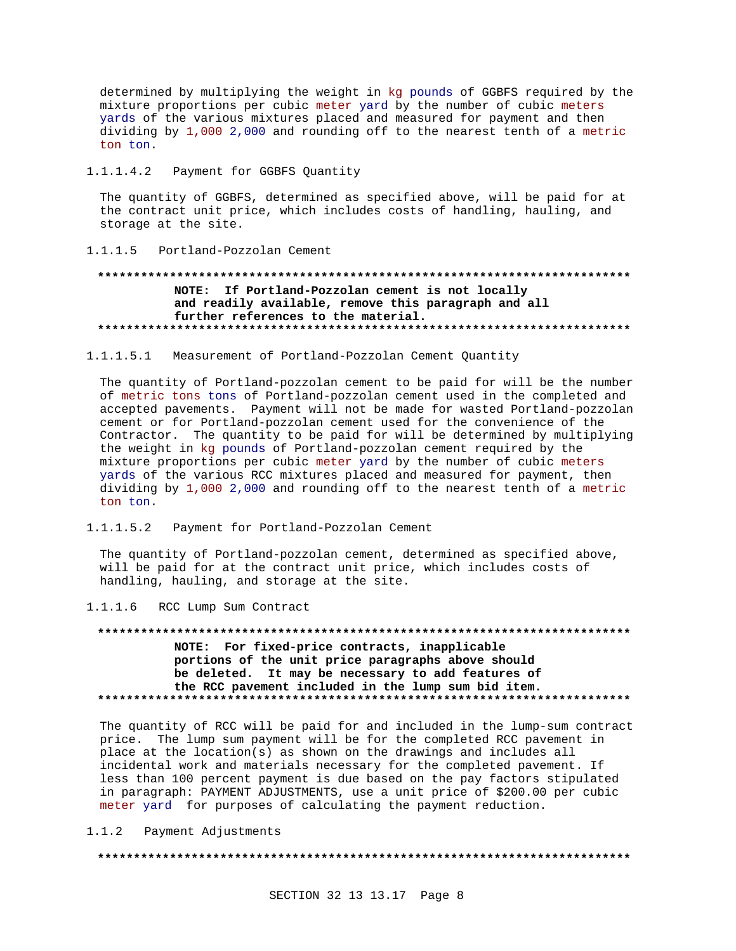determined by multiplying the weight in kg pounds of GGBFS required by the mixture proportions per cubic meter yard by the number of cubic meters yards of the various mixtures placed and measured for payment and then dividing by 1,000 2,000 and rounding off to the nearest tenth of a metric ton ton.

#### $1.1.1.4.2$ Payment for GGBFS Quantity

The quantity of GGBFS, determined as specified above, will be paid for at the contract unit price, which includes costs of handling, hauling, and storage at the site.

#### Portland-Pozzolan Cement  $1.1.1.5$

## NOTE: If Portland-Pozzolan cement is not locally and readily available, remove this paragraph and all further references to the material.

## 1.1.1.5.1 Measurement of Portland-Pozzolan Cement Quantity

The quantity of Portland-pozzolan cement to be paid for will be the number of metric tons tons of Portland-pozzolan cement used in the completed and accepted pavements. Payment will not be made for wasted Portland-pozzolan cement or for Portland-pozzolan cement used for the convenience of the Contractor. The quantity to be paid for will be determined by multiplying the weight in kg pounds of Portland-pozzolan cement required by the mixture proportions per cubic meter yard by the number of cubic meters yards of the various RCC mixtures placed and measured for payment, then dividing by 1,000 2,000 and rounding off to the nearest tenth of a metric ton ton.

1.1.1.5.2 Payment for Portland-Pozzolan Cement

The quantity of Portland-pozzolan cement, determined as specified above, will be paid for at the contract unit price, which includes costs of handling, hauling, and storage at the site.

1.1.1.6 RCC Lump Sum Contract

## NOTE: For fixed-price contracts, inapplicable portions of the unit price paragraphs above should be deleted. It may be necessary to add features of the RCC pavement included in the lump sum bid item.

The quantity of RCC will be paid for and included in the lump-sum contract price. The lump sum payment will be for the completed RCC pavement in place at the location(s) as shown on the drawings and includes all incidental work and materials necessary for the completed pavement. If less than 100 percent payment is due based on the pay factors stipulated in paragraph: PAYMENT ADJUSTMENTS, use a unit price of \$200.00 per cubic meter yard for purposes of calculating the payment reduction.

#### $1.1.2$ Payment Adjustments

####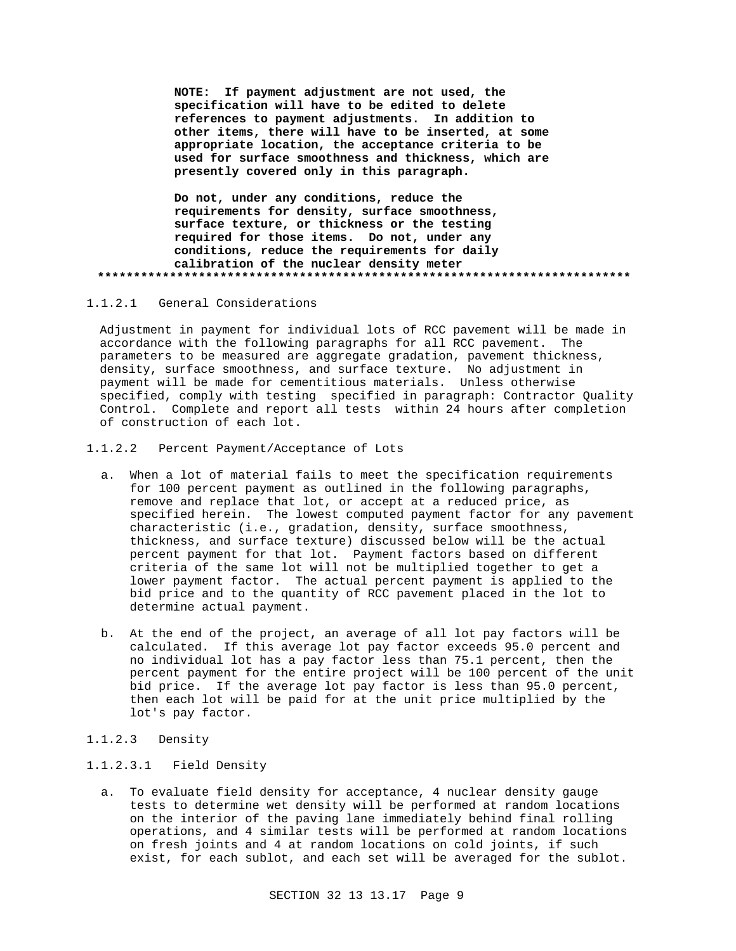**NOTE: If payment adjustment are not used, the specification will have to be edited to delete references to payment adjustments. In addition to other items, there will have to be inserted, at some appropriate location, the acceptance criteria to be used for surface smoothness and thickness, which are presently covered only in this paragraph.**

**Do not, under any conditions, reduce the requirements for density, surface smoothness, surface texture, or thickness or the testing required for those items. Do not, under any conditions, reduce the requirements for daily calibration of the nuclear density meter \*\*\*\*\*\*\*\*\*\*\*\*\*\*\*\*\*\*\*\*\*\*\*\*\*\*\*\*\*\*\*\*\*\*\*\*\*\*\*\*\*\*\*\*\*\*\*\*\*\*\*\*\*\*\*\*\*\*\*\*\*\*\*\*\*\*\*\*\*\*\*\*\*\***

1.1.2.1 General Considerations

Adjustment in payment for individual lots of RCC pavement will be made in accordance with the following paragraphs for all RCC pavement. The parameters to be measured are aggregate gradation, pavement thickness, density, surface smoothness, and surface texture. No adjustment in payment will be made for cementitious materials. Unless otherwise specified, comply with testing specified in paragraph: Contractor Quality Control. Complete and report all tests within 24 hours after completion of construction of each lot.

1.1.2.2 Percent Payment/Acceptance of Lots

- a. When a lot of material fails to meet the specification requirements for 100 percent payment as outlined in the following paragraphs, remove and replace that lot, or accept at a reduced price, as specified herein. The lowest computed payment factor for any pavement characteristic (i.e., gradation, density, surface smoothness, thickness, and surface texture) discussed below will be the actual percent payment for that lot. Payment factors based on different criteria of the same lot will not be multiplied together to get a lower payment factor. The actual percent payment is applied to the bid price and to the quantity of RCC pavement placed in the lot to determine actual payment.
- b. At the end of the project, an average of all lot pay factors will be calculated. If this average lot pay factor exceeds 95.0 percent and no individual lot has a pay factor less than 75.1 percent, then the percent payment for the entire project will be 100 percent of the unit bid price. If the average lot pay factor is less than 95.0 percent, then each lot will be paid for at the unit price multiplied by the lot's pay factor.
- 1.1.2.3 Density

### 1.1.2.3.1 Field Density

a. To evaluate field density for acceptance, 4 nuclear density gauge tests to determine wet density will be performed at random locations on the interior of the paving lane immediately behind final rolling operations, and 4 similar tests will be performed at random locations on fresh joints and 4 at random locations on cold joints, if such exist, for each sublot, and each set will be averaged for the sublot.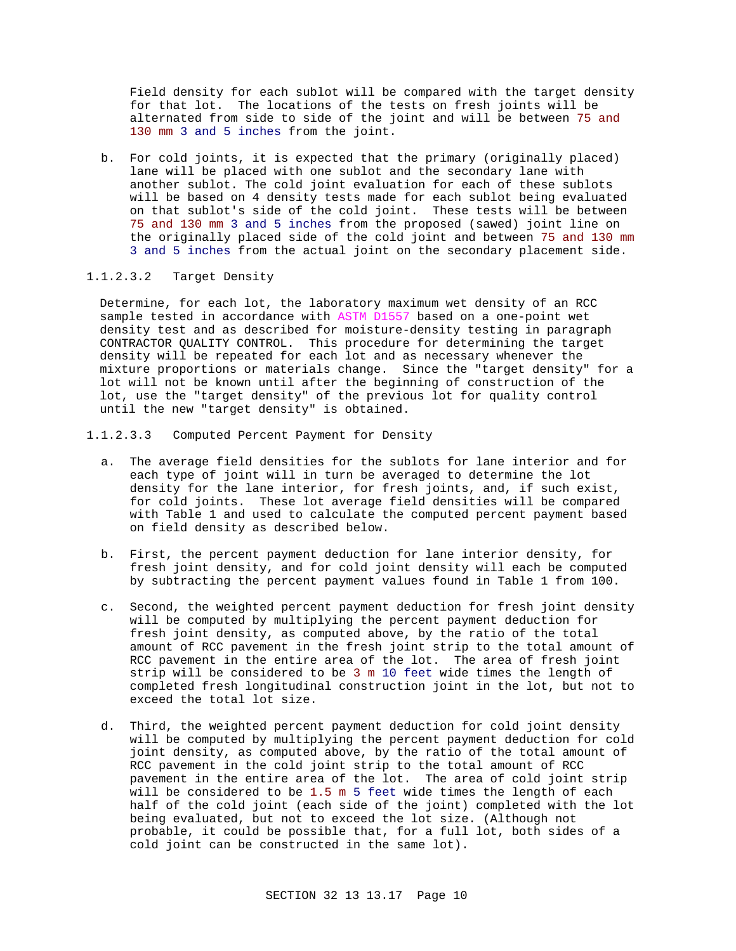Field density for each sublot will be compared with the target density for that lot. The locations of the tests on fresh joints will be alternated from side to side of the joint and will be between 75 and 130 mm 3 and 5 inches from the joint.

b. For cold joints, it is expected that the primary (originally placed) lane will be placed with one sublot and the secondary lane with another sublot. The cold joint evaluation for each of these sublots will be based on 4 density tests made for each sublot being evaluated on that sublot's side of the cold joint. These tests will be between 75 and 130 mm 3 and 5 inches from the proposed (sawed) joint line on the originally placed side of the cold joint and between 75 and 130 mm 3 and 5 inches from the actual joint on the secondary placement side.

## 1.1.2.3.2 Target Density

Determine, for each lot, the laboratory maximum wet density of an RCC sample tested in accordance with ASTM D1557 based on a one-point wet density test and as described for moisture-density testing in paragraph CONTRACTOR QUALITY CONTROL. This procedure for determining the target density will be repeated for each lot and as necessary whenever the mixture proportions or materials change. Since the "target density" for a lot will not be known until after the beginning of construction of the lot, use the "target density" of the previous lot for quality control until the new "target density" is obtained.

1.1.2.3.3 Computed Percent Payment for Density

- a. The average field densities for the sublots for lane interior and for each type of joint will in turn be averaged to determine the lot density for the lane interior, for fresh joints, and, if such exist, for cold joints. These lot average field densities will be compared with Table 1 and used to calculate the computed percent payment based on field density as described below.
- b. First, the percent payment deduction for lane interior density, for fresh joint density, and for cold joint density will each be computed by subtracting the percent payment values found in Table 1 from 100.
- c. Second, the weighted percent payment deduction for fresh joint density will be computed by multiplying the percent payment deduction for fresh joint density, as computed above, by the ratio of the total amount of RCC pavement in the fresh joint strip to the total amount of RCC pavement in the entire area of the lot. The area of fresh joint strip will be considered to be 3 m 10 feet wide times the length of completed fresh longitudinal construction joint in the lot, but not to exceed the total lot size.
- d. Third, the weighted percent payment deduction for cold joint density will be computed by multiplying the percent payment deduction for cold joint density, as computed above, by the ratio of the total amount of RCC pavement in the cold joint strip to the total amount of RCC pavement in the entire area of the lot. The area of cold joint strip will be considered to be 1.5 m 5 feet wide times the length of each half of the cold joint (each side of the joint) completed with the lot being evaluated, but not to exceed the lot size. (Although not probable, it could be possible that, for a full lot, both sides of a cold joint can be constructed in the same lot).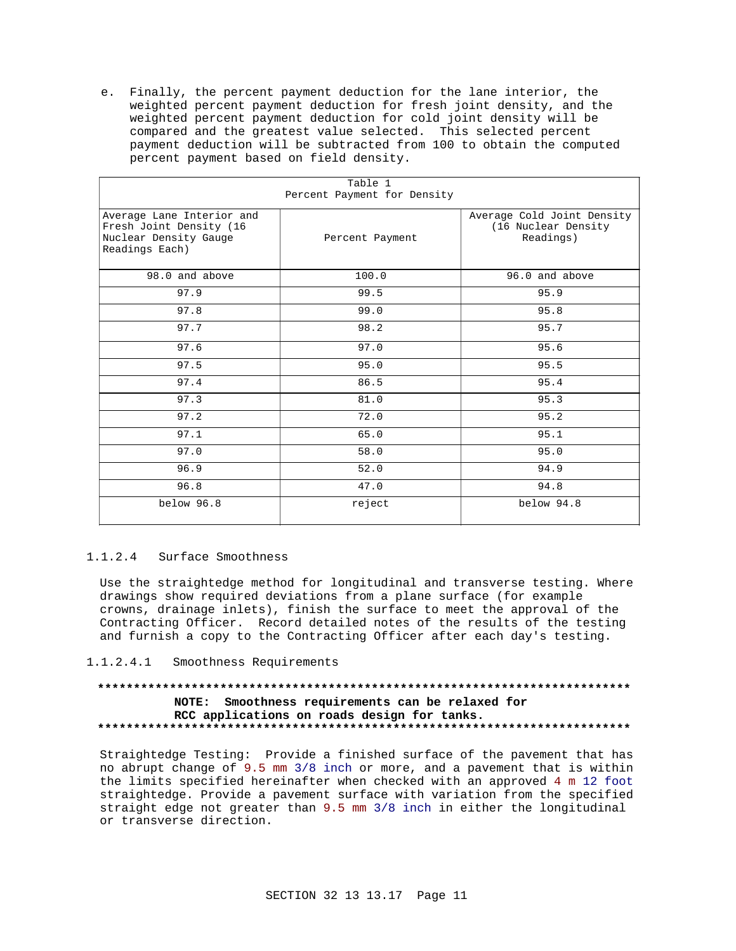e. Finally, the percent payment deduction for the lane interior, the weighted percent payment deduction for fresh joint density, and the weighted percent payment deduction for cold joint density will be compared and the greatest value selected. This selected percent payment deduction will be subtracted from 100 to obtain the computed percent payment based on field density.

| Fercent rayment for bensity                                                                     |                 |                                                                |  |  |
|-------------------------------------------------------------------------------------------------|-----------------|----------------------------------------------------------------|--|--|
| Average Lane Interior and<br>Fresh Joint Density (16<br>Nuclear Density Gauge<br>Readings Each) | Percent Payment | Average Cold Joint Density<br>(16 Nuclear Density<br>Readings) |  |  |
| 98.0 and above                                                                                  | 100.0           | 96.0 and above                                                 |  |  |
| 97.9                                                                                            | 99.5            | 95.9                                                           |  |  |
| 97.8                                                                                            | 99.0            | 95.8                                                           |  |  |
| 97.7                                                                                            | 98.2            | 95.7                                                           |  |  |
| 97.6                                                                                            | 97.0            | 95.6                                                           |  |  |
| 97.5                                                                                            | 95.0            | 95.5                                                           |  |  |
| 97.4                                                                                            | 86.5            | 95.4                                                           |  |  |
| 97.3                                                                                            | 81.0            | 95.3                                                           |  |  |
| 97.2                                                                                            | 72.0            | 95.2                                                           |  |  |
| 97.1                                                                                            | 65.0            | 95.1                                                           |  |  |
| 97.0                                                                                            | 58.0            | 95.0                                                           |  |  |
| 96.9                                                                                            | 52.0            | 94.9                                                           |  |  |
| 96.8                                                                                            | 47.0            | 94.8                                                           |  |  |
| below 96.8                                                                                      | reject          | below 94.8                                                     |  |  |

#### Table 1 Percent Payment for Density

## 1.1.2.4 Surface Smoothness

Use the straightedge method for longitudinal and transverse testing. Where drawings show required deviations from a plane surface (for example crowns, drainage inlets), finish the surface to meet the approval of the Contracting Officer. Record detailed notes of the results of the testing and furnish a copy to the Contracting Officer after each day's testing.

1.1.2.4.1 Smoothness Requirements

## NOTE: Smoothness requirements can be relaxed for RCC applications on roads design for tanks.

Straightedge Testing: Provide a finished surface of the pavement that has no abrupt change of 9.5 mm 3/8 inch or more, and a pavement that is within the limits specified hereinafter when checked with an approved 4 m 12 foot straightedge. Provide a pavement surface with variation from the specified straight edge not greater than 9.5 mm 3/8 inch in either the longitudinal or transverse direction.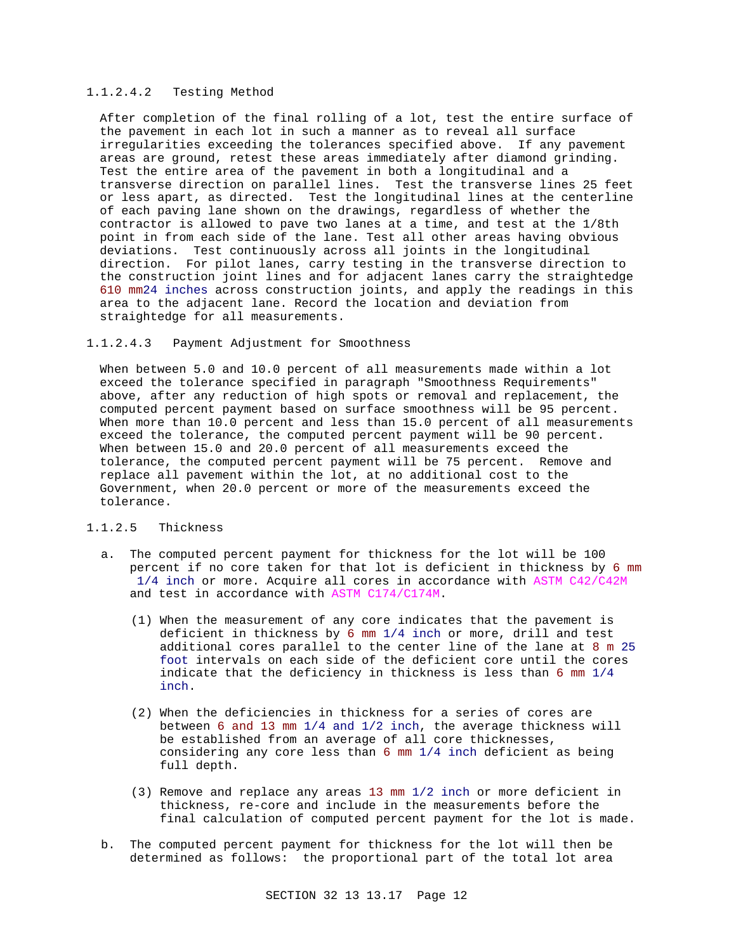### 1.1.2.4.2 Testing Method

After completion of the final rolling of a lot, test the entire surface of the pavement in each lot in such a manner as to reveal all surface irregularities exceeding the tolerances specified above. If any pavement areas are ground, retest these areas immediately after diamond grinding. Test the entire area of the pavement in both a longitudinal and a transverse direction on parallel lines. Test the transverse lines 25 feet or less apart, as directed. Test the longitudinal lines at the centerline of each paving lane shown on the drawings, regardless of whether the contractor is allowed to pave two lanes at a time, and test at the 1/8th point in from each side of the lane. Test all other areas having obvious deviations. Test continuously across all joints in the longitudinal direction. For pilot lanes, carry testing in the transverse direction to the construction joint lines and for adjacent lanes carry the straightedge 610 mm24 inches across construction joints, and apply the readings in this area to the adjacent lane. Record the location and deviation from straightedge for all measurements.

#### 1.1.2.4.3 Payment Adjustment for Smoothness

When between 5.0 and 10.0 percent of all measurements made within a lot exceed the tolerance specified in paragraph "Smoothness Requirements" above, after any reduction of high spots or removal and replacement, the computed percent payment based on surface smoothness will be 95 percent. When more than 10.0 percent and less than 15.0 percent of all measurements exceed the tolerance, the computed percent payment will be 90 percent. When between 15.0 and 20.0 percent of all measurements exceed the tolerance, the computed percent payment will be 75 percent. Remove and replace all pavement within the lot, at no additional cost to the Government, when 20.0 percent or more of the measurements exceed the tolerance.

## 1.1.2.5 Thickness

- a. The computed percent payment for thickness for the lot will be 100 percent if no core taken for that lot is deficient in thickness by 6 mm 1/4 inch or more. Acquire all cores in accordance with ASTM C42/C42M and test in accordance with ASTM C174/C174M.
	- (1) When the measurement of any core indicates that the pavement is deficient in thickness by 6 mm 1/4 inch or more, drill and test additional cores parallel to the center line of the lane at 8 m 25 foot intervals on each side of the deficient core until the cores indicate that the deficiency in thickness is less than 6 mm 1/4 inch.
	- (2) When the deficiencies in thickness for a series of cores are between 6 and 13 mm 1/4 and 1/2 inch, the average thickness will be established from an average of all core thicknesses, considering any core less than 6 mm 1/4 inch deficient as being full depth.
	- (3) Remove and replace any areas 13 mm 1/2 inch or more deficient in thickness, re-core and include in the measurements before the final calculation of computed percent payment for the lot is made.
- b. The computed percent payment for thickness for the lot will then be determined as follows: the proportional part of the total lot area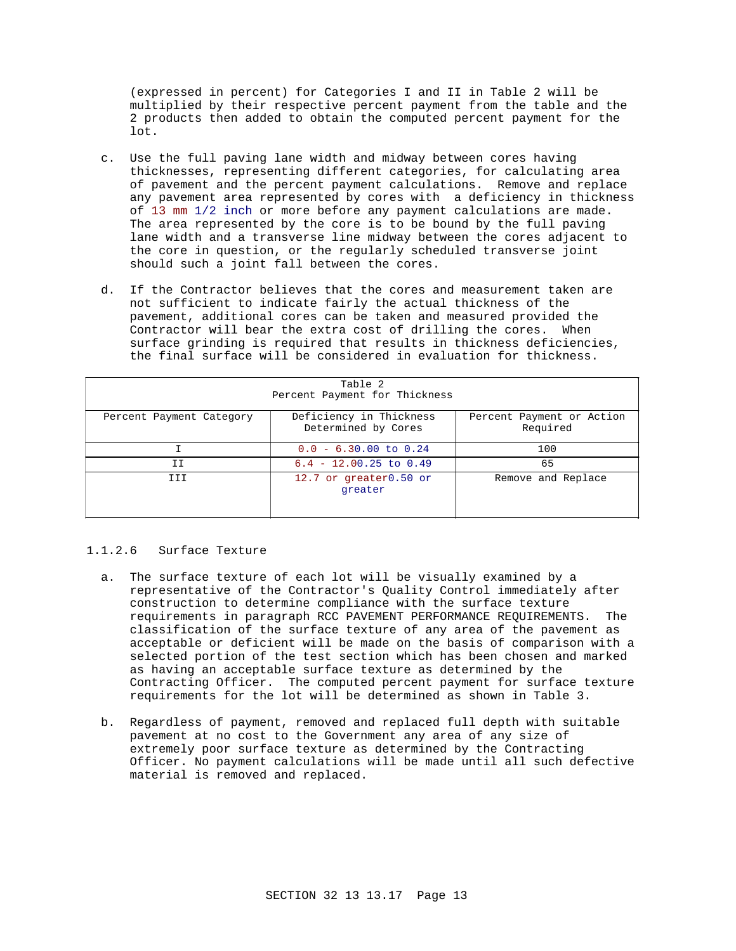(expressed in percent) for Categories I and II in Table 2 will be multiplied by their respective percent payment from the table and the 2 products then added to obtain the computed percent payment for the lot.

- c. Use the full paving lane width and midway between cores having thicknesses, representing different categories, for calculating area of pavement and the percent payment calculations. Remove and replace any pavement area represented by cores with a deficiency in thickness of 13 mm 1/2 inch or more before any payment calculations are made. The area represented by the core is to be bound by the full paving lane width and a transverse line midway between the cores adjacent to the core in question, or the regularly scheduled transverse joint should such a joint fall between the cores.
- d. If the Contractor believes that the cores and measurement taken are not sufficient to indicate fairly the actual thickness of the pavement, additional cores can be taken and measured provided the Contractor will bear the extra cost of drilling the cores. When surface grinding is required that results in thickness deficiencies, the final surface will be considered in evaluation for thickness.

| Table 2<br>Percent Payment for Thickness |                                                |                                       |  |  |
|------------------------------------------|------------------------------------------------|---------------------------------------|--|--|
| Percent Payment Category                 | Deficiency in Thickness<br>Determined by Cores | Percent Payment or Action<br>Required |  |  |
|                                          | $0.0 - 6.30.00$ to $0.24$                      | 100                                   |  |  |
| ΙI                                       | $6.4 - 12.00.25$ to $0.49$                     | 65                                    |  |  |
| <b>TTT</b>                               | 12.7 or greater0.50 or<br>qreater              | Remove and Replace                    |  |  |

### 1.1.2.6 Surface Texture

- a. The surface texture of each lot will be visually examined by a representative of the Contractor's Quality Control immediately after construction to determine compliance with the surface texture requirements in paragraph RCC PAVEMENT PERFORMANCE REQUIREMENTS. The classification of the surface texture of any area of the pavement as acceptable or deficient will be made on the basis of comparison with a selected portion of the test section which has been chosen and marked as having an acceptable surface texture as determined by the Contracting Officer. The computed percent payment for surface texture requirements for the lot will be determined as shown in Table 3.
- b. Regardless of payment, removed and replaced full depth with suitable pavement at no cost to the Government any area of any size of extremely poor surface texture as determined by the Contracting Officer. No payment calculations will be made until all such defective material is removed and replaced.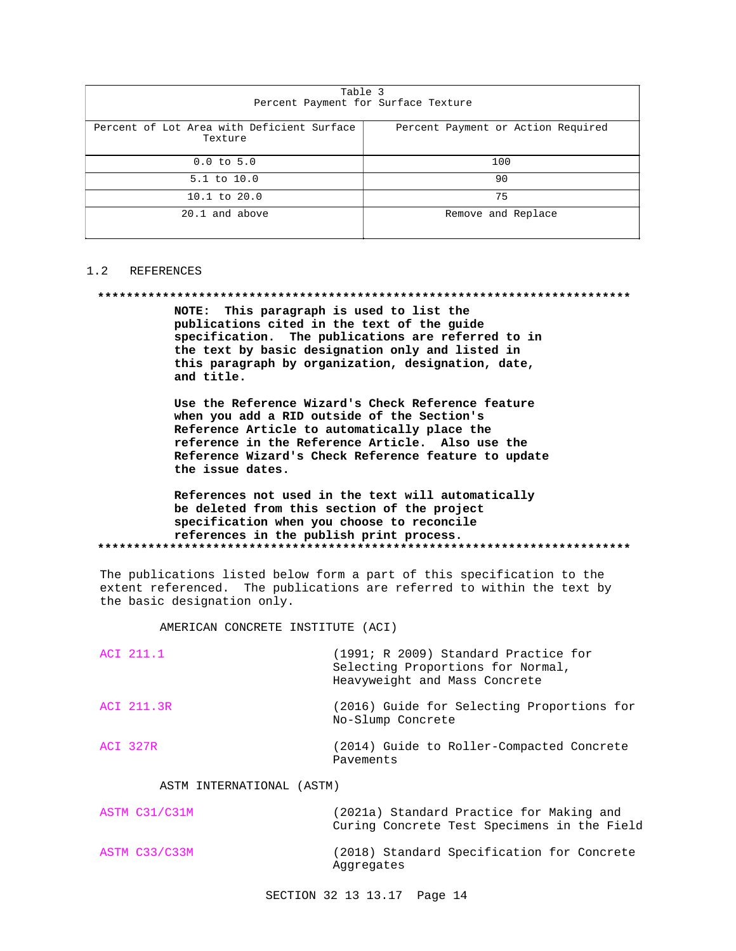| Table 3<br>Percent Payment for Surface Texture                                              |                    |  |  |
|---------------------------------------------------------------------------------------------|--------------------|--|--|
| Percent of Lot Area with Deficient Surface<br>Percent Payment or Action Required<br>Texture |                    |  |  |
| $0.0$ to $5.0$<br>100                                                                       |                    |  |  |
| $5.1$ to $10.0$                                                                             | 90                 |  |  |
| $10.1$ to $20.0$                                                                            | 75                 |  |  |
| 20.1 and above                                                                              | Remove and Replace |  |  |

### 1.2 REFERENCES

#### 

NOTE: This paragraph is used to list the publications cited in the text of the guide specification. The publications are referred to in the text by basic designation only and listed in this paragraph by organization, designation, date, and title.

Use the Reference Wizard's Check Reference feature when you add a RID outside of the Section's Reference Article to automatically place the reference in the Reference Article. Also use the Reference Wizard's Check Reference feature to update the issue dates.

### References not used in the text will automatically be deleted from this section of the project specification when you choose to reconcile references in the publish print process.

The publications listed below form a part of this specification to the extent referenced. The publications are referred to within the text by the basic designation only.

AMERICAN CONCRETE INSTITUTE (ACI)

| ACI 211.1  | (1991; R 2009) Standard Practice for<br>Selecting Proportions for Normal,<br>Heavyweight and Mass Concrete |
|------------|------------------------------------------------------------------------------------------------------------|
| ACI 211.3R | (2016) Guide for Selecting Proportions for<br>No-Slump Concrete                                            |
| ACI 327R   | (2014) Guide to Roller-Compacted Concrete<br>Pavements                                                     |

## ASTM INTERNATIONAL (ASTM)

| ASTM C31/C31M | (2021a) Standard Practice for Making and<br>Curing Concrete Test Specimens in the Field |
|---------------|-----------------------------------------------------------------------------------------|
| ASTM C33/C33M | (2018) Standard Specification for Concrete<br>Aggregates                                |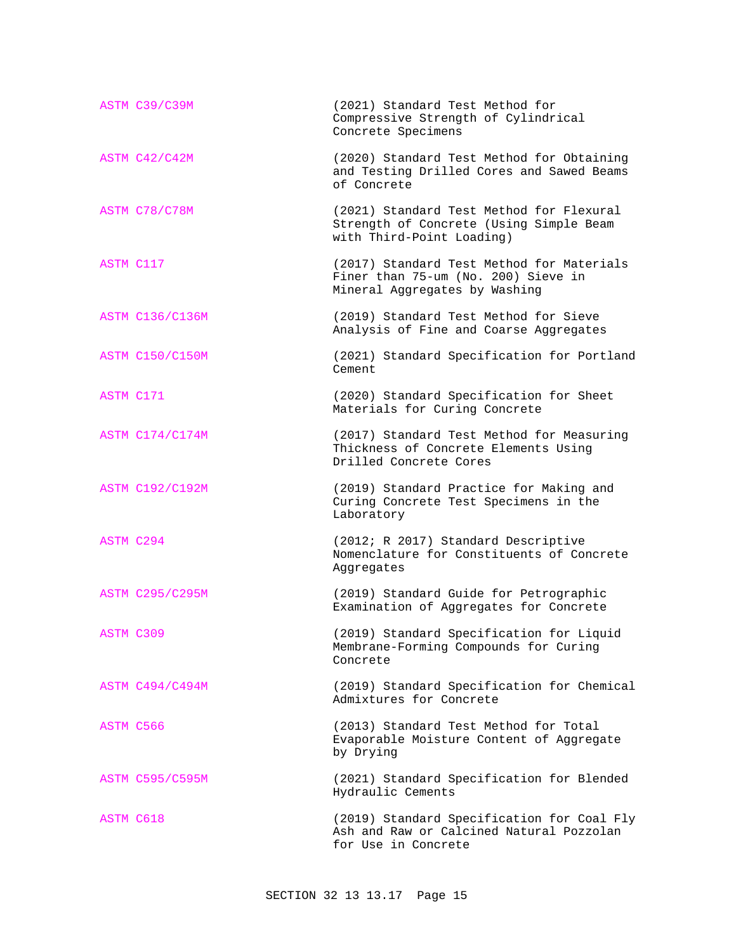|                  | ASTM C39/C39M          | (2021) Standard Test Method for<br>Compressive Strength of Cylindrical<br>Concrete Specimens                      |
|------------------|------------------------|-------------------------------------------------------------------------------------------------------------------|
|                  | ASTM C42/C42M          | (2020) Standard Test Method for Obtaining<br>and Testing Drilled Cores and Sawed Beams<br>of Concrete             |
|                  | ASTM C78/C78M          | (2021) Standard Test Method for Flexural<br>Strength of Concrete (Using Simple Beam<br>with Third-Point Loading)  |
| ASTM C117        |                        | (2017) Standard Test Method for Materials<br>Finer than 75-um (No. 200) Sieve in<br>Mineral Aggregates by Washing |
|                  | <b>ASTM C136/C136M</b> | (2019) Standard Test Method for Sieve<br>Analysis of Fine and Coarse Aggregates                                   |
|                  | <b>ASTM C150/C150M</b> | (2021) Standard Specification for Portland<br>Cement                                                              |
| ASTM C171        |                        | (2020) Standard Specification for Sheet<br>Materials for Curing Concrete                                          |
|                  | ASTM C174/C174M        | (2017) Standard Test Method for Measuring<br>Thickness of Concrete Elements Using<br>Drilled Concrete Cores       |
|                  | <b>ASTM C192/C192M</b> | (2019) Standard Practice for Making and<br>Curing Concrete Test Specimens in the<br>Laboratory                    |
| <b>ASTM C294</b> |                        | (2012; R 2017) Standard Descriptive<br>Nomenclature for Constituents of Concrete<br>Aggregates                    |
|                  | <b>ASTM C295/C295M</b> | (2019) Standard Guide for Petrographic<br>Examination of Aggregates for Concrete                                  |
|                  | ASTM C309              | (2019) Standard Specification for Liquid<br>Membrane-Forming Compounds for Curing<br>Concrete                     |
|                  | <b>ASTM C494/C494M</b> | (2019) Standard Specification for Chemical<br>Admixtures for Concrete                                             |
| ASTM C566        |                        | (2013) Standard Test Method for Total<br>Evaporable Moisture Content of Aggregate<br>by Drying                    |
|                  | <b>ASTM C595/C595M</b> | (2021) Standard Specification for Blended<br>Hydraulic Cements                                                    |
| ASTM C618        |                        | (2019) Standard Specification for Coal Fly<br>Ash and Raw or Calcined Natural Pozzolan<br>for Use in Concrete     |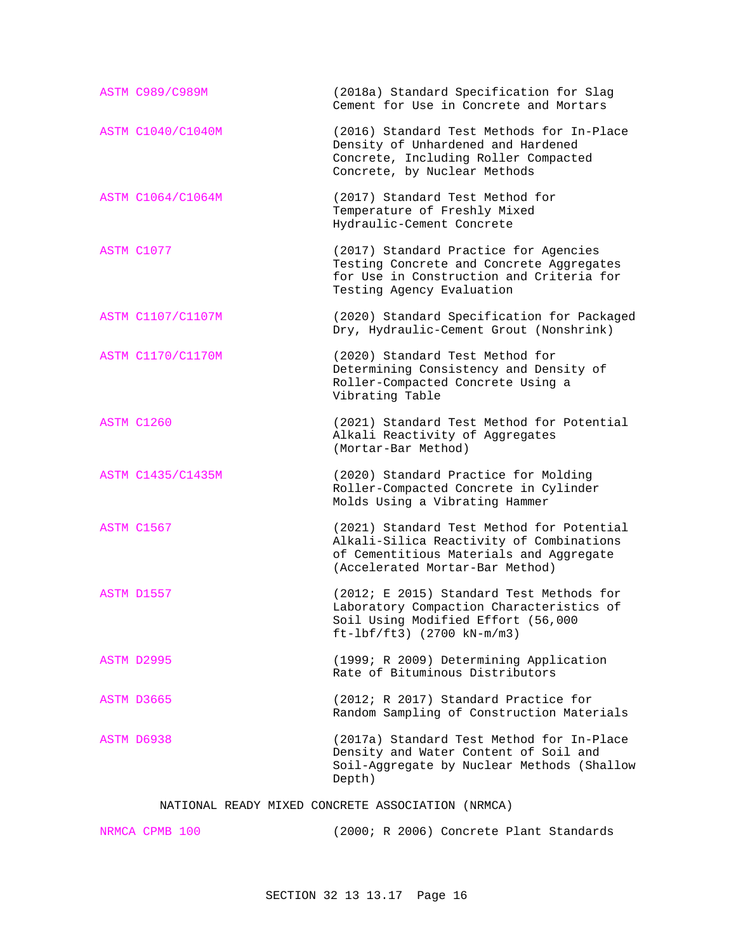| <b>ASTM C989/C989M</b>   | (2018a) Standard Specification for Slag<br>Cement for Use in Concrete and Mortars                                                                                   |
|--------------------------|---------------------------------------------------------------------------------------------------------------------------------------------------------------------|
| <b>ASTM C1040/C1040M</b> | (2016) Standard Test Methods for In-Place<br>Density of Unhardened and Hardened<br>Concrete, Including Roller Compacted<br>Concrete, by Nuclear Methods             |
| ASTM C1064/C1064M        | (2017) Standard Test Method for<br>Temperature of Freshly Mixed<br>Hydraulic-Cement Concrete                                                                        |
| ASTM C1077               | (2017) Standard Practice for Agencies<br>Testing Concrete and Concrete Aggregates<br>for Use in Construction and Criteria for<br>Testing Agency Evaluation          |
| ASTM C1107/C1107M        | (2020) Standard Specification for Packaged<br>Dry, Hydraulic-Cement Grout (Nonshrink)                                                                               |
| <b>ASTM C1170/C1170M</b> | (2020) Standard Test Method for<br>Determining Consistency and Density of<br>Roller-Compacted Concrete Using a<br>Vibrating Table                                   |
| ASTM C1260               | (2021) Standard Test Method for Potential<br>Alkali Reactivity of Aggregates<br>(Mortar-Bar Method)                                                                 |
| ASTM C1435/C1435M        | (2020) Standard Practice for Molding<br>Roller-Compacted Concrete in Cylinder<br>Molds Using a Vibrating Hammer                                                     |
| ASTM C1567               | (2021) Standard Test Method for Potential<br>Alkali-Silica Reactivity of Combinations<br>of Cementitious Materials and Aggregate<br>(Accelerated Mortar-Bar Method) |
| ASTM D1557               | (2012; E 2015) Standard Test Methods for<br>Laboratory Compaction Characteristics of<br>Soil Using Modified Effort (56,000<br>$ft-lbf/ft3)$ (2700 kN-m/m3)          |
| ASTM D2995               | (1999; R 2009) Determining Application<br>Rate of Bituminous Distributors                                                                                           |
| ASTM D3665               | (2012; R 2017) Standard Practice for<br>Random Sampling of Construction Materials                                                                                   |
| ASTM D6938               | (2017a) Standard Test Method for In-Place<br>Density and Water Content of Soil and<br>Soil-Aggregate by Nuclear Methods (Shallow<br>Depth)                          |

## NATIONAL READY MIXED CONCRETE ASSOCIATION (NRMCA)

| NRMCA CPMB 100 | (2000; R 2006) Concrete Plant Standards |
|----------------|-----------------------------------------|
|----------------|-----------------------------------------|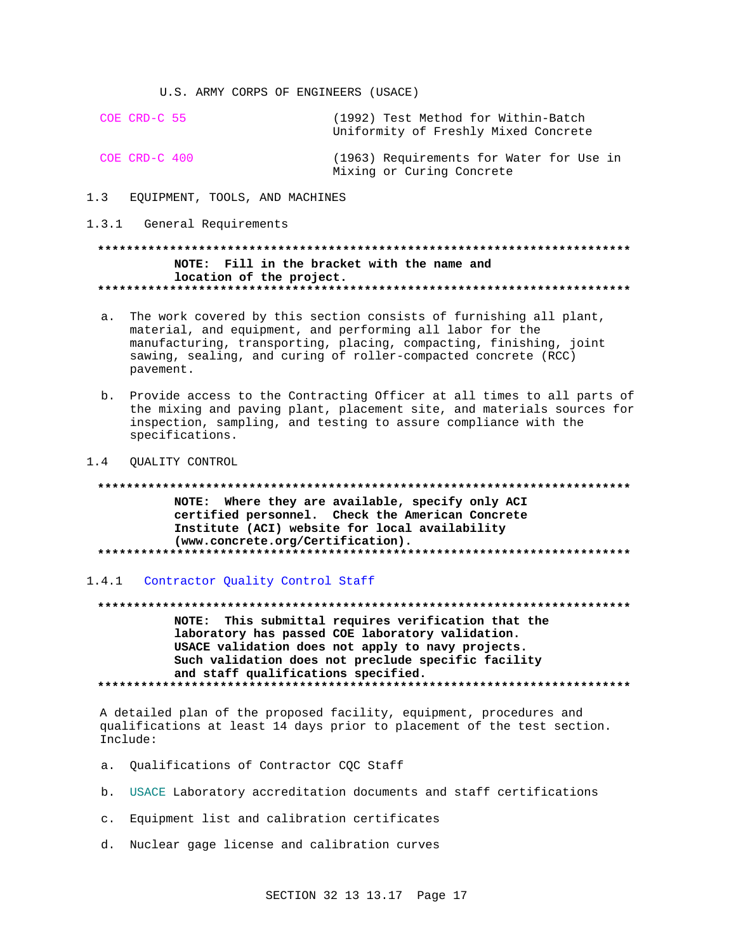U.S. ARMY CORPS OF ENGINEERS (USACE)

COE CRD-C 55 (1992) Test Method for Within-Batch Uniformity of Freshly Mixed Concrete COE CRD-C 400 (1963) Requirements for Water for Use in

Mixing or Curing Concrete

- $1.3$ EQUIPMENT, TOOLS, AND MACHINES
- 1.3.1 General Requirements

## NOTE: Fill in the bracket with the name and location of the project.

- a. The work covered by this section consists of furnishing all plant, material, and equipment, and performing all labor for the manufacturing, transporting, placing, compacting, finishing, joint sawing, sealing, and curing of roller-compacted concrete (RCC) pavement.
- b. Provide access to the Contracting Officer at all times to all parts of the mixing and paving plant, placement site, and materials sources for inspection, sampling, and testing to assure compliance with the specifications.
- 1.4 QUALITY CONTROL

## NOTE: Where they are available, specify only ACI certified personnel. Check the American Concrete Institute (ACI) website for local availability (www.concrete.org/Certification).

1.4.1 Contractor Quality Control Staff

NOTE: This submittal requires verification that the laboratory has passed COE laboratory validation. USACE validation does not apply to navy projects. Such validation does not preclude specific facility and staff qualifications specified. 

A detailed plan of the proposed facility, equipment, procedures and qualifications at least 14 days prior to placement of the test section. Include:

- a. Qualifications of Contractor CQC Staff
- b. USACE Laboratory accreditation documents and staff certifications
- c. Equipment list and calibration certificates
- d. Nuclear gage license and calibration curves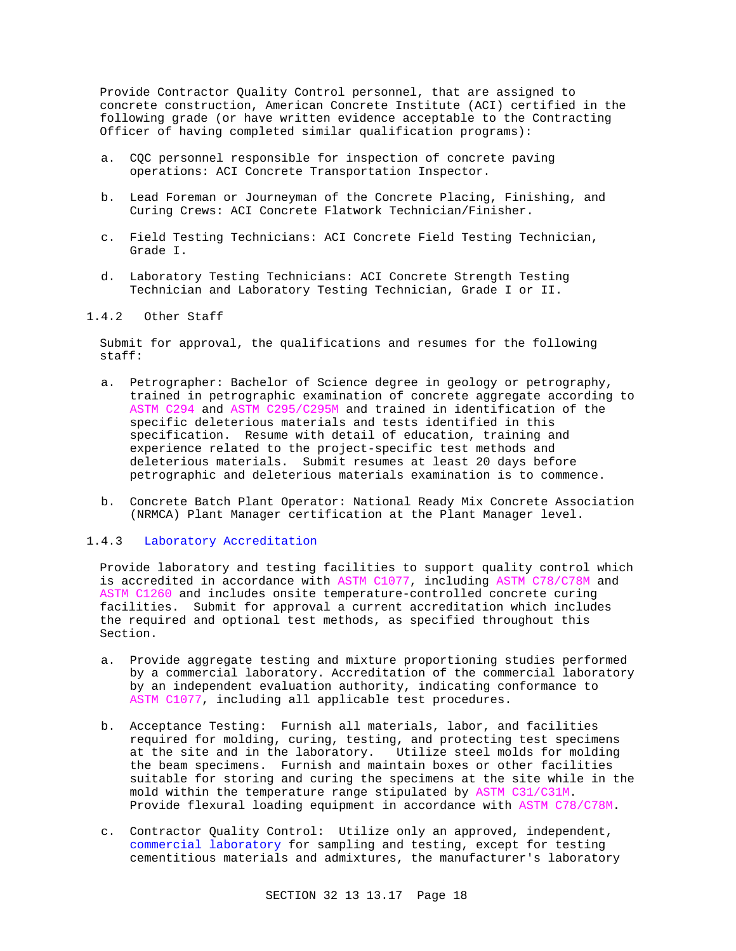Provide Contractor Quality Control personnel, that are assigned to concrete construction, American Concrete Institute (ACI) certified in the following grade (or have written evidence acceptable to the Contracting Officer of having completed similar qualification programs):

- a. CQC personnel responsible for inspection of concrete paving operations: ACI Concrete Transportation Inspector.
- b. Lead Foreman or Journeyman of the Concrete Placing, Finishing, and Curing Crews: ACI Concrete Flatwork Technician/Finisher.
- c. Field Testing Technicians: ACI Concrete Field Testing Technician, Grade I.
- d. Laboratory Testing Technicians: ACI Concrete Strength Testing Technician and Laboratory Testing Technician, Grade I or II.

### 1.4.2 Other Staff

Submit for approval, the qualifications and resumes for the following staff:

- a. Petrographer: Bachelor of Science degree in geology or petrography, trained in petrographic examination of concrete aggregate according to ASTM C294 and ASTM C295/C295M and trained in identification of the specific deleterious materials and tests identified in this specification. Resume with detail of education, training and experience related to the project-specific test methods and deleterious materials. Submit resumes at least 20 days before petrographic and deleterious materials examination is to commence.
- b. Concrete Batch Plant Operator: National Ready Mix Concrete Association (NRMCA) Plant Manager certification at the Plant Manager level.

#### 1.4.3 Laboratory Accreditation

Provide laboratory and testing facilities to support quality control which is accredited in accordance with ASTM C1077, including ASTM C78/C78M and ASTM C1260 and includes onsite temperature-controlled concrete curing facilities. Submit for approval a current accreditation which includes the required and optional test methods, as specified throughout this Section.

- a. Provide aggregate testing and mixture proportioning studies performed by a commercial laboratory. Accreditation of the commercial laboratory by an independent evaluation authority, indicating conformance to ASTM C1077, including all applicable test procedures.
- b. Acceptance Testing: Furnish all materials, labor, and facilities required for molding, curing, testing, and protecting test specimens at the site and in the laboratory. Utilize steel molds for molding the beam specimens. Furnish and maintain boxes or other facilities suitable for storing and curing the specimens at the site while in the mold within the temperature range stipulated by ASTM C31/C31M. Provide flexural loading equipment in accordance with ASTM C78/C78M.
- c. Contractor Quality Control: Utilize only an approved, independent, commercial laboratory for sampling and testing, except for testing cementitious materials and admixtures, the manufacturer's laboratory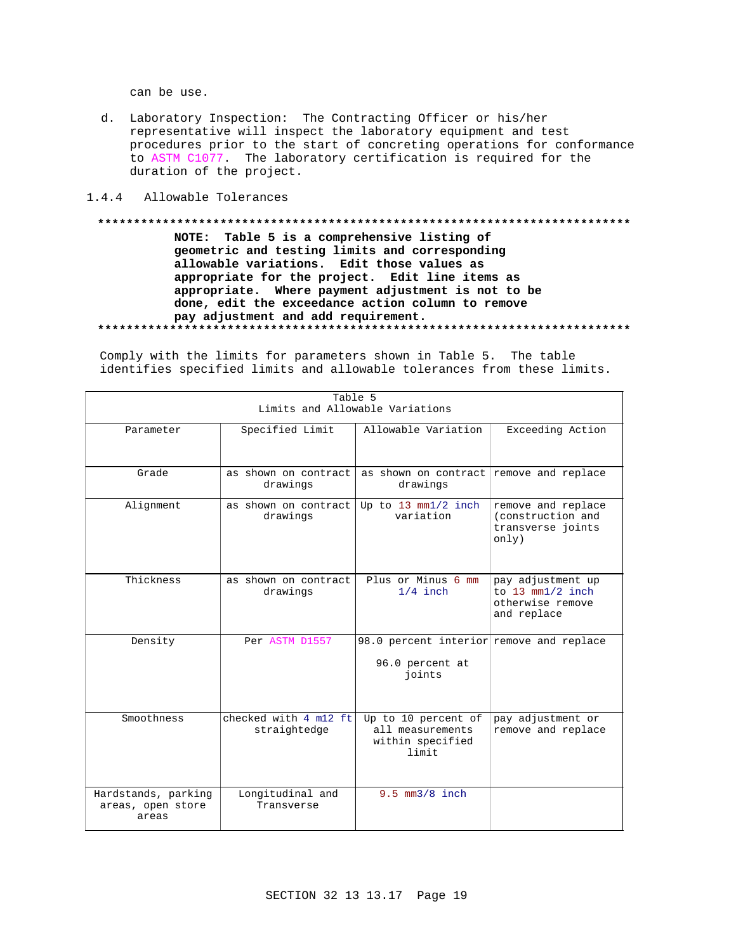can be use.

- d. Laboratory Inspection: The Contracting Officer or his/her representative will inspect the laboratory equipment and test procedures prior to the start of concreting operations for conformance to ASTM C1077. The laboratory certification is required for the duration of the project.
- 1.4.4 Allowable Tolerances

## NOTE: Table 5 is a comprehensive listing of geometric and testing limits and corresponding allowable variations. Edit those values as appropriate for the project. Edit line items as appropriate. Where payment adjustment is not to be done, edit the exceedance action column to remove pay adjustment and add requirement.

Comply with the limits for parameters shown in Table 5. The table identifies specified limits and allowable tolerances from these limits.

| Table 5<br>Limits and Allowable Variations        |                                       |                                                                       |                                                                               |  |
|---------------------------------------------------|---------------------------------------|-----------------------------------------------------------------------|-------------------------------------------------------------------------------|--|
| Parameter                                         | Specified Limit                       | Allowable Variation                                                   | Exceeding Action                                                              |  |
| Grade                                             | as shown on contract<br>drawings      | as shown on contract remove and replace<br>drawings                   |                                                                               |  |
| Alignment                                         | as shown on contract<br>drawings      | Up to 13 mm1/2 inch<br>variation                                      | remove and replace<br>(construction and<br>transverse joints<br>only)         |  |
| Thickness                                         | as shown on contract<br>drawings      | Plus or Minus 6 mm<br>$1/4$ inch                                      | pay adjustment up<br>to $13$ mm $1/2$ inch<br>otherwise remove<br>and replace |  |
| Density                                           | Per ASTM D1557                        | 98.0 percent interior remove and replace<br>96.0 percent at<br>joints |                                                                               |  |
| Smoothness                                        | checked with 4 m12 ft<br>straightedge | Up to 10 percent of<br>all measurements<br>within specified<br>limit  | pay adjustment or<br>remove and replace                                       |  |
| Hardstands, parking<br>areas, open store<br>areas | Longitudinal and<br>Transverse        | $9.5$ mm $3/8$ inch                                                   |                                                                               |  |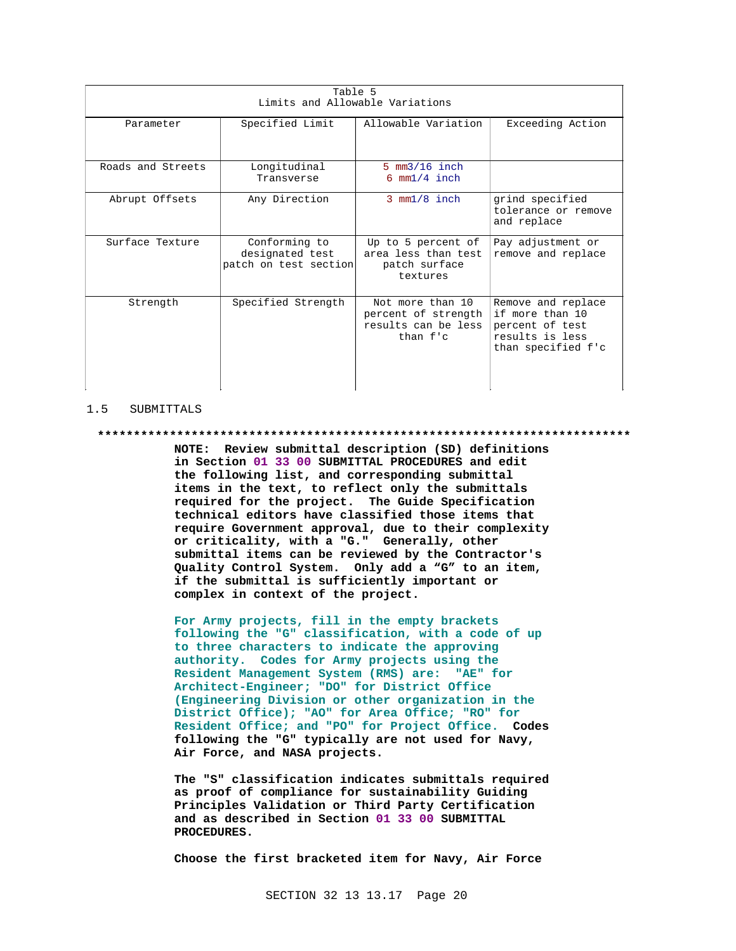| Table 5<br>Limits and Allowable Variations |                                                           |                                                                            |                                                                                                   |  |
|--------------------------------------------|-----------------------------------------------------------|----------------------------------------------------------------------------|---------------------------------------------------------------------------------------------------|--|
| Parameter                                  | Allowable Variation                                       | Exceeding Action                                                           |                                                                                                   |  |
| Roads and Streets                          | Longitudinal<br>Transverse                                | $5 \text{ mm}3/16$ inch<br>$6 \text{ mm}1/4$ inch                          |                                                                                                   |  |
| Abrupt Offsets                             | Any Direction                                             | $3 \text{ mm}1/8$ inch                                                     | grind specified<br>tolerance or remove<br>and replace                                             |  |
| Surface Texture                            | Conforming to<br>designated test<br>patch on test section | Up to 5 percent of<br>area less than test<br>patch surface<br>textures     | Pay adjustment or<br>remove and replace                                                           |  |
| Strength                                   | Specified Strength                                        | Not more than 10<br>percent of strength<br>results can be less<br>than f'c | Remove and replace<br>if more than 10<br>percent of test<br>results is less<br>than specified f'c |  |

#### 1.5 SUBMITTALS

#### **\*\*\*\*\*\*\*\*\*\*\*\*\*\*\*\*\*\*\*\*\*\*\*\*\*\*\*\*\*\*\*\*\*\*\*\*\*\*\*\*\*\*\*\*\*\*\*\*\*\*\*\*\*\*\*\*\*\*\*\*\*\*\*\*\*\*\*\*\*\*\*\*\*\***

**NOTE: Review submittal description (SD) definitions in Section 01 33 00 SUBMITTAL PROCEDURES and edit the following list, and corresponding submittal items in the text, to reflect only the submittals required for the project. The Guide Specification technical editors have classified those items that require Government approval, due to their complexity or criticality, with a "G." Generally, other submittal items can be reviewed by the Contractor's Quality Control System. Only add a "G" to an item, if the submittal is sufficiently important or complex in context of the project.**

**For Army projects, fill in the empty brackets following the "G" classification, with a code of up to three characters to indicate the approving authority. Codes for Army projects using the Resident Management System (RMS) are: "AE" for Architect-Engineer; "DO" for District Office (Engineering Division or other organization in the District Office); "AO" for Area Office; "RO" for Resident Office; and "PO" for Project Office. Codes following the "G" typically are not used for Navy, Air Force, and NASA projects.**

**The "S" classification indicates submittals required as proof of compliance for sustainability Guiding Principles Validation or Third Party Certification and as described in Section 01 33 00 SUBMITTAL PROCEDURES.**

**Choose the first bracketed item for Navy, Air Force**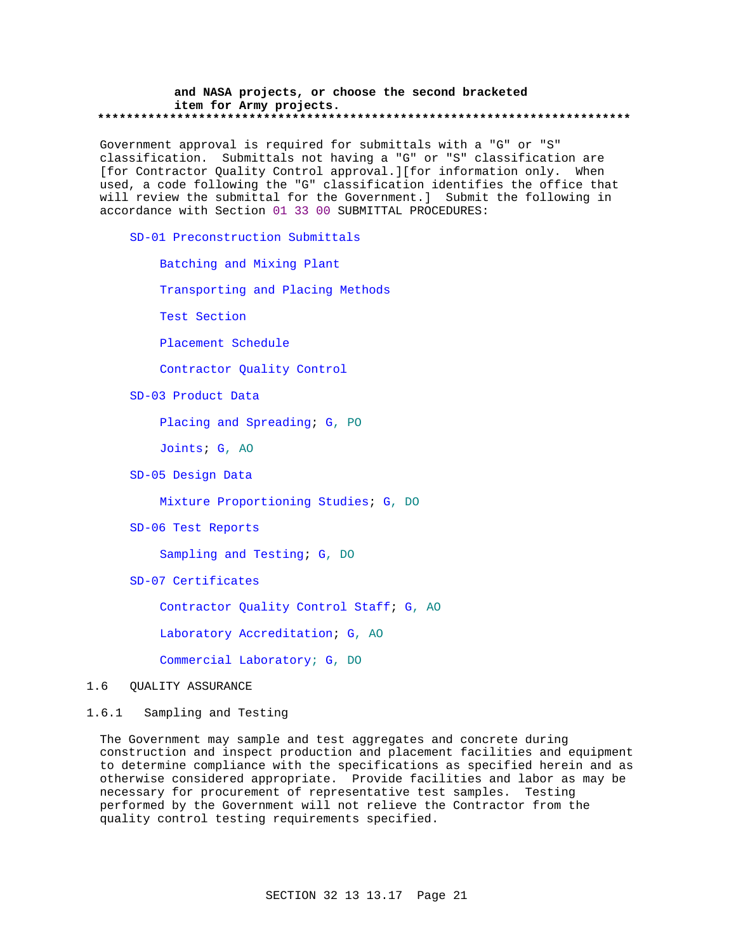#### **and NASA projects, or choose the second bracketed item for Army projects. \*\*\*\*\*\*\*\*\*\*\*\*\*\*\*\*\*\*\*\*\*\*\*\*\*\*\*\*\*\*\*\*\*\*\*\*\*\*\*\*\*\*\*\*\*\*\*\*\*\*\*\*\*\*\*\*\*\*\*\*\*\*\*\*\*\*\*\*\*\*\*\*\*\***

Government approval is required for submittals with a "G" or "S" classification. Submittals not having a "G" or "S" classification are [for Contractor Quality Control approval.][for information only. When used, a code following the "G" classification identifies the office that will review the submittal for the Government.] Submit the following in accordance with Section 01 33 00 SUBMITTAL PROCEDURES:

SD-01 Preconstruction Submittals

Batching and Mixing Plant

Transporting and Placing Methods

Test Section

Placement Schedule

Contractor Quality Control

SD-03 Product Data

Placing and Spreading; G, PO

Joints; G, AO

SD-05 Design Data

Mixture Proportioning Studies; G, DO

SD-06 Test Reports

Sampling and Testing; G, DO

SD-07 Certificates

Contractor Quality Control Staff; G, AO

Laboratory Accreditation; G, AO

Commercial Laboratory; G, DO

## 1.6 QUALITY ASSURANCE

## 1.6.1 Sampling and Testing

The Government may sample and test aggregates and concrete during construction and inspect production and placement facilities and equipment to determine compliance with the specifications as specified herein and as otherwise considered appropriate. Provide facilities and labor as may be necessary for procurement of representative test samples. Testing performed by the Government will not relieve the Contractor from the quality control testing requirements specified.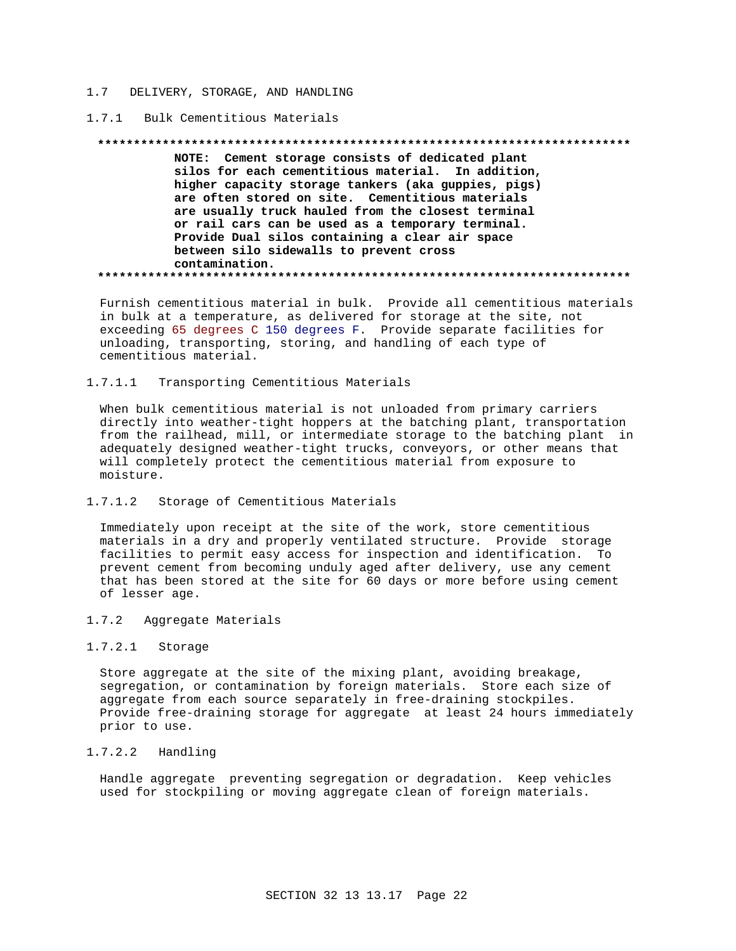#### 1.7 DELIVERY, STORAGE, AND HANDLING

#### 1.7.1 Bulk Cementitious Materials

#### **\*\*\*\*\*\*\*\*\*\*\*\*\*\*\*\*\*\*\*\*\*\*\*\*\*\*\*\*\*\*\*\*\*\*\*\*\*\*\*\*\*\*\*\*\*\*\*\*\*\*\*\*\*\*\*\*\*\*\*\*\*\*\*\*\*\*\*\*\*\*\*\*\*\***

**NOTE: Cement storage consists of dedicated plant silos for each cementitious material. In addition, higher capacity storage tankers (aka guppies, pigs) are often stored on site. Cementitious materials are usually truck hauled from the closest terminal or rail cars can be used as a temporary terminal. Provide Dual silos containing a clear air space between silo sidewalls to prevent cross contamination. \*\*\*\*\*\*\*\*\*\*\*\*\*\*\*\*\*\*\*\*\*\*\*\*\*\*\*\*\*\*\*\*\*\*\*\*\*\*\*\*\*\*\*\*\*\*\*\*\*\*\*\*\*\*\*\*\*\*\*\*\*\*\*\*\*\*\*\*\*\*\*\*\*\***

Furnish cementitious material in bulk. Provide all cementitious materials in bulk at a temperature, as delivered for storage at the site, not exceeding 65 degrees C 150 degrees F. Provide separate facilities for unloading, transporting, storing, and handling of each type of cementitious material.

#### 1.7.1.1 Transporting Cementitious Materials

When bulk cementitious material is not unloaded from primary carriers directly into weather-tight hoppers at the batching plant, transportation from the railhead, mill, or intermediate storage to the batching plant in adequately designed weather-tight trucks, conveyors, or other means that will completely protect the cementitious material from exposure to moisture.

#### 1.7.1.2 Storage of Cementitious Materials

Immediately upon receipt at the site of the work, store cementitious materials in a dry and properly ventilated structure. Provide storage facilities to permit easy access for inspection and identification. To prevent cement from becoming unduly aged after delivery, use any cement that has been stored at the site for 60 days or more before using cement of lesser age.

#### 1.7.2 Aggregate Materials

### 1.7.2.1 Storage

Store aggregate at the site of the mixing plant, avoiding breakage, segregation, or contamination by foreign materials. Store each size of aggregate from each source separately in free-draining stockpiles. Provide free-draining storage for aggregate at least 24 hours immediately prior to use.

## 1.7.2.2 Handling

Handle aggregate preventing segregation or degradation. Keep vehicles used for stockpiling or moving aggregate clean of foreign materials.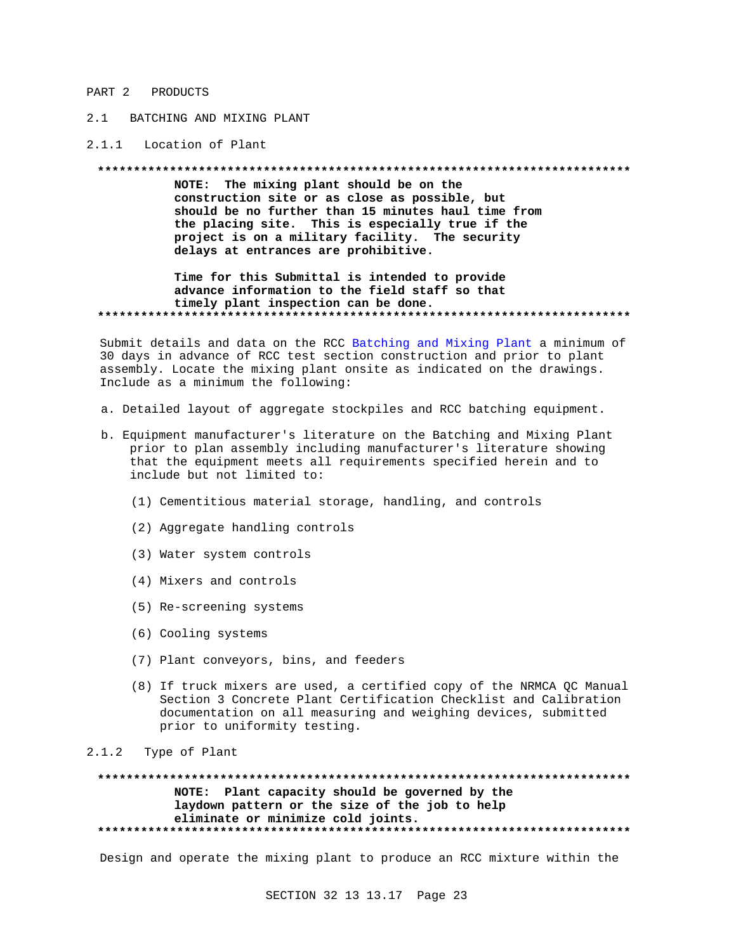#### PART 2 PRODUCTS

## 2.1 BATCHING AND MIXING PLANT

#### 2.1.1 Location of Plant

#### 

NOTE: The mixing plant should be on the construction site or as close as possible, but should be no further than 15 minutes haul time from the placing site. This is especially true if the project is on a military facility. The security delays at entrances are prohibitive.

### Time for this Submittal is intended to provide advance information to the field staff so that timely plant inspection can be done.

Submit details and data on the RCC Batching and Mixing Plant a minimum of 30 days in advance of RCC test section construction and prior to plant assembly. Locate the mixing plant onsite as indicated on the drawings. Include as a minimum the following:

- a. Detailed layout of aggregate stockpiles and RCC batching equipment.
- b. Equipment manufacturer's literature on the Batching and Mixing Plant prior to plan assembly including manufacturer's literature showing that the equipment meets all requirements specified herein and to include but not limited to:
	- (1) Cementitious material storage, handling, and controls
	- (2) Aggregate handling controls
	- (3) Water system controls
	- (4) Mixers and controls
	- (5) Re-screening systems
	- (6) Cooling systems
	- (7) Plant conveyors, bins, and feeders
	- (8) If truck mixers are used, a certified copy of the NRMCA QC Manual Section 3 Concrete Plant Certification Checklist and Calibration documentation on all measuring and weighing devices, submitted prior to uniformity testing.

#### $2.1.2$ Type of Plant

#### \*\*\*\*\*\*\*\*\*\*\*\* . . . . . . . . . . . . . . . . \*\*\*\*\*\*\*\*\*\*\*\*\*\*\*\*\* . . . . . . . . . . . . NOTE: Plant capacity should be governed by the laydown pattern or the size of the job to help eliminate or minimize cold joints.

Design and operate the mixing plant to produce an RCC mixture within the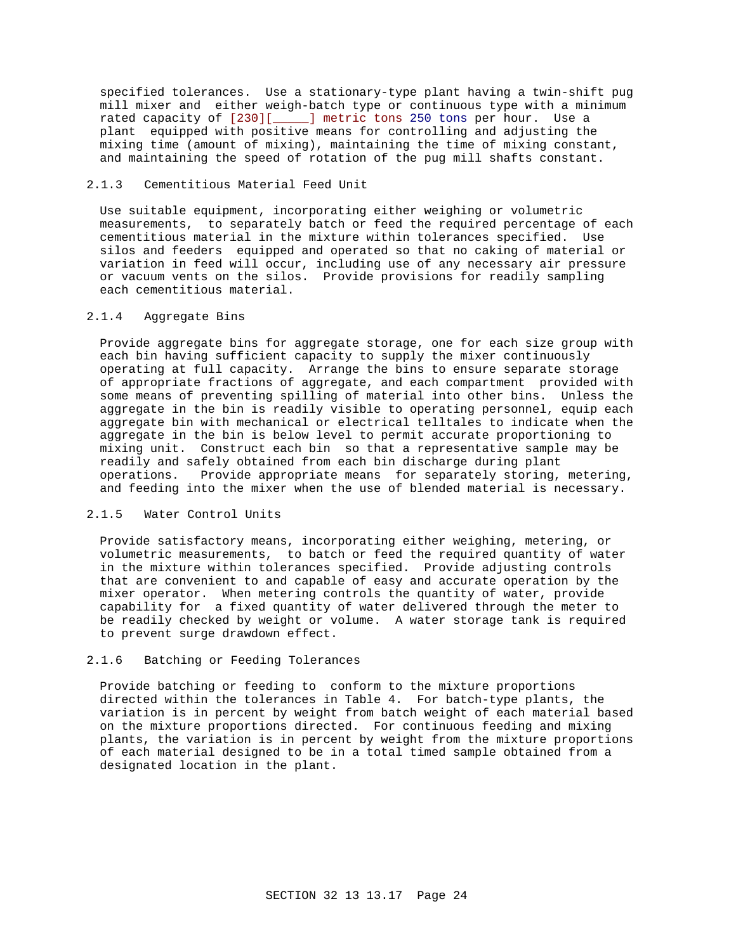specified tolerances. Use a stationary-type plant having a twin-shift pug mill mixer and either weigh-batch type or continuous type with a minimum rated capacity of [230][\_\_\_\_\_] metric tons 250 tons per hour. Use a plant equipped with positive means for controlling and adjusting the mixing time (amount of mixing), maintaining the time of mixing constant, and maintaining the speed of rotation of the pug mill shafts constant.

### 2.1.3 Cementitious Material Feed Unit

Use suitable equipment, incorporating either weighing or volumetric measurements, to separately batch or feed the required percentage of each cementitious material in the mixture within tolerances specified. Use silos and feeders equipped and operated so that no caking of material or variation in feed will occur, including use of any necessary air pressure or vacuum vents on the silos. Provide provisions for readily sampling each cementitious material.

### 2.1.4 Aggregate Bins

Provide aggregate bins for aggregate storage, one for each size group with each bin having sufficient capacity to supply the mixer continuously operating at full capacity. Arrange the bins to ensure separate storage of appropriate fractions of aggregate, and each compartment provided with some means of preventing spilling of material into other bins. Unless the aggregate in the bin is readily visible to operating personnel, equip each aggregate bin with mechanical or electrical telltales to indicate when the aggregate in the bin is below level to permit accurate proportioning to mixing unit. Construct each bin so that a representative sample may be readily and safely obtained from each bin discharge during plant operations. Provide appropriate means for separately storing, metering, and feeding into the mixer when the use of blended material is necessary.

## 2.1.5 Water Control Units

Provide satisfactory means, incorporating either weighing, metering, or volumetric measurements, to batch or feed the required quantity of water in the mixture within tolerances specified. Provide adjusting controls that are convenient to and capable of easy and accurate operation by the mixer operator. When metering controls the quantity of water, provide capability for a fixed quantity of water delivered through the meter to be readily checked by weight or volume. A water storage tank is required to prevent surge drawdown effect.

## 2.1.6 Batching or Feeding Tolerances

Provide batching or feeding to conform to the mixture proportions directed within the tolerances in Table 4. For batch-type plants, the variation is in percent by weight from batch weight of each material based on the mixture proportions directed. For continuous feeding and mixing plants, the variation is in percent by weight from the mixture proportions of each material designed to be in a total timed sample obtained from a designated location in the plant.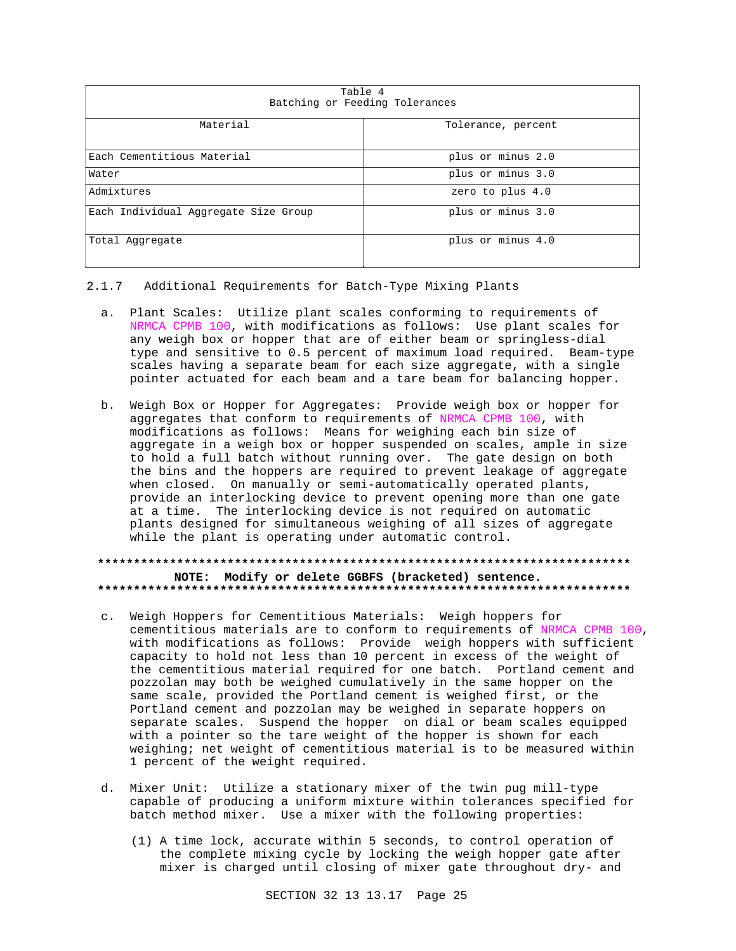| Table 4<br>Batching or Feeding Tolerances |                    |  |  |
|-------------------------------------------|--------------------|--|--|
| Material                                  | Tolerance, percent |  |  |
| Each Cementitious Material                | plus or minus 2.0  |  |  |
| Water                                     | plus or minus 3.0  |  |  |
| Admixtures                                | zero to plus 4.0   |  |  |
| Each Individual Aggregate Size Group      | plus or minus 3.0  |  |  |
| Total Aggregate                           | plus or minus 4.0  |  |  |

### 2.1.7 Additional Requirements for Batch-Type Mixing Plants

- a. Plant Scales: Utilize plant scales conforming to requirements of NRMCA CPMB 100, with modifications as follows: Use plant scales for any weigh box or hopper that are of either beam or springless-dial type and sensitive to 0.5 percent of maximum load required. Beam-type scales having a separate beam for each size aggregate, with a single pointer actuated for each beam and a tare beam for balancing hopper.
- b. Weigh Box or Hopper for Aggregates: Provide weigh box or hopper for aggregates that conform to requirements of NRMCA CPMB 100, with modifications as follows: Means for weighing each bin size of aggregate in a weigh box or hopper suspended on scales, ample in size to hold a full batch without running over. The gate design on both the bins and the hoppers are required to prevent leakage of aggregate when closed. On manually or semi-automatically operated plants, provide an interlocking device to prevent opening more than one gate at a time. The interlocking device is not required on automatic plants designed for simultaneous weighing of all sizes of aggregate while the plant is operating under automatic control.

### NOTE: Modify or delete GGBFS (bracketed) sentence.

- c. Weigh Hoppers for Cementitious Materials: Weigh hoppers for cementitious materials are to conform to requirements of NRMCA CPMB 100, with modifications as follows: Provide weigh hoppers with sufficient capacity to hold not less than 10 percent in excess of the weight of the cementitious material required for one batch. Portland cement and pozzolan may both be weighed cumulatively in the same hopper on the same scale, provided the Portland cement is weighed first, or the Portland cement and pozzolan may be weighed in separate hoppers on separate scales. Suspend the hopper on dial or beam scales equipped with a pointer so the tare weight of the hopper is shown for each weighing; net weight of cementitious material is to be measured within 1 percent of the weight required.
- d. Mixer Unit: Utilize a stationary mixer of the twin pug mill-type capable of producing a uniform mixture within tolerances specified for batch method mixer. Use a mixer with the following properties:
	- (1) A time lock, accurate within 5 seconds, to control operation of the complete mixing cycle by locking the weigh hopper gate after mixer is charged until closing of mixer gate throughout dry- and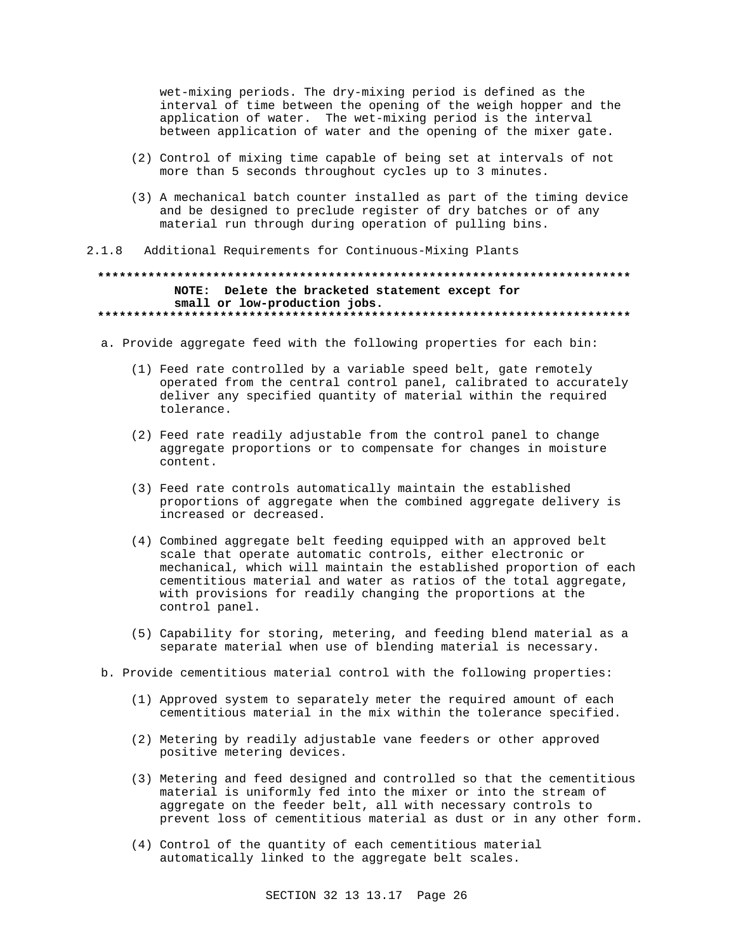wet-mixing periods. The dry-mixing period is defined as the interval of time between the opening of the weigh hopper and the application of water. The wet-mixing period is the interval between application of water and the opening of the mixer gate.

- (2) Control of mixing time capable of being set at intervals of not more than 5 seconds throughout cycles up to 3 minutes.
- (3) A mechanical batch counter installed as part of the timing device and be designed to preclude register of dry batches or of any material run through during operation of pulling bins.
- $2.1.8$ Additional Requirements for Continuous-Mixing Plants

## NOTE: Delete the bracketed statement except for small or low-production jobs.

- a. Provide aggregate feed with the following properties for each bin:
	- (1) Feed rate controlled by a variable speed belt, gate remotely operated from the central control panel, calibrated to accurately deliver any specified quantity of material within the required tolerance.
	- (2) Feed rate readily adjustable from the control panel to change aggregate proportions or to compensate for changes in moisture content.
	- (3) Feed rate controls automatically maintain the established proportions of aggregate when the combined aggregate delivery is increased or decreased.
	- (4) Combined aggregate belt feeding equipped with an approved belt scale that operate automatic controls, either electronic or mechanical, which will maintain the established proportion of each cementitious material and water as ratios of the total aggregate, with provisions for readily changing the proportions at the control panel.
	- (5) Capability for storing, metering, and feeding blend material as a separate material when use of blending material is necessary.
- b. Provide cementitious material control with the following properties:
	- (1) Approved system to separately meter the required amount of each cementitious material in the mix within the tolerance specified.
	- (2) Metering by readily adjustable vane feeders or other approved positive metering devices.
	- (3) Metering and feed designed and controlled so that the cementitious material is uniformly fed into the mixer or into the stream of aggregate on the feeder belt, all with necessary controls to prevent loss of cementitious material as dust or in any other form.
	- (4) Control of the quantity of each cementitious material automatically linked to the aggregate belt scales.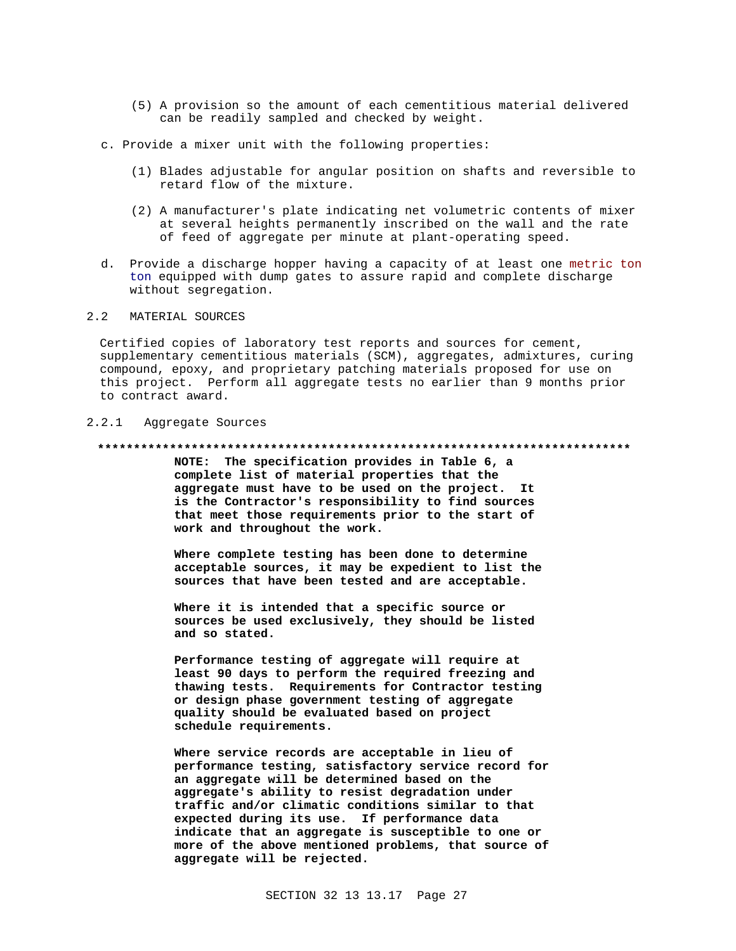- (5) A provision so the amount of each cementitious material delivered can be readily sampled and checked by weight.
- c. Provide a mixer unit with the following properties:
	- (1) Blades adjustable for angular position on shafts and reversible to retard flow of the mixture.
	- (2) A manufacturer's plate indicating net volumetric contents of mixer at several heights permanently inscribed on the wall and the rate of feed of aggregate per minute at plant-operating speed.
- d. Provide a discharge hopper having a capacity of at least one metric ton ton equipped with dump gates to assure rapid and complete discharge without segregation.

#### 2.2 MATERIAL SOURCES

Certified copies of laboratory test reports and sources for cement, supplementary cementitious materials (SCM), aggregates, admixtures, curing compound, epoxy, and proprietary patching materials proposed for use on this project. Perform all aggregate tests no earlier than 9 months prior to contract award.

## 2.2.1 Aggregate Sources

#### **\*\*\*\*\*\*\*\*\*\*\*\*\*\*\*\*\*\*\*\*\*\*\*\*\*\*\*\*\*\*\*\*\*\*\*\*\*\*\*\*\*\*\*\*\*\*\*\*\*\*\*\*\*\*\*\*\*\*\*\*\*\*\*\*\*\*\*\*\*\*\*\*\*\***

**NOTE: The specification provides in Table 6, a complete list of material properties that the aggregate must have to be used on the project. It is the Contractor's responsibility to find sources that meet those requirements prior to the start of work and throughout the work.**

**Where complete testing has been done to determine acceptable sources, it may be expedient to list the sources that have been tested and are acceptable.**

**Where it is intended that a specific source or sources be used exclusively, they should be listed and so stated.**

**Performance testing of aggregate will require at least 90 days to perform the required freezing and thawing tests. Requirements for Contractor testing or design phase government testing of aggregate quality should be evaluated based on project schedule requirements.**

**Where service records are acceptable in lieu of performance testing, satisfactory service record for an aggregate will be determined based on the aggregate's ability to resist degradation under traffic and/or climatic conditions similar to that expected during its use. If performance data indicate that an aggregate is susceptible to one or more of the above mentioned problems, that source of aggregate will be rejected.**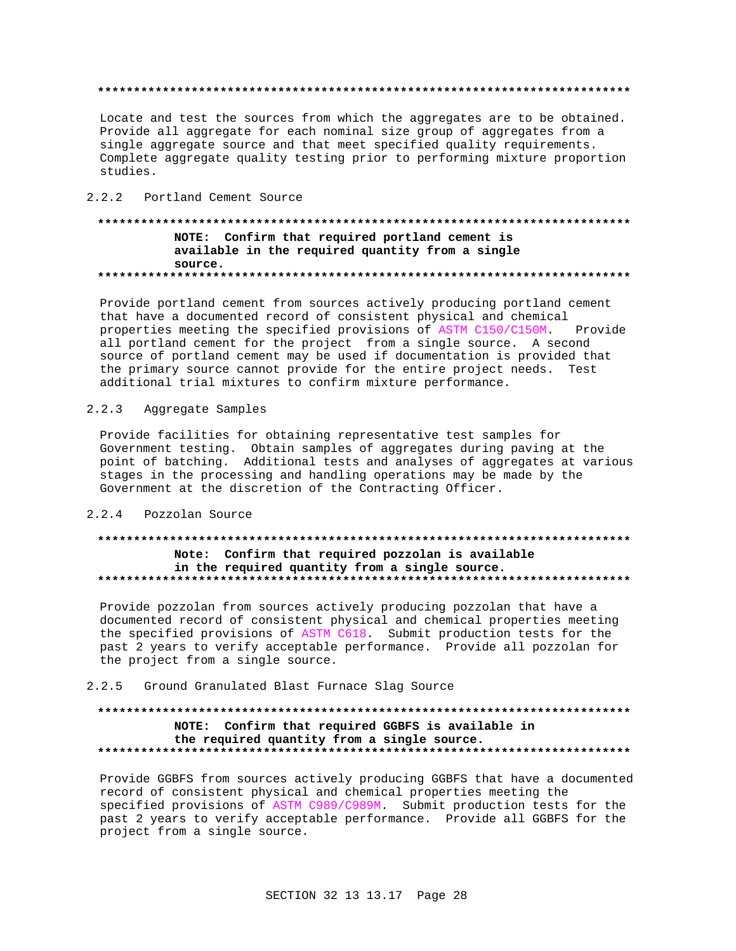Locate and test the sources from which the aggregates are to be obtained. Provide all aggregate for each nominal size group of aggregates from a single aggregate source and that meet specified quality requirements. Complete aggregate quality testing prior to performing mixture proportion studies.

## 2.2.2 Portland Cement Source

### NOTE: Confirm that required portland cement is available in the required quantity from a single source.

Provide portland cement from sources actively producing portland cement that have a documented record of consistent physical and chemical properties meeting the specified provisions of ASTM C150/C150M. Provide all portland cement for the project from a single source. A second source of portland cement may be used if documentation is provided that the primary source cannot provide for the entire project needs. Test additional trial mixtures to confirm mixture performance.

#### $2.2.3$ Aggregate Samples

Provide facilities for obtaining representative test samples for Government testing. Obtain samples of aggregates during paving at the point of batching. Additional tests and analyses of aggregates at various stages in the processing and handling operations may be made by the Government at the discretion of the Contracting Officer.

## 2.2.4 Pozzolan Source

## Note: Confirm that required pozzolan is available in the required quantity from a single source.

Provide pozzolan from sources actively producing pozzolan that have a documented record of consistent physical and chemical properties meeting the specified provisions of ASTM C618. Submit production tests for the past 2 years to verify acceptable performance. Provide all pozzolan for the project from a single source.

#### 2.2.5 Ground Granulated Blast Furnace Slag Source

## NOTE: Confirm that required GGBFS is available in the required quantity from a single source.

Provide GGBFS from sources actively producing GGBFS that have a documented record of consistent physical and chemical properties meeting the specified provisions of ASTM C989/C989M. Submit production tests for the past 2 years to verify acceptable performance. Provide all GGBFS for the project from a single source.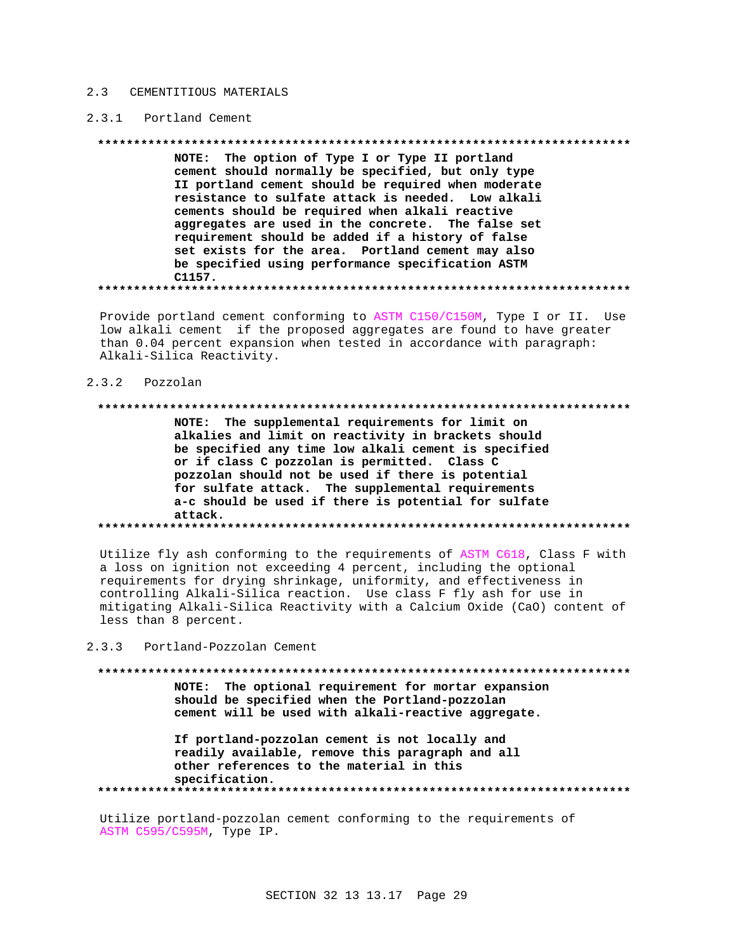#### $2.3$ CEMENTITIOUS MATERIALS

#### 2.3.1 Portland Cement

NOTE: The option of Type I or Type II portland cement should normally be specified, but only type II portland cement should be required when moderate resistance to sulfate attack is needed. Low alkali cements should be required when alkali reactive aggregates are used in the concrete. The false set requirement should be added if a history of false set exists for the area. Portland cement may also be specified using performance specification ASTM C1157. 

Provide portland cement conforming to ASTM C150/C150M, Type I or II. Use low alkali cement if the proposed aggregates are found to have greater than 0.04 percent expansion when tested in accordance with paragraph: Alkali-Silica Reactivity.

#### 2.3.2 Pozzolan

## NOTE: The supplemental requirements for limit on alkalies and limit on reactivity in brackets should be specified any time low alkali cement is specified or if class C pozzolan is permitted. Class C pozzolan should not be used if there is potential for sulfate attack. The supplemental requirements a-c should be used if there is potential for sulfate attack.

Utilize fly ash conforming to the requirements of ASTM C618, Class F with a loss on ignition not exceeding 4 percent, including the optional requirements for drying shrinkage, uniformity, and effectiveness in controlling Alkali-Silica reaction. Use class F fly ash for use in mitigating Alkali-Silica Reactivity with a Calcium Oxide (CaO) content of less than 8 percent.

 $2, 3, 3$ Portland-Pozzolan Cement

NOTE: The optional requirement for mortar expansion should be specified when the Portland-pozzolan cement will be used with alkali-reactive aggregate.

If portland-pozzolan cement is not locally and readily available, remove this paragraph and all other references to the material in this specification. 

Utilize portland-pozzolan cement conforming to the requirements of ASTM C595/C595M, Type IP.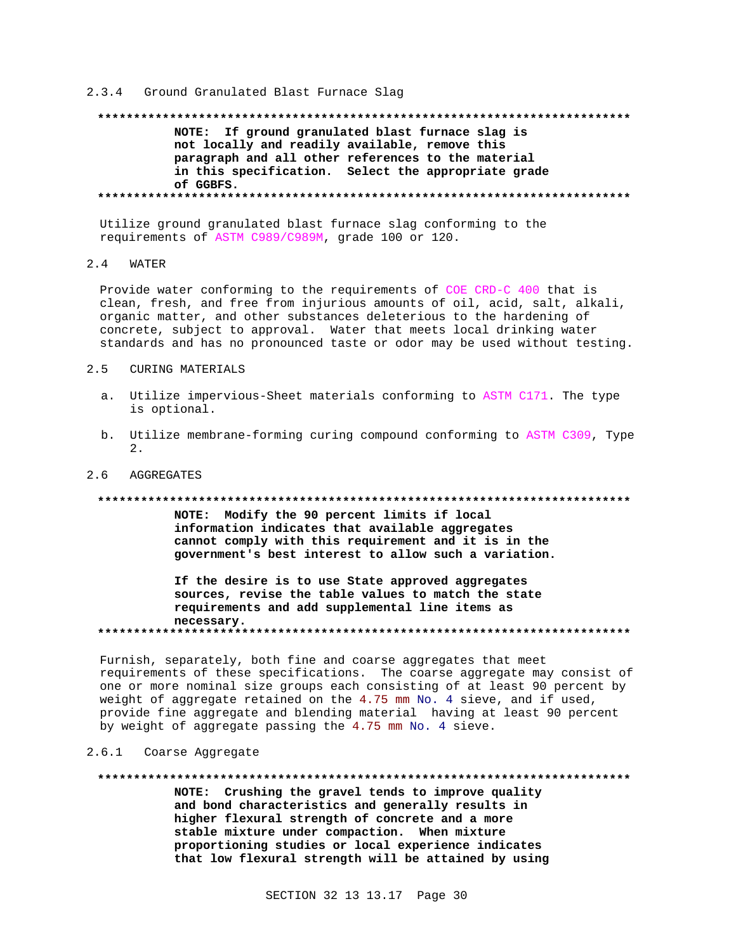#### 2.3.4 Ground Granulated Blast Furnace Slag

## NOTE: If ground granulated blast furnace slag is not locally and readily available, remove this paragraph and all other references to the material in this specification. Select the appropriate grade of GGBFS.

Utilize ground granulated blast furnace slag conforming to the requirements of ASTM C989/C989M, grade 100 or 120.

#### $2.4$ **WATER**

Provide water conforming to the requirements of COE CRD-C 400 that is clean, fresh, and free from injurious amounts of oil, acid, salt, alkali, organic matter, and other substances deleterious to the hardening of concrete, subject to approval. Water that meets local drinking water standards and has no pronounced taste or odor may be used without testing.

#### $2.5$ CURING MATERIALS

- a. Utilize impervious-Sheet materials conforming to ASTM C171. The type is optional.
- b. Utilize membrane-forming curing compound conforming to ASTM C309, Type  $\mathcal{D}$

#### $2.6$ AGGREGATES

#### 

NOTE: Modify the 90 percent limits if local information indicates that available aggregates cannot comply with this requirement and it is in the government's best interest to allow such a variation.

If the desire is to use State approved aggregates sources, revise the table values to match the state requirements and add supplemental line items as necessary.

Furnish, separately, both fine and coarse aggregates that meet requirements of these specifications. The coarse aggregate may consist of one or more nominal size groups each consisting of at least 90 percent by weight of aggregate retained on the 4.75 mm No. 4 sieve, and if used, provide fine aggregate and blending material having at least 90 percent by weight of aggregate passing the 4.75 mm No. 4 sieve.

#### 2.6.1 Coarse Aggregate

#### \*\*\*\*\*\*\*\*\*\*\*\* \*\*\*\*\*\*\*\*\*\*\*\*\*\*\*\*\*\*\*\*\*\*\*\*\*\*\*\*\*\*\*\*\*\*\*\*\* \*\*\*\*\*\*\*\*\*\*\*\*\*\*

NOTE: Crushing the gravel tends to improve quality and bond characteristics and generally results in higher flexural strength of concrete and a more stable mixture under compaction. When mixture proportioning studies or local experience indicates that low flexural strength will be attained by using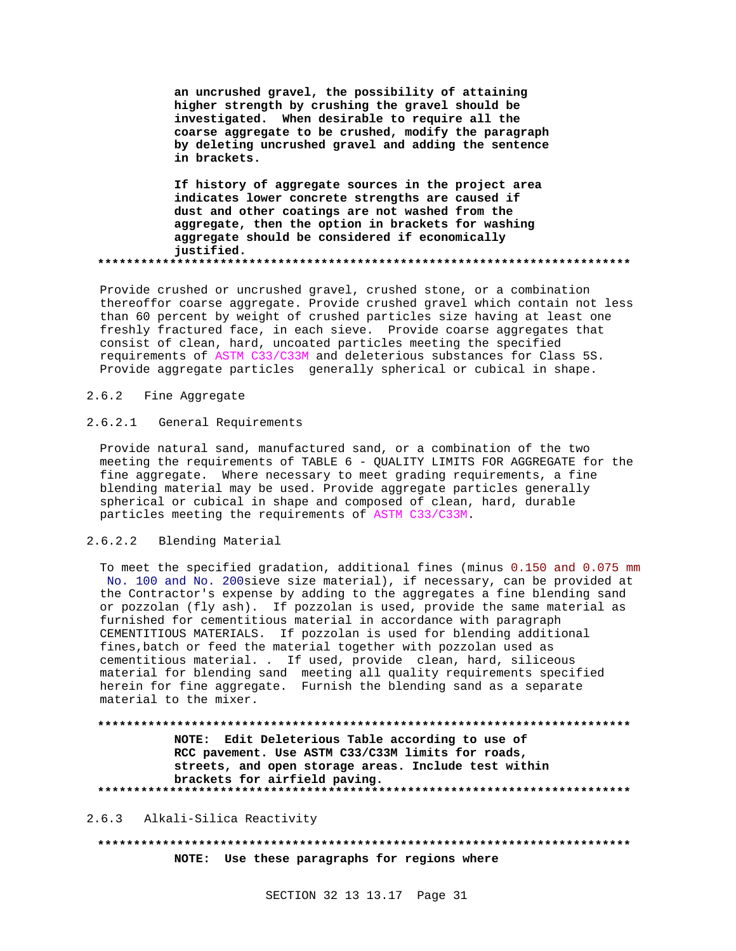**an uncrushed gravel, the possibility of attaining higher strength by crushing the gravel should be investigated. When desirable to require all the coarse aggregate to be crushed, modify the paragraph by deleting uncrushed gravel and adding the sentence in brackets.**

**If history of aggregate sources in the project area indicates lower concrete strengths are caused if dust and other coatings are not washed from the aggregate, then the option in brackets for washing aggregate should be considered if economically justified. \*\*\*\*\*\*\*\*\*\*\*\*\*\*\*\*\*\*\*\*\*\*\*\*\*\*\*\*\*\*\*\*\*\*\*\*\*\*\*\*\*\*\*\*\*\*\*\*\*\*\*\*\*\*\*\*\*\*\*\*\*\*\*\*\*\*\*\*\*\*\*\*\*\***

Provide crushed or uncrushed gravel, crushed stone, or a combination thereoffor coarse aggregate. Provide crushed gravel which contain not less than 60 percent by weight of crushed particles size having at least one freshly fractured face, in each sieve. Provide coarse aggregates that consist of clean, hard, uncoated particles meeting the specified requirements of ASTM C33/C33M and deleterious substances for Class 5S. Provide aggregate particles generally spherical or cubical in shape.

## 2.6.2 Fine Aggregate

### 2.6.2.1 General Requirements

Provide natural sand, manufactured sand, or a combination of the two meeting the requirements of TABLE 6 - QUALITY LIMITS FOR AGGREGATE for the fine aggregate. Where necessary to meet grading requirements, a fine blending material may be used. Provide aggregate particles generally spherical or cubical in shape and composed of clean, hard, durable particles meeting the requirements of ASTM C33/C33M.

### 2.6.2.2 Blending Material

To meet the specified gradation, additional fines (minus 0.150 and 0.075 mm No. 100 and No. 200sieve size material), if necessary, can be provided at the Contractor's expense by adding to the aggregates a fine blending sand or pozzolan (fly ash). If pozzolan is used, provide the same material as furnished for cementitious material in accordance with paragraph CEMENTITIOUS MATERIALS. If pozzolan is used for blending additional fines,batch or feed the material together with pozzolan used as cementitious material. . If used, provide clean, hard, siliceous material for blending sand meeting all quality requirements specified herein for fine aggregate. Furnish the blending sand as a separate material to the mixer.

**\*\*\*\*\*\*\*\*\*\*\*\*\*\*\*\*\*\*\*\*\*\*\*\*\*\*\*\*\*\*\*\*\*\*\*\*\*\*\*\*\*\*\*\*\*\*\*\*\*\*\*\*\*\*\*\*\*\*\*\*\*\*\*\*\*\*\*\*\*\*\*\*\*\* NOTE: Edit Deleterious Table according to use of RCC pavement. Use ASTM C33/C33M limits for roads, streets, and open storage areas. Include test within brackets for airfield paving. \*\*\*\*\*\*\*\*\*\*\*\*\*\*\*\*\*\*\*\*\*\*\*\*\*\*\*\*\*\*\*\*\*\*\*\*\*\*\*\*\*\*\*\*\*\*\*\*\*\*\*\*\*\*\*\*\*\*\*\*\*\*\*\*\*\*\*\*\*\*\*\*\*\***

#### 2.6.3 Alkali-Silica Reactivity

**\*\*\*\*\*\*\*\*\*\*\*\*\*\*\*\*\*\*\*\*\*\*\*\*\*\*\*\*\*\*\*\*\*\*\*\*\*\*\*\*\*\*\*\*\*\*\*\*\*\*\*\*\*\*\*\*\*\*\*\*\*\*\*\*\*\*\*\*\*\*\*\*\*\* NOTE: Use these paragraphs for regions where**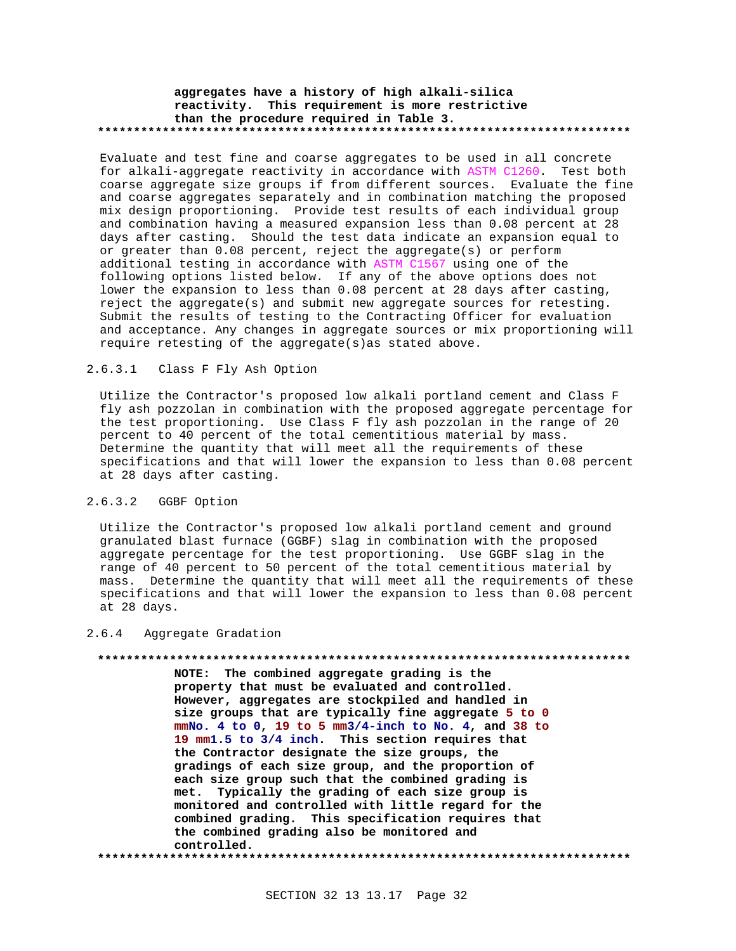### **aggregates have a history of high alkali-silica reactivity. This requirement is more restrictive than the procedure required in Table 3. \*\*\*\*\*\*\*\*\*\*\*\*\*\*\*\*\*\*\*\*\*\*\*\*\*\*\*\*\*\*\*\*\*\*\*\*\*\*\*\*\*\*\*\*\*\*\*\*\*\*\*\*\*\*\*\*\*\*\*\*\*\*\*\*\*\*\*\*\*\*\*\*\*\***

Evaluate and test fine and coarse aggregates to be used in all concrete for alkali-aggregate reactivity in accordance with ASTM C1260. Test both coarse aggregate size groups if from different sources. Evaluate the fine and coarse aggregates separately and in combination matching the proposed mix design proportioning. Provide test results of each individual group and combination having a measured expansion less than 0.08 percent at 28 days after casting. Should the test data indicate an expansion equal to or greater than 0.08 percent, reject the aggregate(s) or perform additional testing in accordance with ASTM C1567 using one of the following options listed below. If any of the above options does not lower the expansion to less than 0.08 percent at 28 days after casting, reject the aggregate(s) and submit new aggregate sources for retesting. Submit the results of testing to the Contracting Officer for evaluation and acceptance. Any changes in aggregate sources or mix proportioning will require retesting of the aggregate(s)as stated above.

### 2.6.3.1 Class F Fly Ash Option

Utilize the Contractor's proposed low alkali portland cement and Class F fly ash pozzolan in combination with the proposed aggregate percentage for the test proportioning. Use Class F fly ash pozzolan in the range of 20 percent to 40 percent of the total cementitious material by mass. Determine the quantity that will meet all the requirements of these specifications and that will lower the expansion to less than 0.08 percent at 28 days after casting.

## 2.6.3.2 GGBF Option

Utilize the Contractor's proposed low alkali portland cement and ground granulated blast furnace (GGBF) slag in combination with the proposed aggregate percentage for the test proportioning. Use GGBF slag in the range of 40 percent to 50 percent of the total cementitious material by mass. Determine the quantity that will meet all the requirements of these specifications and that will lower the expansion to less than 0.08 percent at 28 days.

#### 2.6.4 Aggregate Gradation

#### **\*\*\*\*\*\*\*\*\*\*\*\*\*\*\*\*\*\*\*\*\*\*\*\*\*\*\*\*\*\*\*\*\*\*\*\*\*\*\*\*\*\*\*\*\*\*\*\*\*\*\*\*\*\*\*\*\*\*\*\*\*\*\*\*\*\*\*\*\*\*\*\*\*\***

**NOTE: The combined aggregate grading is the property that must be evaluated and controlled. However, aggregates are stockpiled and handled in size groups that are typically fine aggregate 5 to 0 mmNo. 4 to 0, 19 to 5 mm3/4-inch to No. 4, and 38 to 19 mm1.5 to 3/4 inch. This section requires that the Contractor designate the size groups, the gradings of each size group, and the proportion of each size group such that the combined grading is met. Typically the grading of each size group is monitored and controlled with little regard for the combined grading. This specification requires that the combined grading also be monitored and controlled.**

**\*\*\*\*\*\*\*\*\*\*\*\*\*\*\*\*\*\*\*\*\*\*\*\*\*\*\*\*\*\*\*\*\*\*\*\*\*\*\*\*\*\*\*\*\*\*\*\*\*\*\*\*\*\*\*\*\*\*\*\*\*\*\*\*\*\*\*\*\*\*\*\*\*\***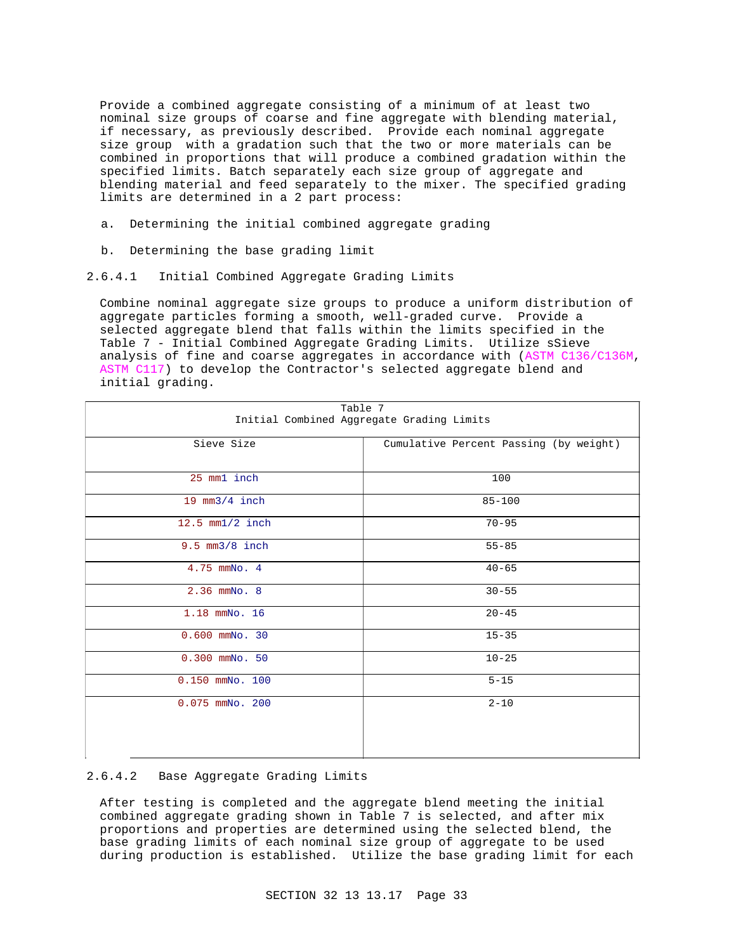Provide a combined aggregate consisting of a minimum of at least two nominal size groups of coarse and fine aggregate with blending material, if necessary, as previously described. Provide each nominal aggregate size group with a gradation such that the two or more materials can be combined in proportions that will produce a combined gradation within the specified limits. Batch separately each size group of aggregate and blending material and feed separately to the mixer. The specified grading limits are determined in a 2 part process:

- a. Determining the initial combined aggregate grading
- b. Determining the base grading limit
- 2.6.4.1 Initial Combined Aggregate Grading Limits

Combine nominal aggregate size groups to produce a uniform distribution of aggregate particles forming a smooth, well-graded curve. Provide a selected aggregate blend that falls within the limits specified in the Table 7 - Initial Combined Aggregate Grading Limits. Utilize sSieve analysis of fine and coarse aggregates in accordance with (ASTM C136/C136M, ASTM C117) to develop the Contractor's selected aggregate blend and initial grading.

| Table 7                                   |                                        |  |  |
|-------------------------------------------|----------------------------------------|--|--|
| Initial Combined Aggregate Grading Limits |                                        |  |  |
| Sieve Size                                | Cumulative Percent Passing (by weight) |  |  |
|                                           |                                        |  |  |
| 25 mm1 inch                               | 100                                    |  |  |
| 19 $mm3/4$ inch                           | $85 - 100$                             |  |  |
| 12.5 $mm1/2$ inch                         | $70 - 95$                              |  |  |
| $9.5$ mm $3/8$ inch                       | $55 - 85$                              |  |  |
| 4.75 mmNo. 4                              | $40 - 65$                              |  |  |
| 2.36 mmNo. 8                              | $30 - 55$                              |  |  |
| 1.18 mmNo. 16                             | $20 - 45$                              |  |  |
| $0.600$ mmNo. 30                          | $15 - 35$                              |  |  |
| $0.300$ mmNo. $50$                        | $10 - 25$                              |  |  |
| $0.150$ mmNo. $100$                       | $5 - 15$                               |  |  |
| 0.075 mmNo. 200                           | $2 - 10$                               |  |  |
|                                           |                                        |  |  |
|                                           |                                        |  |  |

#### 2.6.4.2 Base Aggregate Grading Limits

After testing is completed and the aggregate blend meeting the initial combined aggregate grading shown in Table 7 is selected, and after mix proportions and properties are determined using the selected blend, the base grading limits of each nominal size group of aggregate to be used during production is established. Utilize the base grading limit for each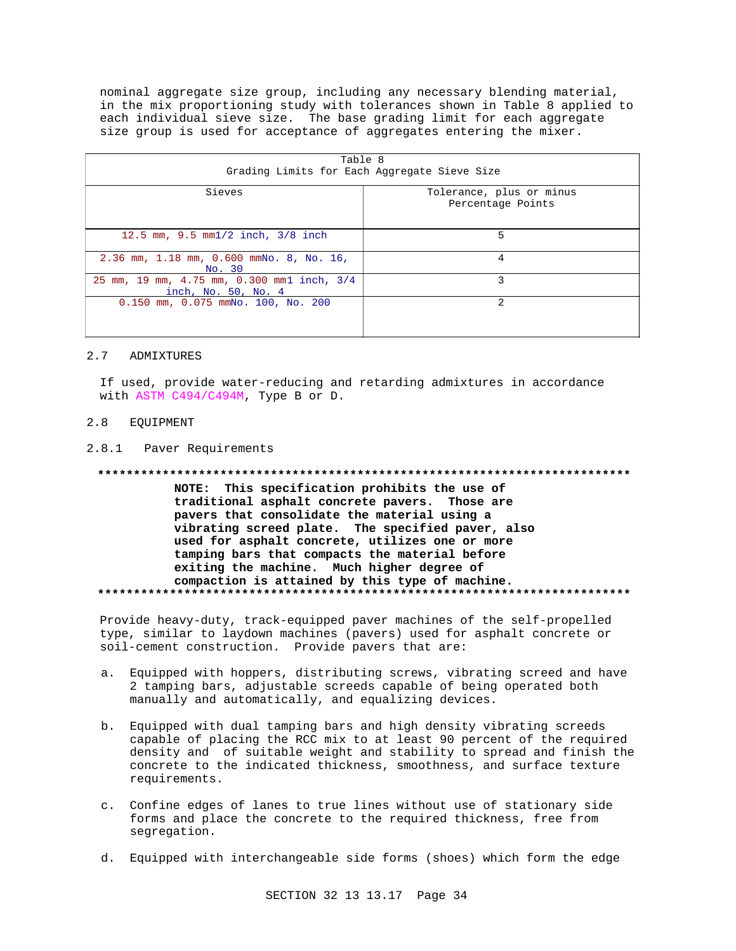nominal aggregate size group, including any necessary blending material, in the mix proportioning study with tolerances shown in Table 8 applied to each individual sieve size. The base grading limit for each aggregate size group is used for acceptance of aggregates entering the mixer.

| Table 8<br>Grading Limits for Each Aggregate Sieve Size           |                                               |  |  |
|-------------------------------------------------------------------|-----------------------------------------------|--|--|
| Sieves                                                            | Tolerance, plus or minus<br>Percentage Points |  |  |
| 12.5 mm, 9.5 mm1/2 inch, 3/8 inch                                 | 5                                             |  |  |
| 2.36 mm, 1.18 mm, 0.600 mmNo. 8, No. 16,<br>No. 30                | 4                                             |  |  |
| 25 mm, 19 mm, 4.75 mm, 0.300 mm1 inch, 3/4<br>inch, No. 50, No. 4 | ζ                                             |  |  |
| 0.150 mm, 0.075 mmNo. 100, No. 200                                | 2                                             |  |  |

#### $2.7$ ADMIXTURES

If used, provide water-reducing and retarding admixtures in accordance with ASTM C494/C494M, Type B or D.

#### $2.8$ EQUIPMENT

2.8.1 Paver Requirements

\*\*\*\*\*\*\*\*\*\*\*\*\*\*\*\*\*\* NOTE: This specification prohibits the use of traditional asphalt concrete pavers. Those are pavers that consolidate the material using a vibrating screed plate. The specified paver, also used for asphalt concrete, utilizes one or more tamping bars that compacts the material before exiting the machine. Much higher degree of compaction is attained by this type of machine. 

Provide heavy-duty, track-equipped paver machines of the self-propelled type, similar to laydown machines (pavers) used for asphalt concrete or soil-cement construction. Provide pavers that are:

- Equipped with hoppers, distributing screws, vibrating screed and have a. 2 tamping bars, adjustable screeds capable of being operated both manually and automatically, and equalizing devices.
- b. Equipped with dual tamping bars and high density vibrating screeds capable of placing the RCC mix to at least 90 percent of the required density and of suitable weight and stability to spread and finish the concrete to the indicated thickness, smoothness, and surface texture requirements.
- c. Confine edges of lanes to true lines without use of stationary side forms and place the concrete to the required thickness, free from segregation.
- d. Equipped with interchangeable side forms (shoes) which form the edge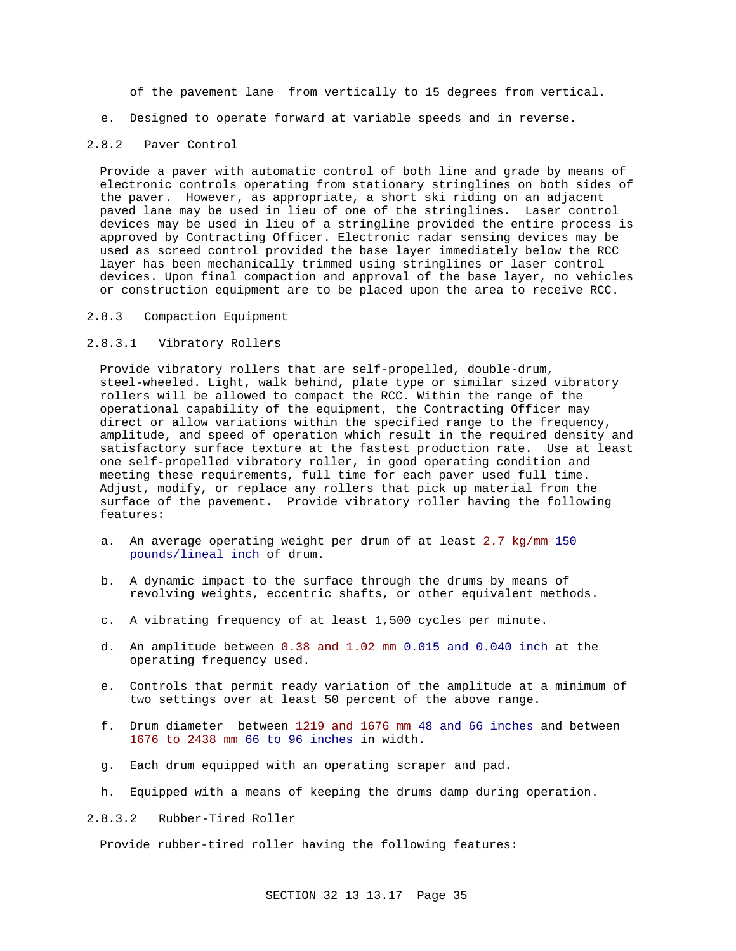of the pavement lane from vertically to 15 degrees from vertical.

e. Designed to operate forward at variable speeds and in reverse.

#### 2.8.2 Paver Control

Provide a paver with automatic control of both line and grade by means of electronic controls operating from stationary stringlines on both sides of the paver. However, as appropriate, a short ski riding on an adjacent paved lane may be used in lieu of one of the stringlines. Laser control devices may be used in lieu of a stringline provided the entire process is approved by Contracting Officer. Electronic radar sensing devices may be used as screed control provided the base layer immediately below the RCC layer has been mechanically trimmed using stringlines or laser control devices. Upon final compaction and approval of the base layer, no vehicles or construction equipment are to be placed upon the area to receive RCC.

#### 2.8.3 Compaction Equipment

#### 2.8.3.1 Vibratory Rollers

Provide vibratory rollers that are self-propelled, double-drum, steel-wheeled. Light, walk behind, plate type or similar sized vibratory rollers will be allowed to compact the RCC. Within the range of the operational capability of the equipment, the Contracting Officer may direct or allow variations within the specified range to the frequency, amplitude, and speed of operation which result in the required density and satisfactory surface texture at the fastest production rate. Use at least one self-propelled vibratory roller, in good operating condition and meeting these requirements, full time for each paver used full time. Adjust, modify, or replace any rollers that pick up material from the surface of the pavement. Provide vibratory roller having the following features:

- a. An average operating weight per drum of at least 2.7 kg/mm 150 pounds/lineal inch of drum.
- b. A dynamic impact to the surface through the drums by means of revolving weights, eccentric shafts, or other equivalent methods.
- c. A vibrating frequency of at least 1,500 cycles per minute.
- d. An amplitude between 0.38 and 1.02 mm 0.015 and 0.040 inch at the operating frequency used.
- e. Controls that permit ready variation of the amplitude at a minimum of two settings over at least 50 percent of the above range.
- f. Drum diameter between 1219 and 1676 mm 48 and 66 inches and between 1676 to 2438 mm 66 to 96 inches in width.
- g. Each drum equipped with an operating scraper and pad.
- h. Equipped with a means of keeping the drums damp during operation.
- 2.8.3.2 Rubber-Tired Roller

Provide rubber-tired roller having the following features: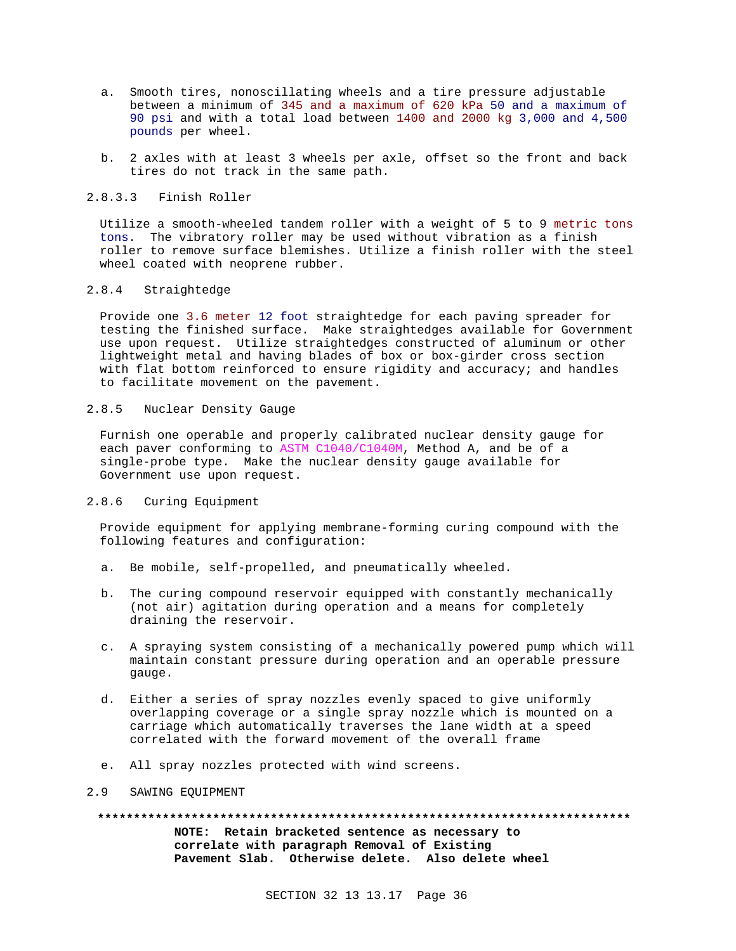- a. Smooth tires, nonoscillating wheels and a tire pressure adjustable between a minimum of 345 and a maximum of 620 kPa 50 and a maximum of 90 psi and with a total load between 1400 and 2000 kg 3,000 and 4,500 pounds per wheel.
- b. 2 axles with at least 3 wheels per axle, offset so the front and back tires do not track in the same path.

## 2.8.3.3 Finish Roller

Utilize a smooth-wheeled tandem roller with a weight of 5 to 9 metric tons tons. The vibratory roller may be used without vibration as a finish roller to remove surface blemishes. Utilize a finish roller with the steel wheel coated with neoprene rubber.

## 2.8.4 Straightedge

Provide one 3.6 meter 12 foot straightedge for each paving spreader for testing the finished surface. Make straightedges available for Government use upon request. Utilize straightedges constructed of aluminum or other lightweight metal and having blades of box or box-girder cross section with flat bottom reinforced to ensure rigidity and accuracy; and handles to facilitate movement on the pavement.

## 2.8.5 Nuclear Density Gauge

Furnish one operable and properly calibrated nuclear density gauge for each paver conforming to ASTM C1040/C1040M, Method A, and be of a single-probe type. Make the nuclear density gauge available for Government use upon request.

### 2.8.6 Curing Equipment

Provide equipment for applying membrane-forming curing compound with the following features and configuration:

- a. Be mobile, self-propelled, and pneumatically wheeled.
- b. The curing compound reservoir equipped with constantly mechanically (not air) agitation during operation and a means for completely draining the reservoir.
- c. A spraying system consisting of a mechanically powered pump which will maintain constant pressure during operation and an operable pressure gauge.
- d. Either a series of spray nozzles evenly spaced to give uniformly overlapping coverage or a single spray nozzle which is mounted on a carriage which automatically traverses the lane width at a speed correlated with the forward movement of the overall frame
- e. All spray nozzles protected with wind screens.

#### 2.9 SAWING EQUIPMENT

**\*\*\*\*\*\*\*\*\*\*\*\*\*\*\*\*\*\*\*\*\*\*\*\*\*\*\*\*\*\*\*\*\*\*\*\*\*\*\*\*\*\*\*\*\*\*\*\*\*\*\*\*\*\*\*\*\*\*\*\*\*\*\*\*\*\*\*\*\*\*\*\*\*\* NOTE: Retain bracketed sentence as necessary to correlate with paragraph Removal of Existing Pavement Slab. Otherwise delete. Also delete wheel**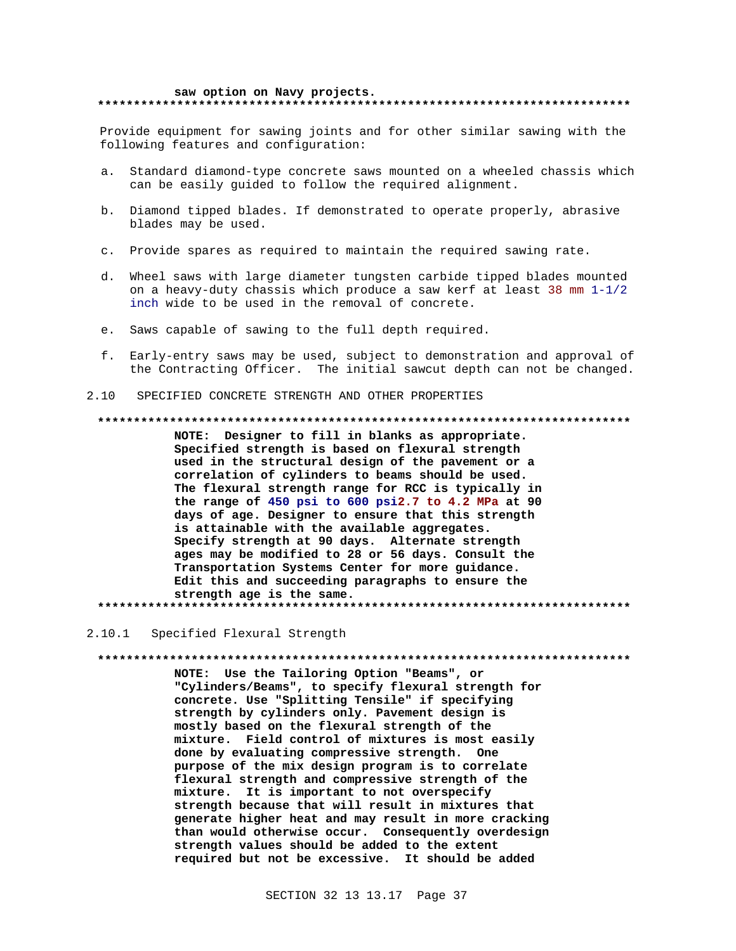#### saw option on Navy projects. \*\*\*\*\*\*\*\*\*\*\*\*\*\*\*\*\*\*\*\*\*\*\*\*\*\*\*\*\*\*\*\*\*\*\*

Provide equipment for sawing joints and for other similar sawing with the following features and configuration:

- Standard diamond-type concrete saws mounted on a wheeled chassis which  $\overline{a}$ can be easily guided to follow the required alignment.
- b. Diamond tipped blades. If demonstrated to operate properly, abrasive blades may be used.
- c. Provide spares as required to maintain the required sawing rate.
- d. Wheel saws with large diameter tungsten carbide tipped blades mounted on a heavy-duty chassis which produce a saw kerf at least 38 mm  $1-1/2$ inch wide to be used in the removal of concrete.
- e. Saws capable of sawing to the full depth required.
- f. Early-entry saws may be used, subject to demonstration and approval of the Contracting Officer. The initial sawcut depth can not be changed.

#### SPECIFIED CONCRETE STRENGTH AND OTHER PROPERTIES  $2.10$

#### 

NOTE: Designer to fill in blanks as appropriate. Specified strength is based on flexural strength used in the structural design of the pavement or a correlation of cylinders to beams should be used. The flexural strength range for RCC is typically in the range of 450 psi to 600 psi2.7 to 4.2 MPa at 90 days of age. Designer to ensure that this strength is attainable with the available aggregates. Specify strength at 90 days. Alternate strength ages may be modified to 28 or 56 days. Consult the Transportation Systems Center for more guidance. Edit this and succeeding paragraphs to ensure the strength age is the same. 

#### 2.10.1 Specified Flexural Strength

### 

NOTE: Use the Tailoring Option "Beams", or "Cylinders/Beams", to specify flexural strength for concrete. Use "Splitting Tensile" if specifying strength by cylinders only. Pavement design is mostly based on the flexural strength of the mixture. Field control of mixtures is most easily done by evaluating compressive strength. One purpose of the mix design program is to correlate flexural strength and compressive strength of the mixture. It is important to not overspecify strength because that will result in mixtures that generate higher heat and may result in more cracking than would otherwise occur. Consequently overdesign strength values should be added to the extent required but not be excessive. It should be added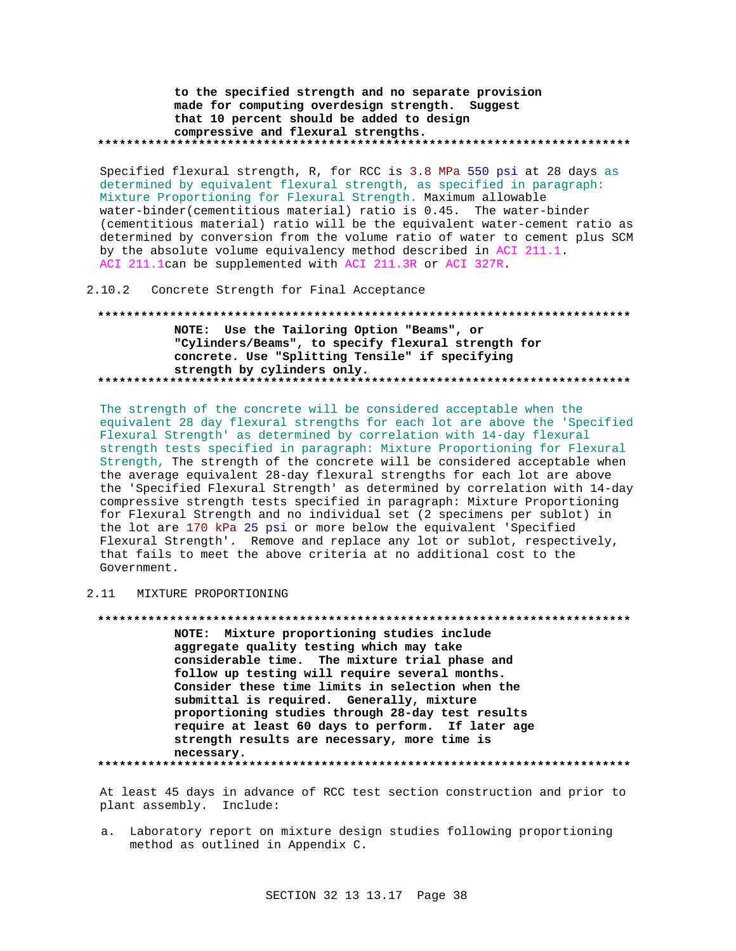to the specified strength and no separate provision made for computing overdesign strength. Suggest that 10 percent should be added to design compressive and flexural strengths. ........................

Specified flexural strength, R, for RCC is 3.8 MPa 550 psi at 28 days as determined by equivalent flexural strength, as specified in paragraph: Mixture Proportioning for Flexural Strength. Maximum allowable water-binder (cementitious material) ratio is 0.45. The water-binder (cementitious material) ratio will be the equivalent water-cement ratio as determined by conversion from the volume ratio of water to cement plus SCM by the absolute volume equivalency method described in ACI 211.1. ACI 211.1can be supplemented with ACI 211.3R or ACI 327R.

2.10.2 Concrete Strength for Final Acceptance

NOTE: Use the Tailoring Option "Beams", or "Cylinders/Beams", to specify flexural strength for concrete. Use "Splitting Tensile" if specifying strength by cylinders only. 

The strength of the concrete will be considered acceptable when the equivalent 28 day flexural strengths for each lot are above the 'Specified Flexural Strength' as determined by correlation with 14-day flexural strength tests specified in paragraph: Mixture Proportioning for Flexural Strength, The strength of the concrete will be considered acceptable when the average equivalent 28-day flexural strengths for each lot are above the 'Specified Flexural Strength' as determined by correlation with 14-day compressive strength tests specified in paragraph: Mixture Proportioning for Flexural Strength and no individual set (2 specimens per sublot) in the lot are 170 kPa 25 psi or more below the equivalent 'Specified Flexural Strength'. Remove and replace any lot or sublot, respectively, that fails to meet the above criteria at no additional cost to the Government.

## 2.11 MIXTURE PROPORTIONING

NOTE: Mixture proportioning studies include aggregate quality testing which may take considerable time. The mixture trial phase and follow up testing will require several months. Consider these time limits in selection when the submittal is required. Generally, mixture proportioning studies through 28-day test results require at least 60 days to perform. If later age strength results are necessary, more time is necessary. 

At least 45 days in advance of RCC test section construction and prior to plant assembly. Include:

a. Laboratory report on mixture design studies following proportioning method as outlined in Appendix C.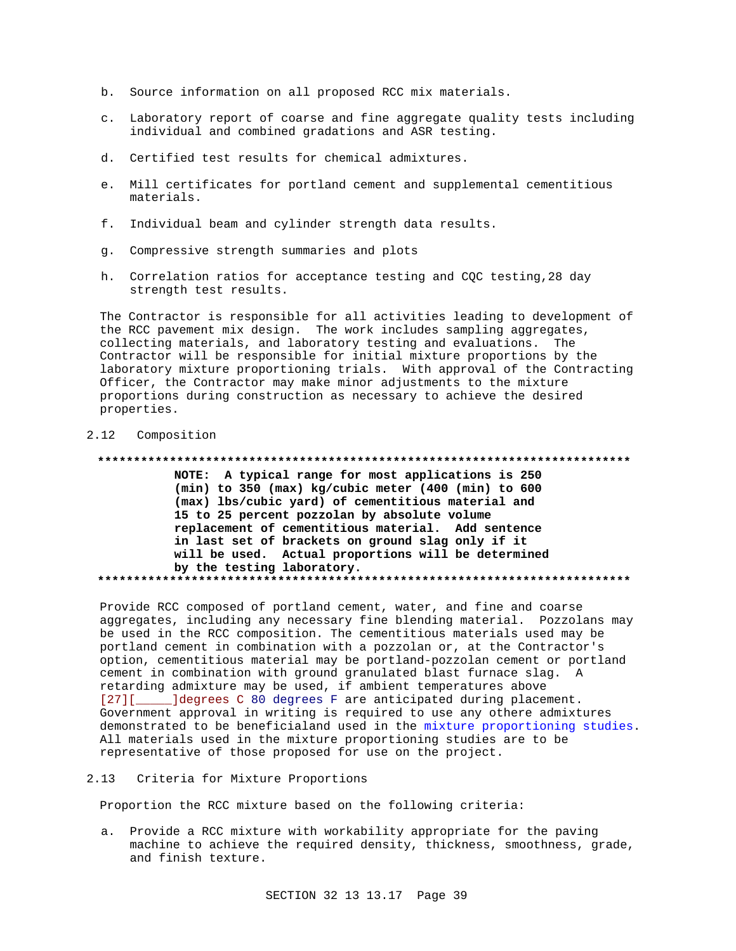- b. Source information on all proposed RCC mix materials.
- c. Laboratory report of coarse and fine aggregate quality tests including individual and combined gradations and ASR testing.
- d. Certified test results for chemical admixtures.
- e. Mill certificates for portland cement and supplemental cementitious materials.
- f. Individual beam and cylinder strength data results.
- g. Compressive strength summaries and plots
- h. Correlation ratios for acceptance testing and CQC testing, 28 day strength test results.

The Contractor is responsible for all activities leading to development of the RCC pavement mix design. The work includes sampling aggregates, collecting materials, and laboratory testing and evaluations. The Contractor will be responsible for initial mixture proportions by the laboratory mixture proportioning trials. With approval of the Contracting Officer, the Contractor may make minor adjustments to the mixture proportions during construction as necessary to achieve the desired properties.

### 2.12 Composition

#### 

NOTE: A typical range for most applications is 250 (min) to 350 (max) kg/cubic meter (400 (min) to 600 (max) lbs/cubic yard) of cementitious material and 15 to 25 percent pozzolan by absolute volume replacement of cementitious material. Add sentence in last set of brackets on ground slag only if it will be used. Actual proportions will be determined by the testing laboratory. 

Provide RCC composed of portland cement, water, and fine and coarse aggregates, including any necessary fine blending material. Pozzolans may be used in the RCC composition. The cementitious materials used may be portland cement in combination with a pozzolan or, at the Contractor's option, cementitious material may be portland-pozzolan cement or portland cement in combination with ground granulated blast furnace slag. A retarding admixture may be used, if ambient temperatures above [27][\_\_\_\_\_\_]degrees C 80 degrees F are anticipated during placement. Government approval in writing is required to use any othere admixtures demonstrated to be beneficialand used in the mixture proportioning studies. All materials used in the mixture proportioning studies are to be representative of those proposed for use on the project.

#### 2.13 Criteria for Mixture Proportions

Proportion the RCC mixture based on the following criteria:

a. Provide a RCC mixture with workability appropriate for the paving machine to achieve the required density, thickness, smoothness, grade, and finish texture.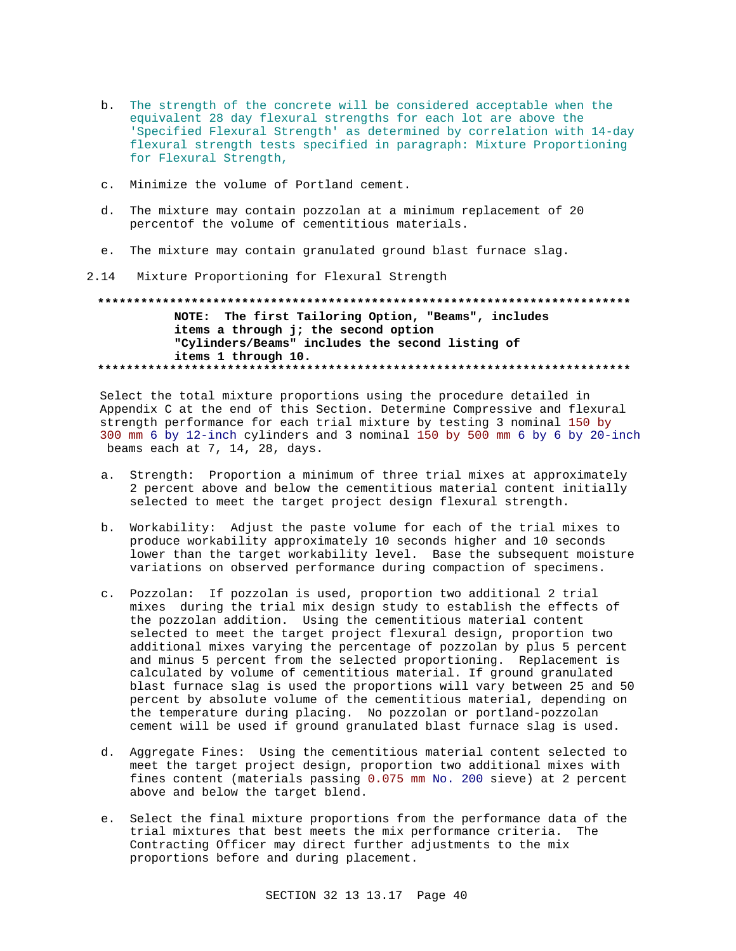- b. The strength of the concrete will be considered acceptable when the equivalent 28 day flexural strengths for each lot are above the 'Specified Flexural Strength' as determined by correlation with 14-day flexural strength tests specified in paragraph: Mixture Proportioning for Flexural Strength,
- c. Minimize the volume of Portland cement.
- d. The mixture may contain pozzolan at a minimum replacement of 20 percentof the volume of cementitious materials.
- e. The mixture may contain granulated ground blast furnace slag.
- 2.14 Mixture Proportioning for Flexural Strength

## NOTE: The first Tailoring Option, "Beams", includes items a through j; the second option "Cylinders/Beams" includes the second listing of items 1 through 10.

Select the total mixture proportions using the procedure detailed in Appendix C at the end of this Section. Determine Compressive and flexural strength performance for each trial mixture by testing 3 nominal 150 by 300 mm 6 by 12-inch cylinders and 3 nominal 150 by 500 mm 6 by 6 by 20-inch beams each at 7, 14, 28, days.

- Strength: Proportion a minimum of three trial mixes at approximately a. 2 percent above and below the cementitious material content initially selected to meet the target project design flexural strength.
- b. Workability: Adjust the paste volume for each of the trial mixes to produce workability approximately 10 seconds higher and 10 seconds lower than the target workability level. Base the subsequent moisture variations on observed performance during compaction of specimens.
- c. Pozzolan: If pozzolan is used, proportion two additional 2 trial mixes during the trial mix design study to establish the effects of the pozzolan addition. Using the cementitious material content selected to meet the target project flexural design, proportion two additional mixes varying the percentage of pozzolan by plus 5 percent and minus 5 percent from the selected proportioning. Replacement is calculated by volume of cementitious material. If ground granulated blast furnace slag is used the proportions will vary between 25 and 50 percent by absolute volume of the cementitious material, depending on the temperature during placing. No pozzolan or portland-pozzolan cement will be used if ground granulated blast furnace slag is used.
- d. Aggregate Fines: Using the cementitious material content selected to meet the target project design, proportion two additional mixes with fines content (materials passing 0.075 mm No. 200 sieve) at 2 percent above and below the target blend.
- e. Select the final mixture proportions from the performance data of the trial mixtures that best meets the mix performance criteria. The Contracting Officer may direct further adjustments to the mix proportions before and during placement.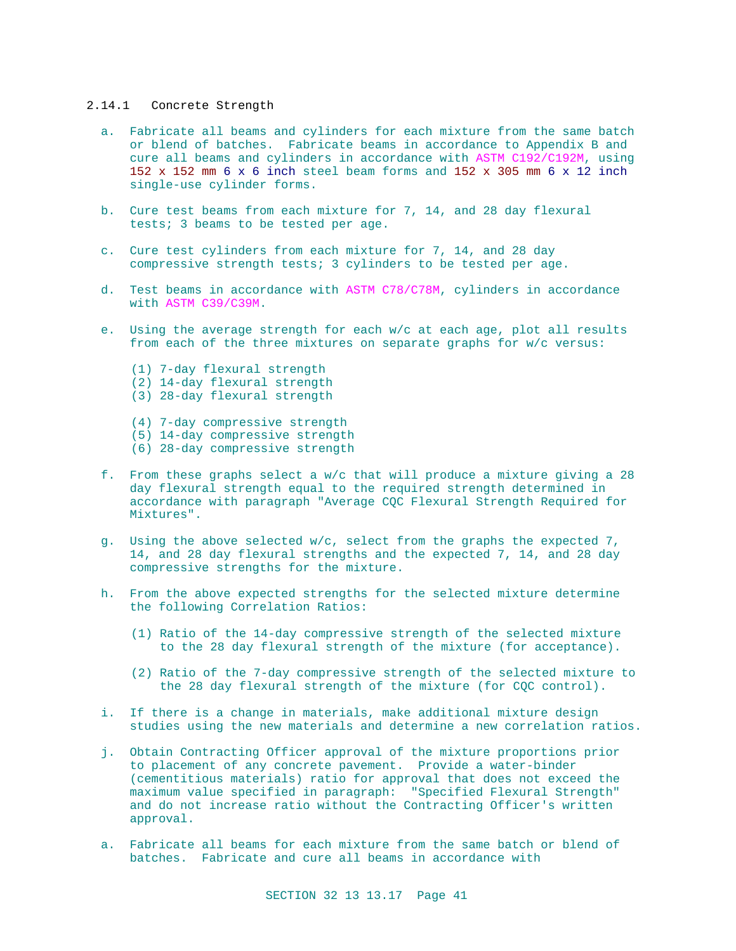#### 2.14.1 Concrete Strength

- a. Fabricate all beams and cylinders for each mixture from the same batch or blend of batches. Fabricate beams in accordance to Appendix B and cure all beams and cylinders in accordance with ASTM C192/C192M, using 152 x 152 mm 6 x 6 inch steel beam forms and 152 x 305 mm 6 x 12 inch single-use cylinder forms.
- b. Cure test beams from each mixture for 7, 14, and 28 day flexural tests; 3 beams to be tested per age.
- c. Cure test cylinders from each mixture for 7, 14, and 28 day compressive strength tests; 3 cylinders to be tested per age.
- d. Test beams in accordance with ASTM C78/C78M, cylinders in accordance with ASTM C39/C39M.
- e. Using the average strength for each w/c at each age, plot all results from each of the three mixtures on separate graphs for w/c versus:
	- (1) 7-day flexural strength
	- (2) 14-day flexural strength
	- (3) 28-day flexural strength
	- (4) 7-day compressive strength
	- (5) 14-day compressive strength
	- (6) 28-day compressive strength
- f. From these graphs select a w/c that will produce a mixture giving a 28 day flexural strength equal to the required strength determined in accordance with paragraph "Average CQC Flexural Strength Required for Mixtures".
- g. Using the above selected w/c, select from the graphs the expected 7, 14, and 28 day flexural strengths and the expected 7, 14, and 28 day compressive strengths for the mixture.
- h. From the above expected strengths for the selected mixture determine the following Correlation Ratios:
	- (1) Ratio of the 14-day compressive strength of the selected mixture to the 28 day flexural strength of the mixture (for acceptance).
	- (2) Ratio of the 7-day compressive strength of the selected mixture to the 28 day flexural strength of the mixture (for CQC control).
- i. If there is a change in materials, make additional mixture design studies using the new materials and determine a new correlation ratios.
- j. Obtain Contracting Officer approval of the mixture proportions prior to placement of any concrete pavement. Provide a water-binder (cementitious materials) ratio for approval that does not exceed the maximum value specified in paragraph: "Specified Flexural Strength" and do not increase ratio without the Contracting Officer's written approval.
- a. Fabricate all beams for each mixture from the same batch or blend of batches. Fabricate and cure all beams in accordance with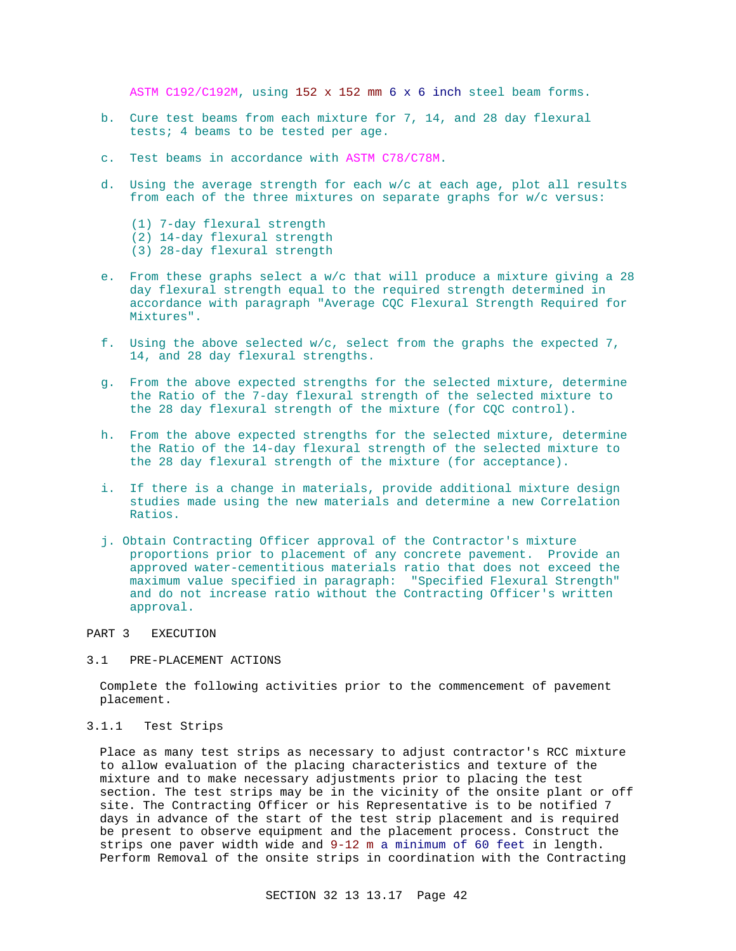ASTM C192/C192M, using 152 x 152 mm 6 x 6 inch steel beam forms.

- b. Cure test beams from each mixture for 7, 14, and 28 day flexural tests; 4 beams to be tested per age.
- c. Test beams in accordance with ASTM C78/C78M.
- d. Using the average strength for each w/c at each age, plot all results from each of the three mixtures on separate graphs for w/c versus:
	- (1) 7-day flexural strength (2) 14-day flexural strength (3) 28-day flexural strength
- e. From these graphs select a w/c that will produce a mixture giving a 28 day flexural strength equal to the required strength determined in accordance with paragraph "Average CQC Flexural Strength Required for Mixtures".
- f. Using the above selected w/c, select from the graphs the expected 7, 14, and 28 day flexural strengths.
- g. From the above expected strengths for the selected mixture, determine the Ratio of the 7-day flexural strength of the selected mixture to the 28 day flexural strength of the mixture (for CQC control).
- h. From the above expected strengths for the selected mixture, determine the Ratio of the 14-day flexural strength of the selected mixture to the 28 day flexural strength of the mixture (for acceptance).
- i. If there is a change in materials, provide additional mixture design studies made using the new materials and determine a new Correlation Ratios.
- j. Obtain Contracting Officer approval of the Contractor's mixture proportions prior to placement of any concrete pavement. Provide an approved water-cementitious materials ratio that does not exceed the maximum value specified in paragraph: "Specified Flexural Strength" and do not increase ratio without the Contracting Officer's written approval.

### PART 3 EXECUTION

### 3.1 PRE-PLACEMENT ACTIONS

Complete the following activities prior to the commencement of pavement placement.

#### 3.1.1 Test Strips

Place as many test strips as necessary to adjust contractor's RCC mixture to allow evaluation of the placing characteristics and texture of the mixture and to make necessary adjustments prior to placing the test section. The test strips may be in the vicinity of the onsite plant or off site. The Contracting Officer or his Representative is to be notified 7 days in advance of the start of the test strip placement and is required be present to observe equipment and the placement process. Construct the strips one paver width wide and 9-12 m a minimum of 60 feet in length. Perform Removal of the onsite strips in coordination with the Contracting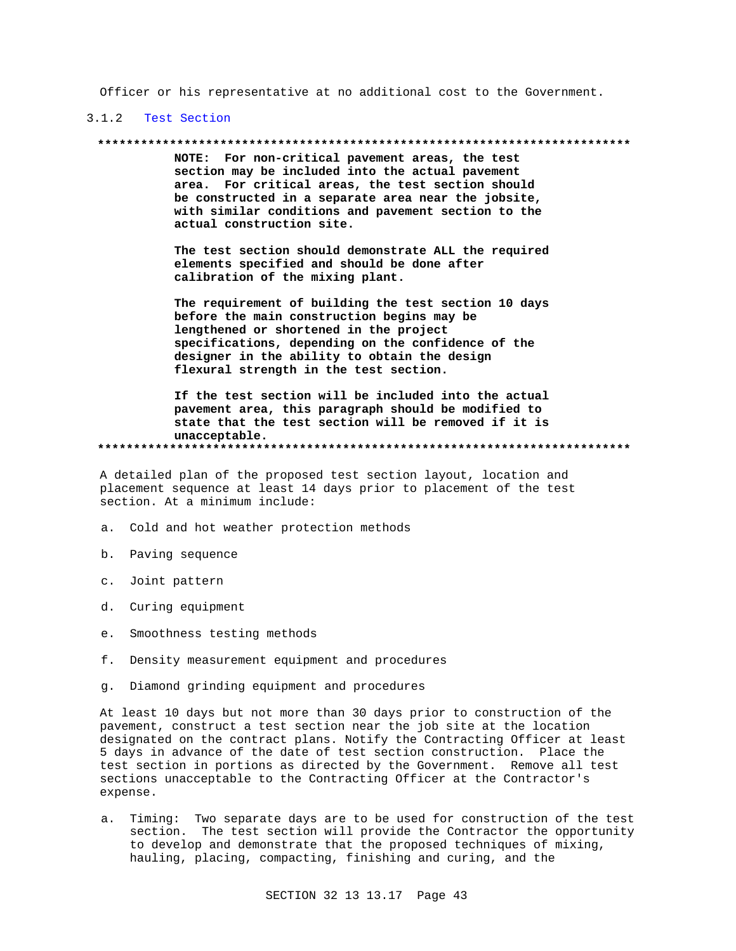Officer or his representative at no additional cost to the Government.

## 3.1.2 Test Section

#### 

NOTE: For non-critical pavement areas, the test section may be included into the actual pavement area. For critical areas, the test section should be constructed in a separate area near the jobsite, with similar conditions and pavement section to the actual construction site.

The test section should demonstrate ALL the required elements specified and should be done after calibration of the mixing plant.

The requirement of building the test section 10 days before the main construction begins may be lengthened or shortened in the project specifications, depending on the confidence of the designer in the ability to obtain the design flexural strength in the test section.

If the test section will be included into the actual pavement area, this paragraph should be modified to state that the test section will be removed if it is unacceptable. 

A detailed plan of the proposed test section layout, location and placement sequence at least 14 days prior to placement of the test section. At a minimum include:

- a. Cold and hot weather protection methods
- b. Paving sequence
- c. Joint pattern
- d. Curing equipment
- e. Smoothness testing methods
- f. Density measurement equipment and procedures
- g. Diamond grinding equipment and procedures

At least 10 days but not more than 30 days prior to construction of the pavement, construct a test section near the job site at the location designated on the contract plans. Notify the Contracting Officer at least 5 days in advance of the date of test section construction. Place the test section in portions as directed by the Government. Remove all test sections unacceptable to the Contracting Officer at the Contractor's expense.

a. Timing: Two separate days are to be used for construction of the test section. The test section will provide the Contractor the opportunity to develop and demonstrate that the proposed techniques of mixing, hauling, placing, compacting, finishing and curing, and the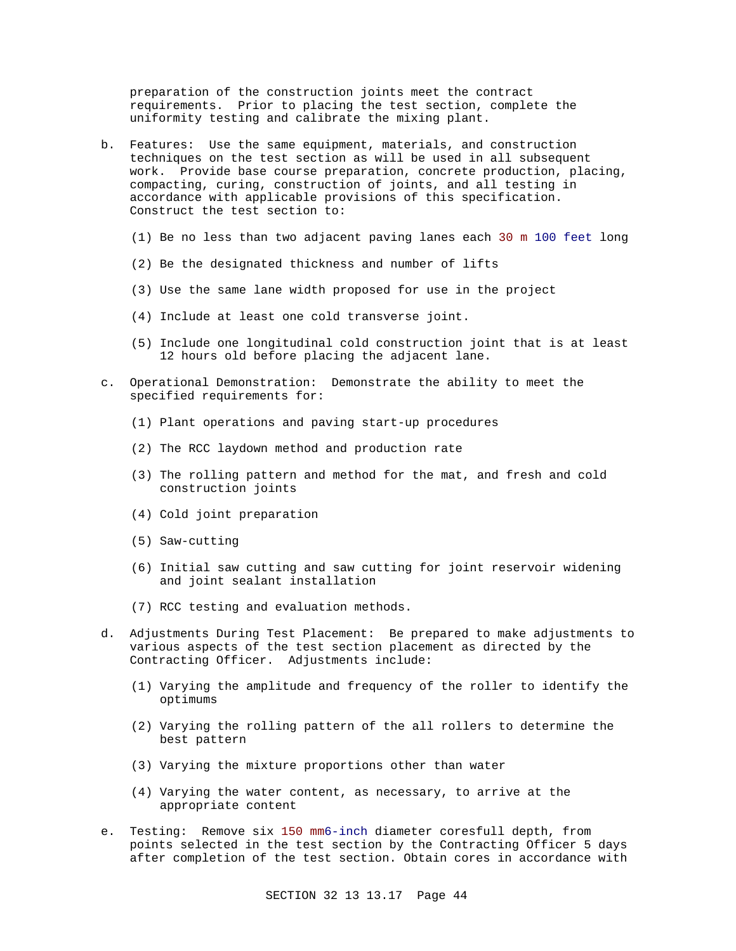preparation of the construction joints meet the contract requirements. Prior to placing the test section, complete the uniformity testing and calibrate the mixing plant.

- b. Features: Use the same equipment, materials, and construction techniques on the test section as will be used in all subsequent work. Provide base course preparation, concrete production, placing, compacting, curing, construction of joints, and all testing in accordance with applicable provisions of this specification. Construct the test section to:
	- (1) Be no less than two adjacent paving lanes each 30 m 100 feet long
	- (2) Be the designated thickness and number of lifts
	- (3) Use the same lane width proposed for use in the project
	- (4) Include at least one cold transverse joint.
	- (5) Include one longitudinal cold construction joint that is at least 12 hours old before placing the adjacent lane.
- c. Operational Demonstration: Demonstrate the ability to meet the specified requirements for:
	- (1) Plant operations and paving start-up procedures
	- (2) The RCC laydown method and production rate
	- (3) The rolling pattern and method for the mat, and fresh and cold construction joints
	- (4) Cold joint preparation
	- (5) Saw-cutting
	- (6) Initial saw cutting and saw cutting for joint reservoir widening and joint sealant installation
	- (7) RCC testing and evaluation methods.
- d. Adjustments During Test Placement: Be prepared to make adjustments to various aspects of the test section placement as directed by the Contracting Officer. Adjustments include:
	- (1) Varying the amplitude and frequency of the roller to identify the optimums
	- (2) Varying the rolling pattern of the all rollers to determine the best pattern
	- (3) Varying the mixture proportions other than water
	- (4) Varying the water content, as necessary, to arrive at the appropriate content
- e. Testing: Remove six 150 mm6-inch diameter coresfull depth, from points selected in the test section by the Contracting Officer 5 days after completion of the test section. Obtain cores in accordance with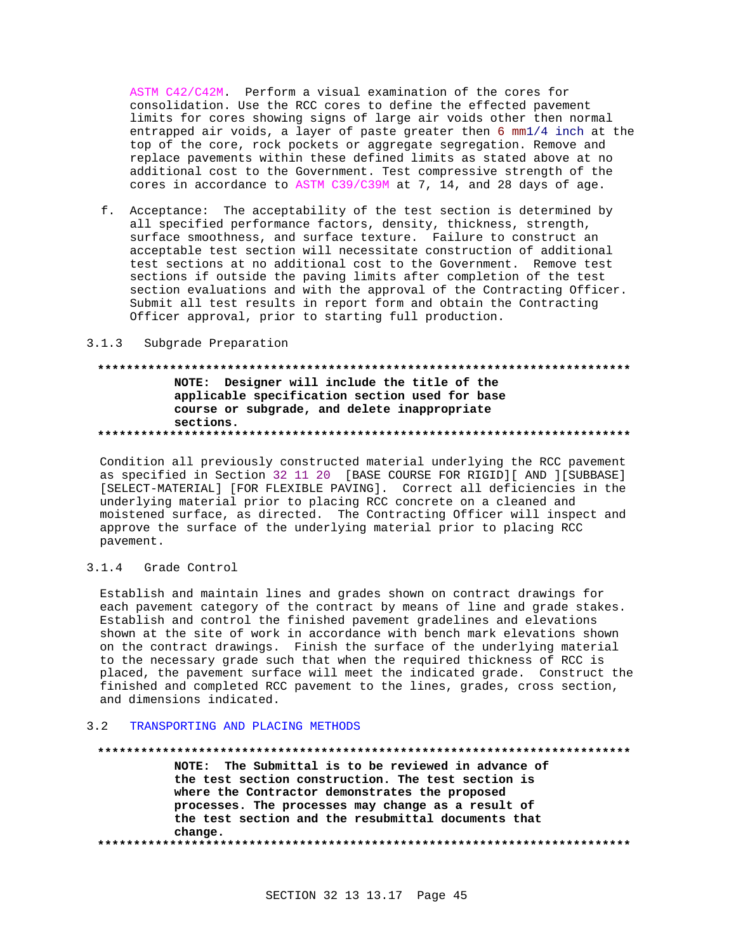ASTM C42/C42M. Perform a visual examination of the cores for consolidation. Use the RCC cores to define the effected pavement limits for cores showing signs of large air voids other then normal entrapped air voids, a layer of paste greater then 6 mm1/4 inch at the top of the core, rock pockets or aggregate segregation. Remove and replace pavements within these defined limits as stated above at no additional cost to the Government. Test compressive strength of the cores in accordance to ASTM C39/C39M at 7, 14, and 28 days of age.

f. Acceptance: The acceptability of the test section is determined by all specified performance factors, density, thickness, strength, surface smoothness, and surface texture. Failure to construct an acceptable test section will necessitate construction of additional test sections at no additional cost to the Government. Remove test sections if outside the paving limits after completion of the test section evaluations and with the approval of the Contracting Officer. Submit all test results in report form and obtain the Contracting Officer approval, prior to starting full production.

### 3.1.3 Subgrade Preparation

## NOTE: Designer will include the title of the applicable specification section used for base course or subgrade, and delete inappropriate sections.

Condition all previously constructed material underlying the RCC pavement as specified in Section 32 11 20 [BASE COURSE FOR RIGID][ AND ][SUBBASE] [SELECT-MATERIAL] [FOR FLEXIBLE PAVING]. Correct all deficiencies in the underlying material prior to placing RCC concrete on a cleaned and moistened surface, as directed. The Contracting Officer will inspect and approve the surface of the underlying material prior to placing RCC pavement.

#### $3.1.4$ Grade Control

Establish and maintain lines and grades shown on contract drawings for each pavement category of the contract by means of line and grade stakes. Establish and control the finished pavement gradelines and elevations shown at the site of work in accordance with bench mark elevations shown on the contract drawings. Finish the surface of the underlying material to the necessary grade such that when the required thickness of RCC is placed, the pavement surface will meet the indicated grade. Construct the finished and completed RCC pavement to the lines, grades, cross section, and dimensions indicated.

#### TRANSPORTING AND PLACING METHODS  $3<sub>2</sub>$

#### 

NOTE: The Submittal is to be reviewed in advance of the test section construction. The test section is where the Contractor demonstrates the proposed processes. The processes may change as a result of the test section and the resubmittal documents that change.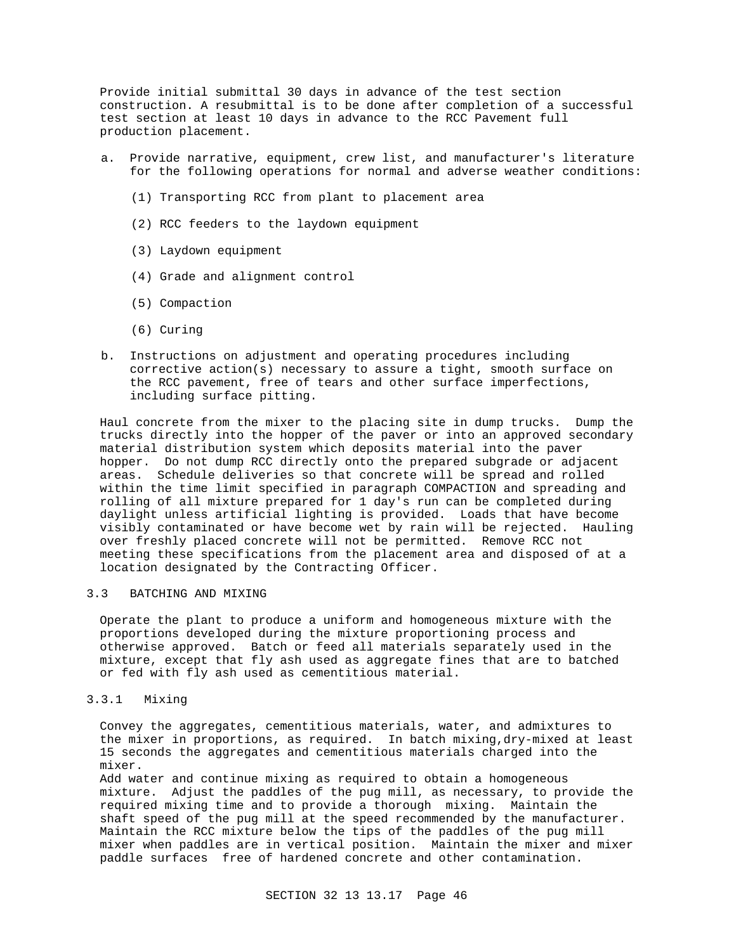Provide initial submittal 30 days in advance of the test section construction. A resubmittal is to be done after completion of a successful test section at least 10 days in advance to the RCC Pavement full production placement.

- a. Provide narrative, equipment, crew list, and manufacturer's literature for the following operations for normal and adverse weather conditions:
	- (1) Transporting RCC from plant to placement area
	- (2) RCC feeders to the laydown equipment
	- (3) Laydown equipment
	- (4) Grade and alignment control
	- (5) Compaction
	- (6) Curing
- b. Instructions on adjustment and operating procedures including corrective action(s) necessary to assure a tight, smooth surface on the RCC pavement, free of tears and other surface imperfections, including surface pitting.

Haul concrete from the mixer to the placing site in dump trucks. Dump the trucks directly into the hopper of the paver or into an approved secondary material distribution system which deposits material into the paver hopper. Do not dump RCC directly onto the prepared subgrade or adjacent areas. Schedule deliveries so that concrete will be spread and rolled within the time limit specified in paragraph COMPACTION and spreading and rolling of all mixture prepared for 1 day's run can be completed during daylight unless artificial lighting is provided. Loads that have become visibly contaminated or have become wet by rain will be rejected. Hauling over freshly placed concrete will not be permitted. Remove RCC not meeting these specifications from the placement area and disposed of at a location designated by the Contracting Officer.

## 3.3 BATCHING AND MIXING

Operate the plant to produce a uniform and homogeneous mixture with the proportions developed during the mixture proportioning process and otherwise approved. Batch or feed all materials separately used in the mixture, except that fly ash used as aggregate fines that are to batched or fed with fly ash used as cementitious material.

#### 3.3.1 Mixing

Convey the aggregates, cementitious materials, water, and admixtures to the mixer in proportions, as required. In batch mixing,dry-mixed at least 15 seconds the aggregates and cementitious materials charged into the mixer.

Add water and continue mixing as required to obtain a homogeneous mixture. Adjust the paddles of the pug mill, as necessary, to provide the required mixing time and to provide a thorough mixing. Maintain the shaft speed of the pug mill at the speed recommended by the manufacturer. Maintain the RCC mixture below the tips of the paddles of the pug mill mixer when paddles are in vertical position. Maintain the mixer and mixer paddle surfaces free of hardened concrete and other contamination.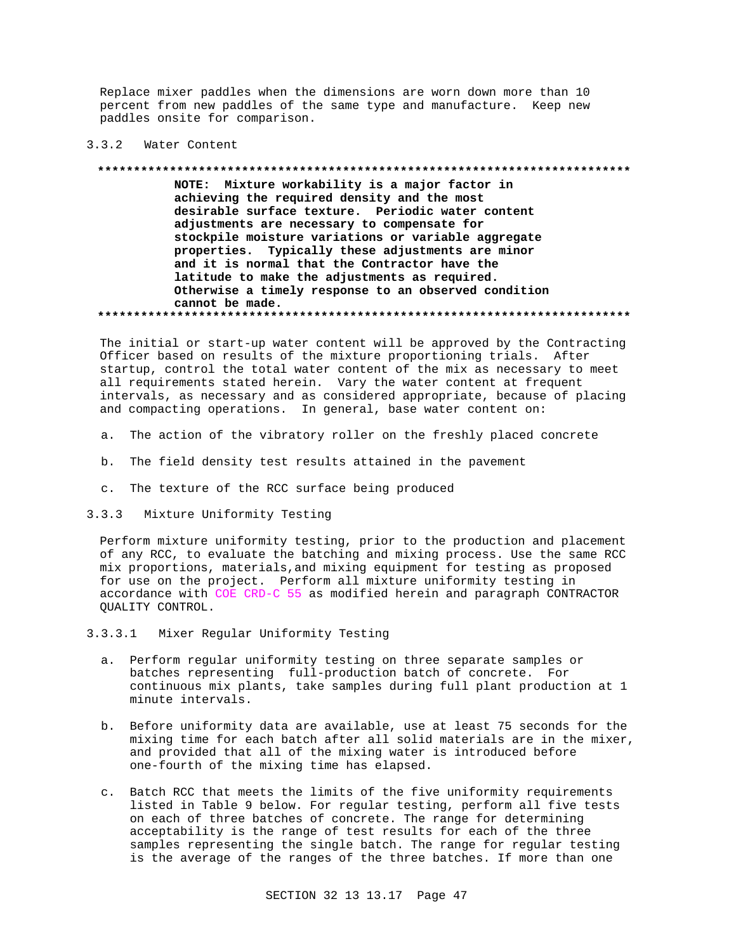Replace mixer paddles when the dimensions are worn down more than 10 percent from new paddles of the same type and manufacture. Keep new paddles onsite for comparison.

#### $3.3.2$ Water Content

#### \*\*\*\*\*\*\*\*\*\*\*\*\*\*\*\*\*

NOTE: Mixture workability is a major factor in achieving the required density and the most desirable surface texture. Periodic water content adjustments are necessary to compensate for stockpile moisture variations or variable aggregate properties. Typically these adjustments are minor and it is normal that the Contractor have the latitude to make the adjustments as required. Otherwise a timely response to an observed condition cannot be made.

The initial or start-up water content will be approved by the Contracting Officer based on results of the mixture proportioning trials. After startup, control the total water content of the mix as necessary to meet all requirements stated herein. Vary the water content at frequent intervals, as necessary and as considered appropriate, because of placing and compacting operations. In general, base water content on:

- a. The action of the vibratory roller on the freshly placed concrete
- b. The field density test results attained in the pavement
- c. The texture of the RCC surface being produced

#### $3.3.3$ Mixture Uniformity Testing

Perform mixture uniformity testing, prior to the production and placement of any RCC, to evaluate the batching and mixing process. Use the same RCC mix proportions, materials, and mixing equipment for testing as proposed for use on the project. Perform all mixture uniformity testing in accordance with COE CRD-C 55 as modified herein and paragraph CONTRACTOR QUALITY CONTROL.

#### $3.3.3.1$ Mixer Regular Uniformity Testing

- a. Perform regular uniformity testing on three separate samples or batches representing full-production batch of concrete. For continuous mix plants, take samples during full plant production at 1 minute intervals.
- b. Before uniformity data are available, use at least 75 seconds for the mixing time for each batch after all solid materials are in the mixer, and provided that all of the mixing water is introduced before one-fourth of the mixing time has elapsed.
- c. Batch RCC that meets the limits of the five uniformity requirements listed in Table 9 below. For regular testing, perform all five tests on each of three batches of concrete. The range for determining acceptability is the range of test results for each of the three samples representing the single batch. The range for regular testing is the average of the ranges of the three batches. If more than one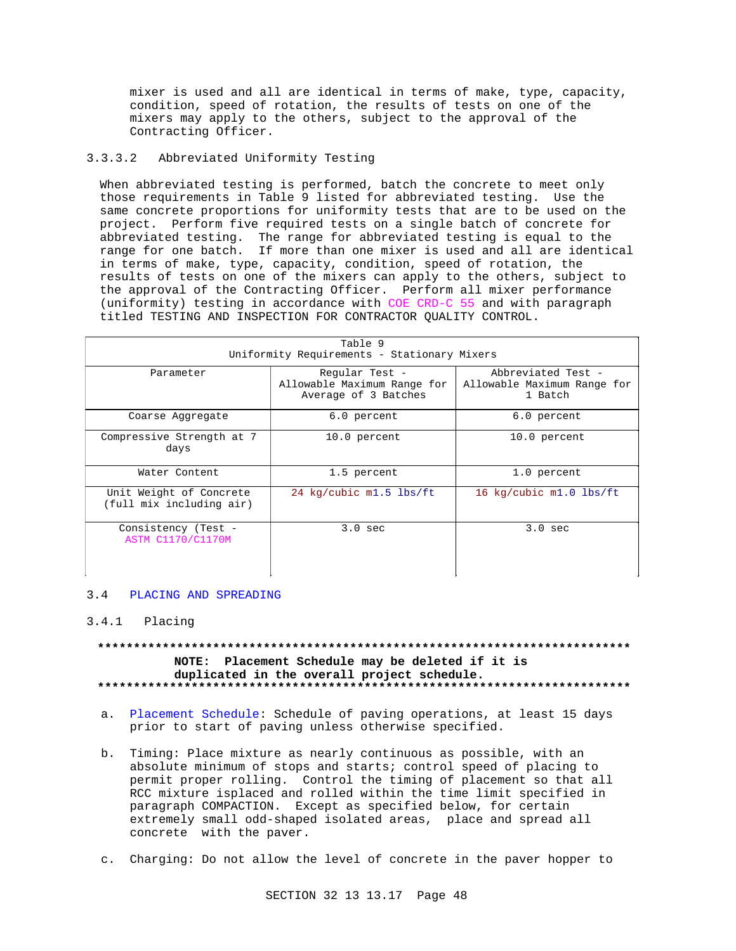mixer is used and all are identical in terms of make, type, capacity, condition, speed of rotation, the results of tests on one of the mixers may apply to the others, subject to the approval of the Contracting Officer.

#### $3.3.3.2$ Abbreviated Uniformity Testing

When abbreviated testing is performed, batch the concrete to meet only those requirements in Table 9 listed for abbreviated testing. Use the same concrete proportions for uniformity tests that are to be used on the project. Perform five required tests on a single batch of concrete for abbreviated testing. The range for abbreviated testing is equal to the range for one batch. If more than one mixer is used and all are identical in terms of make, type, capacity, condition, speed of rotation, the results of tests on one of the mixers can apply to the others, subject to the approval of the Contracting Officer. Perform all mixer performance (uniformity) testing in accordance with COE CRD-C 55 and with paragraph titled TESTING AND INSPECTION FOR CONTRACTOR QUALITY CONTROL.

| Table 9<br>Uniformity Requirements - Stationary Mixers |                                                                       |                                                              |  |
|--------------------------------------------------------|-----------------------------------------------------------------------|--------------------------------------------------------------|--|
| Parameter                                              | Regular Test -<br>Allowable Maximum Range for<br>Average of 3 Batches | Abbreviated Test -<br>Allowable Maximum Range for<br>1 Batch |  |
| Coarse Aggregate                                       | 6.0 percent                                                           | 6.0 percent                                                  |  |
| Compressive Strength at 7<br>days                      | 10.0 percent                                                          | 10.0 percent                                                 |  |
| Water Content                                          | 1.5 percent                                                           | 1.0 percent                                                  |  |
| Unit Weight of Concrete<br>(full mix including air)    | 24 kg/cubic m1.5 lbs/ft                                               | 16 kg/cubic m1.0 lbs/ft                                      |  |
| Consistency (Test -<br><b>ASTM C1170/C1170M</b>        | $3.0$ sec                                                             | $3.0$ sec                                                    |  |

#### 3.4 PLACING AND SPREADING

## $3.4.1$  Placing

## NOTE: Placement Schedule may be deleted if it is duplicated in the overall project schedule.

- a. Placement Schedule: Schedule of paving operations, at least 15 days prior to start of paving unless otherwise specified.
- b. Timing: Place mixture as nearly continuous as possible, with an absolute minimum of stops and starts; control speed of placing to permit proper rolling. Control the timing of placement so that all RCC mixture isplaced and rolled within the time limit specified in paragraph COMPACTION. Except as specified below, for certain extremely small odd-shaped isolated areas, place and spread all concrete with the paver.
- c. Charging: Do not allow the level of concrete in the paver hopper to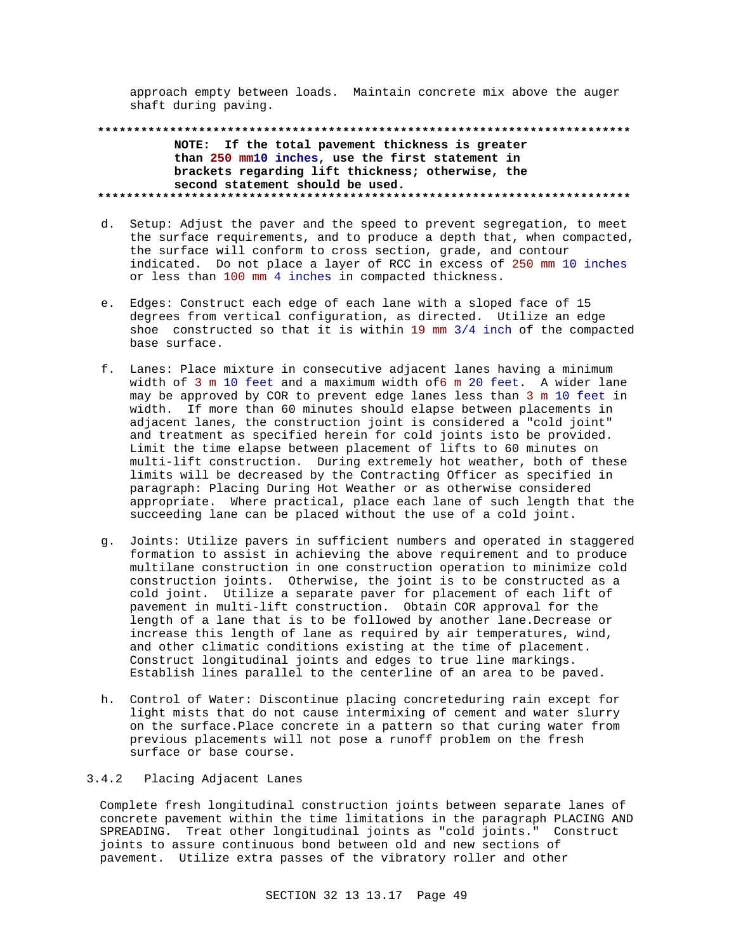approach empty between loads. Maintain concrete mix above the auger shaft during paving.

**\*\*\*\*\*\*\*\*\*\*\*\*\*\*\*\*\*\*\*\*\*\*\*\*\*\*\*\*\*\*\*\*\*\*\*\*\*\*\*\*\*\*\*\*\*\*\*\*\*\*\*\*\*\*\*\*\*\*\*\*\*\*\*\*\*\*\*\*\*\*\*\*\*\* NOTE: If the total pavement thickness is greater than 250 mm10 inches, use the first statement in brackets regarding lift thickness; otherwise, the second statement should be used. \*\*\*\*\*\*\*\*\*\*\*\*\*\*\*\*\*\*\*\*\*\*\*\*\*\*\*\*\*\*\*\*\*\*\*\*\*\*\*\*\*\*\*\*\*\*\*\*\*\*\*\*\*\*\*\*\*\*\*\*\*\*\*\*\*\*\*\*\*\*\*\*\*\***

- d. Setup: Adjust the paver and the speed to prevent segregation, to meet the surface requirements, and to produce a depth that, when compacted, the surface will conform to cross section, grade, and contour indicated. Do not place a layer of RCC in excess of 250 mm 10 inches or less than 100 mm 4 inches in compacted thickness.
- e. Edges: Construct each edge of each lane with a sloped face of 15 degrees from vertical configuration, as directed. Utilize an edge shoe constructed so that it is within 19 mm 3/4 inch of the compacted base surface.
- f. Lanes: Place mixture in consecutive adjacent lanes having a minimum width of 3 m 10 feet and a maximum width of6 m 20 feet. A wider lane may be approved by COR to prevent edge lanes less than 3 m 10 feet in width. If more than 60 minutes should elapse between placements in adjacent lanes, the construction joint is considered a "cold joint" and treatment as specified herein for cold joints isto be provided. Limit the time elapse between placement of lifts to 60 minutes on multi-lift construction. During extremely hot weather, both of these limits will be decreased by the Contracting Officer as specified in paragraph: Placing During Hot Weather or as otherwise considered appropriate. Where practical, place each lane of such length that the succeeding lane can be placed without the use of a cold joint.
- g. Joints: Utilize pavers in sufficient numbers and operated in staggered formation to assist in achieving the above requirement and to produce multilane construction in one construction operation to minimize cold construction joints. Otherwise, the joint is to be constructed as a cold joint. Utilize a separate paver for placement of each lift of pavement in multi-lift construction. Obtain COR approval for the length of a lane that is to be followed by another lane. Decrease or increase this length of lane as required by air temperatures, wind, and other climatic conditions existing at the time of placement. Construct longitudinal joints and edges to true line markings. Establish lines parallel to the centerline of an area to be paved.
- h. Control of Water: Discontinue placing concreteduring rain except for light mists that do not cause intermixing of cement and water slurry on the surface.Place concrete in a pattern so that curing water from previous placements will not pose a runoff problem on the fresh surface or base course.

### 3.4.2 Placing Adjacent Lanes

Complete fresh longitudinal construction joints between separate lanes of concrete pavement within the time limitations in the paragraph PLACING AND SPREADING. Treat other longitudinal joints as "cold joints." Construct joints to assure continuous bond between old and new sections of pavement. Utilize extra passes of the vibratory roller and other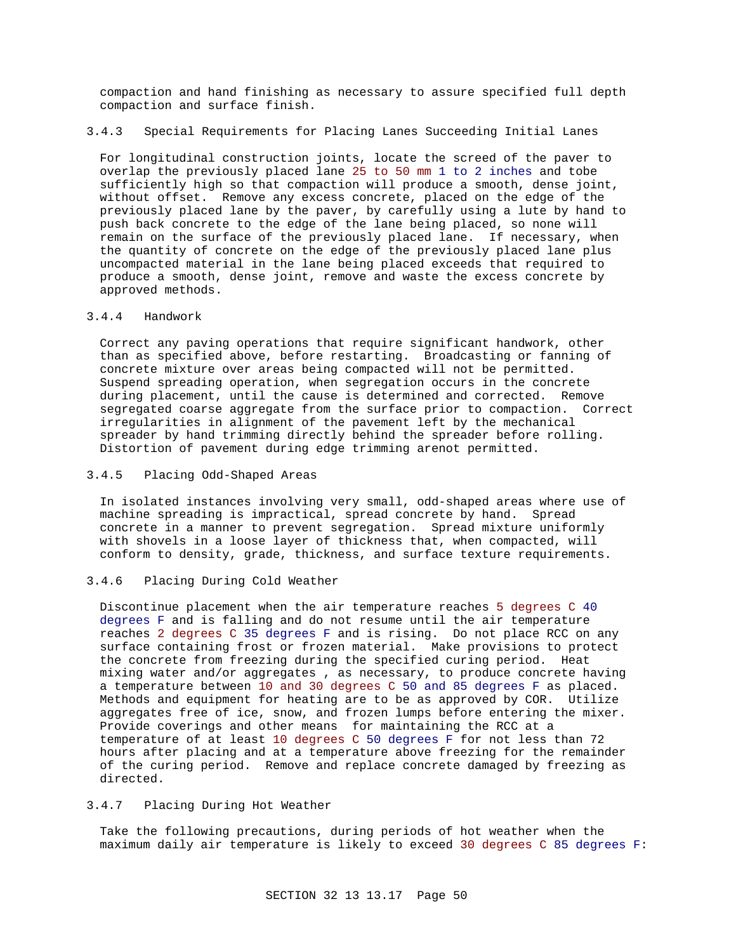compaction and hand finishing as necessary to assure specified full depth compaction and surface finish.

## 3.4.3 Special Requirements for Placing Lanes Succeeding Initial Lanes

For longitudinal construction joints, locate the screed of the paver to overlap the previously placed lane 25 to 50 mm 1 to 2 inches and tobe sufficiently high so that compaction will produce a smooth, dense joint, without offset. Remove any excess concrete, placed on the edge of the previously placed lane by the paver, by carefully using a lute by hand to push back concrete to the edge of the lane being placed, so none will remain on the surface of the previously placed lane. If necessary, when the quantity of concrete on the edge of the previously placed lane plus uncompacted material in the lane being placed exceeds that required to produce a smooth, dense joint, remove and waste the excess concrete by approved methods.

#### 3.4.4 Handwork

Correct any paving operations that require significant handwork, other than as specified above, before restarting. Broadcasting or fanning of concrete mixture over areas being compacted will not be permitted. Suspend spreading operation, when segregation occurs in the concrete during placement, until the cause is determined and corrected. Remove segregated coarse aggregate from the surface prior to compaction. Correct irregularities in alignment of the pavement left by the mechanical spreader by hand trimming directly behind the spreader before rolling. Distortion of pavement during edge trimming arenot permitted.

## 3.4.5 Placing Odd-Shaped Areas

In isolated instances involving very small, odd-shaped areas where use of machine spreading is impractical, spread concrete by hand. Spread concrete in a manner to prevent segregation. Spread mixture uniformly with shovels in a loose layer of thickness that, when compacted, will conform to density, grade, thickness, and surface texture requirements.

#### 3.4.6 Placing During Cold Weather

Discontinue placement when the air temperature reaches 5 degrees C 40 degrees F and is falling and do not resume until the air temperature reaches 2 degrees C 35 degrees F and is rising. Do not place RCC on any surface containing frost or frozen material. Make provisions to protect the concrete from freezing during the specified curing period. Heat mixing water and/or aggregates , as necessary, to produce concrete having a temperature between 10 and 30 degrees C 50 and 85 degrees F as placed. Methods and equipment for heating are to be as approved by COR. Utilize aggregates free of ice, snow, and frozen lumps before entering the mixer. Provide coverings and other means for maintaining the RCC at a temperature of at least 10 degrees C 50 degrees F for not less than 72 hours after placing and at a temperature above freezing for the remainder of the curing period. Remove and replace concrete damaged by freezing as directed.

## 3.4.7 Placing During Hot Weather

Take the following precautions, during periods of hot weather when the maximum daily air temperature is likely to exceed 30 degrees C 85 degrees F: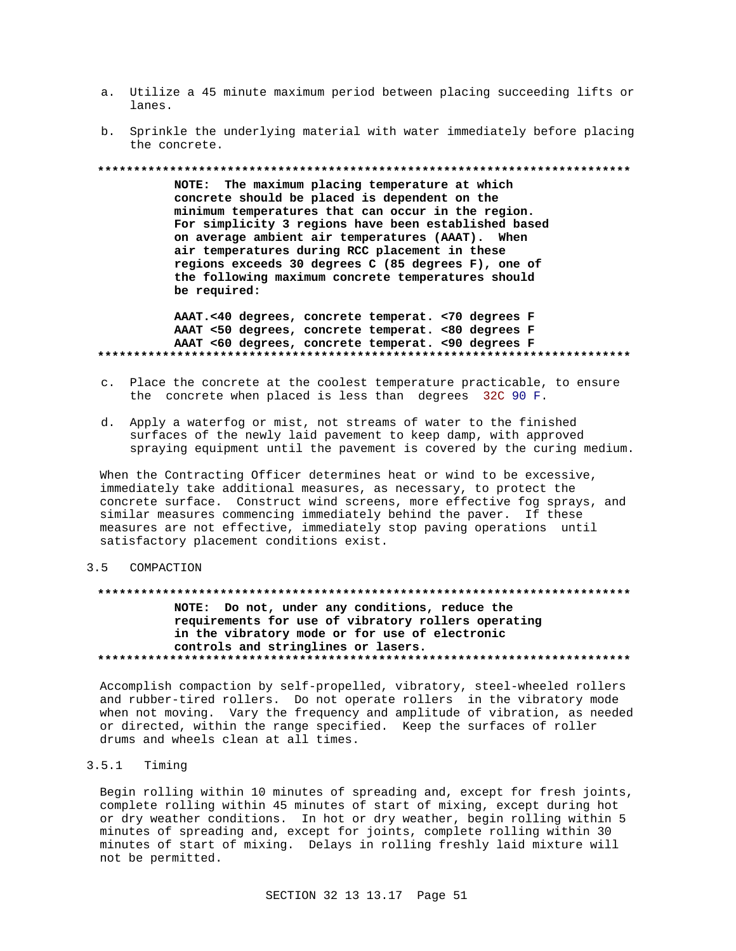- a. Utilize a 45 minute maximum period between placing succeeding lifts or lanes.
- b. Sprinkle the underlying material with water immediately before placing the concrete.

#### 

NOTE: The maximum placing temperature at which concrete should be placed is dependent on the minimum temperatures that can occur in the region. For simplicity 3 regions have been established based on average ambient air temperatures (AAAT). When air temperatures during RCC placement in these regions exceeds 30 degrees C (85 degrees F), one of the following maximum concrete temperatures should be required:

AAAT.<40 degrees, concrete temperat. < 70 degrees F AAAT <50 degrees, concrete temperat. <80 degrees F AAAT <60 degrees, concrete temperat. < 90 degrees F 

- c. Place the concrete at the coolest temperature practicable, to ensure the concrete when placed is less than degrees 32C 90 F.
- d. Apply a waterfog or mist, not streams of water to the finished surfaces of the newly laid pavement to keep damp, with approved spraying equipment until the pavement is covered by the curing medium.

When the Contracting Officer determines heat or wind to be excessive, immediately take additional measures, as necessary, to protect the concrete surface. Construct wind screens, more effective fog sprays, and similar measures commencing immediately behind the paver. If these measures are not effective, immediately stop paving operations until satisfactory placement conditions exist.

#### $3.5$ COMPACTION

## NOTE: Do not, under any conditions, reduce the requirements for use of vibratory rollers operating in the vibratory mode or for use of electronic controls and stringlines or lasers.

Accomplish compaction by self-propelled, vibratory, steel-wheeled rollers and rubber-tired rollers. Do not operate rollers in the vibratory mode when not moving. Vary the frequency and amplitude of vibration, as needed or directed, within the range specified. Keep the surfaces of roller drums and wheels clean at all times.

#### $3.5.1$ Timing

Begin rolling within 10 minutes of spreading and, except for fresh joints, complete rolling within 45 minutes of start of mixing, except during hot or dry weather conditions. In hot or dry weather, begin rolling within 5 minutes of spreading and, except for joints, complete rolling within 30 minutes of start of mixing. Delays in rolling freshly laid mixture will not be permitted.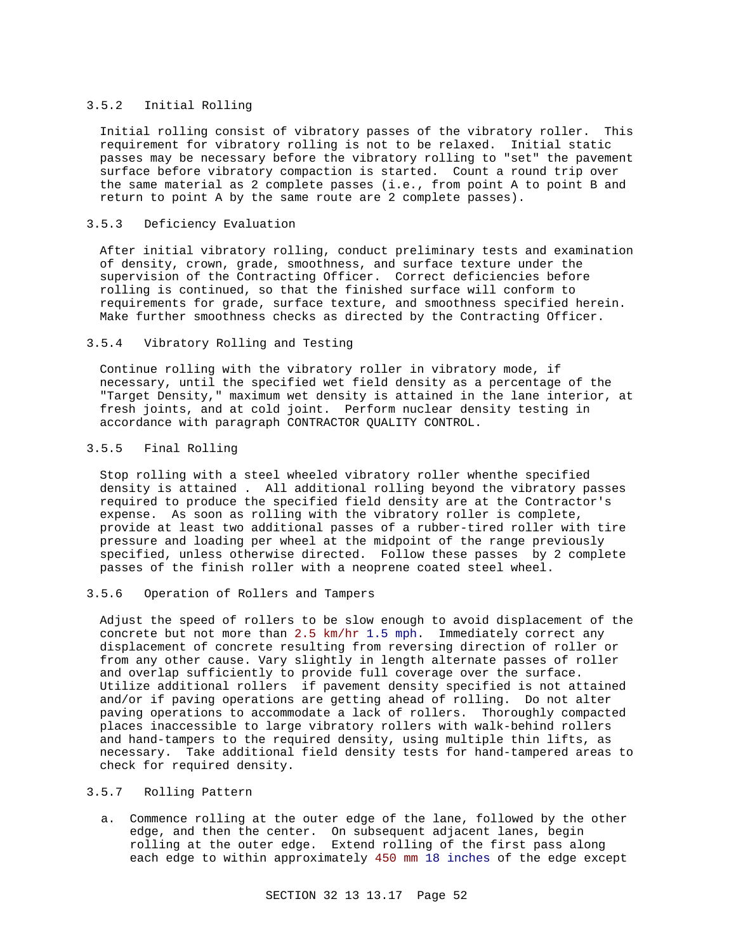#### 3.5.2 Initial Rolling

Initial rolling consist of vibratory passes of the vibratory roller. This requirement for vibratory rolling is not to be relaxed. Initial static passes may be necessary before the vibratory rolling to "set" the pavement surface before vibratory compaction is started. Count a round trip over the same material as 2 complete passes (i.e., from point A to point B and return to point A by the same route are 2 complete passes).

### 3.5.3 Deficiency Evaluation

After initial vibratory rolling, conduct preliminary tests and examination of density, crown, grade, smoothness, and surface texture under the supervision of the Contracting Officer. Correct deficiencies before rolling is continued, so that the finished surface will conform to requirements for grade, surface texture, and smoothness specified herein. Make further smoothness checks as directed by the Contracting Officer.

### 3.5.4 Vibratory Rolling and Testing

Continue rolling with the vibratory roller in vibratory mode, if necessary, until the specified wet field density as a percentage of the "Target Density," maximum wet density is attained in the lane interior, at fresh joints, and at cold joint. Perform nuclear density testing in accordance with paragraph CONTRACTOR QUALITY CONTROL.

### 3.5.5 Final Rolling

Stop rolling with a steel wheeled vibratory roller whenthe specified density is attained . All additional rolling beyond the vibratory passes required to produce the specified field density are at the Contractor's expense. As soon as rolling with the vibratory roller is complete, provide at least two additional passes of a rubber-tired roller with tire pressure and loading per wheel at the midpoint of the range previously specified, unless otherwise directed. Follow these passes by 2 complete passes of the finish roller with a neoprene coated steel wheel.

## 3.5.6 Operation of Rollers and Tampers

Adjust the speed of rollers to be slow enough to avoid displacement of the concrete but not more than 2.5 km/hr 1.5 mph. Immediately correct any displacement of concrete resulting from reversing direction of roller or from any other cause. Vary slightly in length alternate passes of roller and overlap sufficiently to provide full coverage over the surface. Utilize additional rollers if pavement density specified is not attained and/or if paving operations are getting ahead of rolling. Do not alter paving operations to accommodate a lack of rollers. Thoroughly compacted places inaccessible to large vibratory rollers with walk-behind rollers and hand-tampers to the required density, using multiple thin lifts, as necessary. Take additional field density tests for hand-tampered areas to check for required density.

## 3.5.7 Rolling Pattern

a. Commence rolling at the outer edge of the lane, followed by the other edge, and then the center. On subsequent adjacent lanes, begin rolling at the outer edge. Extend rolling of the first pass along each edge to within approximately 450 mm 18 inches of the edge except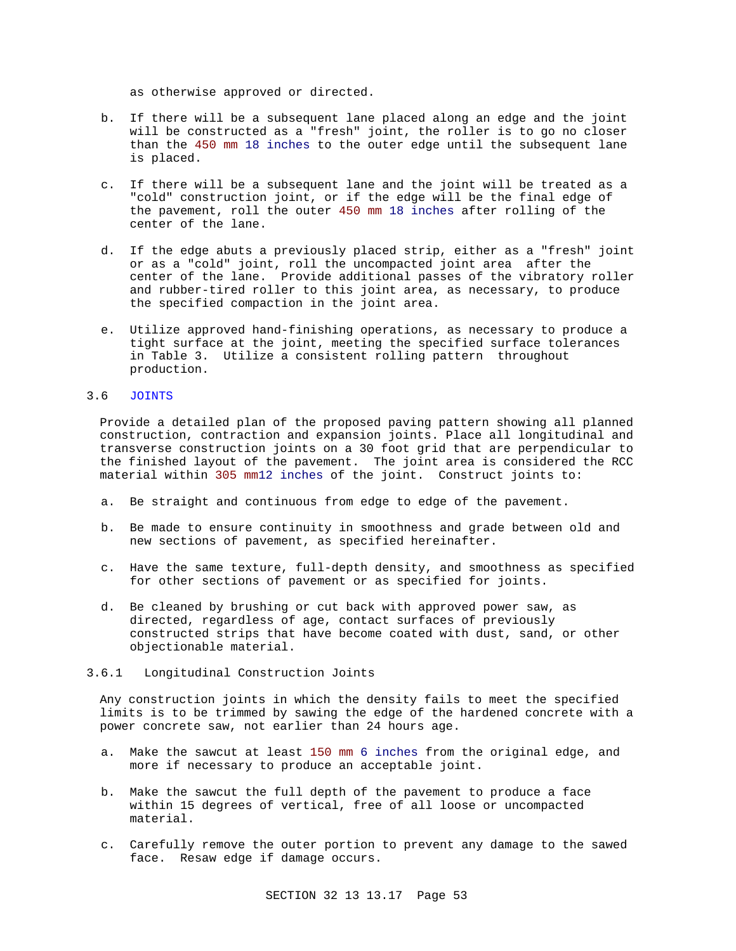as otherwise approved or directed.

- b. If there will be a subsequent lane placed along an edge and the joint will be constructed as a "fresh" joint, the roller is to go no closer than the 450 mm 18 inches to the outer edge until the subsequent lane is placed.
- c. If there will be a subsequent lane and the joint will be treated as a "cold" construction joint, or if the edge will be the final edge of the pavement, roll the outer 450 mm 18 inches after rolling of the center of the lane.
- d. If the edge abuts a previously placed strip, either as a "fresh" joint or as a "cold" joint, roll the uncompacted joint area after the center of the lane. Provide additional passes of the vibratory roller and rubber-tired roller to this joint area, as necessary, to produce the specified compaction in the joint area.
- e. Utilize approved hand-finishing operations, as necessary to produce a tight surface at the joint, meeting the specified surface tolerances in Table 3. Utilize a consistent rolling pattern throughout production.

### 3.6 JOINTS

Provide a detailed plan of the proposed paving pattern showing all planned construction, contraction and expansion joints. Place all longitudinal and transverse construction joints on a 30 foot grid that are perpendicular to the finished layout of the pavement. The joint area is considered the RCC material within 305 mm12 inches of the joint. Construct joints to:

- a. Be straight and continuous from edge to edge of the pavement.
- b. Be made to ensure continuity in smoothness and grade between old and new sections of pavement, as specified hereinafter.
- c. Have the same texture, full-depth density, and smoothness as specified for other sections of pavement or as specified for joints.
- d. Be cleaned by brushing or cut back with approved power saw, as directed, regardless of age, contact surfaces of previously constructed strips that have become coated with dust, sand, or other objectionable material.

### 3.6.1 Longitudinal Construction Joints

Any construction joints in which the density fails to meet the specified limits is to be trimmed by sawing the edge of the hardened concrete with a power concrete saw, not earlier than 24 hours age.

- a. Make the sawcut at least 150 mm 6 inches from the original edge, and more if necessary to produce an acceptable joint.
- b. Make the sawcut the full depth of the pavement to produce a face within 15 degrees of vertical, free of all loose or uncompacted material.
- c. Carefully remove the outer portion to prevent any damage to the sawed face. Resaw edge if damage occurs.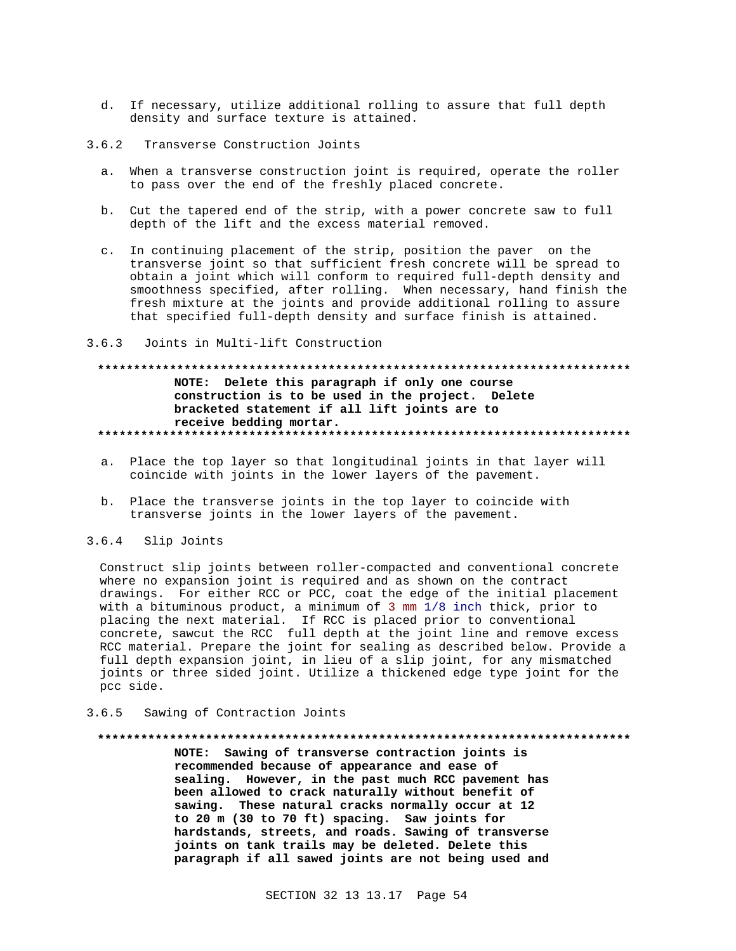- d. If necessary, utilize additional rolling to assure that full depth density and surface texture is attained.
- $3.6.2$ Transverse Construction Joints
	- a. When a transverse construction joint is required, operate the roller to pass over the end of the freshly placed concrete.
	- b. Cut the tapered end of the strip, with a power concrete saw to full depth of the lift and the excess material removed.
	- c. In continuing placement of the strip, position the paver on the transverse joint so that sufficient fresh concrete will be spread to obtain a joint which will conform to required full-depth density and smoothness specified, after rolling. When necessary, hand finish the fresh mixture at the joints and provide additional rolling to assure that specified full-depth density and surface finish is attained.
- $3.6.3$ Joints in Multi-lift Construction

## NOTE: Delete this paragraph if only one course construction is to be used in the project. Delete bracketed statement if all lift joints are to receive bedding mortar.

- a. Place the top layer so that longitudinal joints in that layer will coincide with joints in the lower layers of the pavement.
- b. Place the transverse joints in the top layer to coincide with transverse joints in the lower layers of the pavement.

#### $3.6.4$ Slip Joints

Construct slip joints between roller-compacted and conventional concrete where no expansion joint is required and as shown on the contract drawings. For either RCC or PCC, coat the edge of the initial placement with a bituminous product, a minimum of 3 mm 1/8 inch thick, prior to placing the next material. If RCC is placed prior to conventional concrete, sawcut the RCC full depth at the joint line and remove excess RCC material. Prepare the joint for sealing as described below. Provide a full depth expansion joint, in lieu of a slip joint, for any mismatched joints or three sided joint. Utilize a thickened edge type joint for the pcc side.

#### Sawing of Contraction Joints  $3.6.5$

#### 

NOTE: Sawing of transverse contraction joints is recommended because of appearance and ease of sealing. However, in the past much RCC pavement has been allowed to crack naturally without benefit of sawing. These natural cracks normally occur at 12 to 20 m (30 to 70 ft) spacing. Saw joints for hardstands, streets, and roads. Sawing of transverse joints on tank trails may be deleted. Delete this paragraph if all sawed joints are not being used and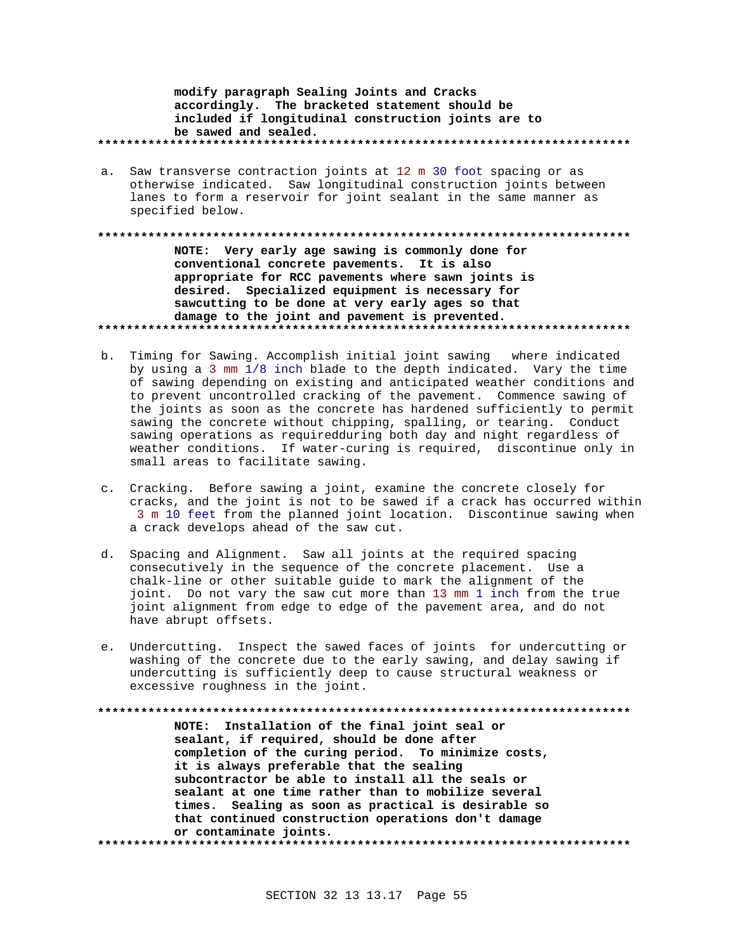modify paragraph Sealing Joints and Cracks accordingly. The bracketed statement should be included if longitudinal construction joints are to be sawed and sealed. 

a. Saw transverse contraction joints at 12 m 30 foot spacing or as otherwise indicated. Saw longitudinal construction joints between lanes to form a reservoir for joint sealant in the same manner as specified below.

NOTE: Very early age sawing is commonly done for conventional concrete pavements. It is also appropriate for RCC pavements where sawn joints is desired. Specialized equipment is necessary for sawcutting to be done at very early ages so that damage to the joint and pavement is prevented. 

- b. Timing for Sawing. Accomplish initial joint sawing where indicated by using a 3 mm 1/8 inch blade to the depth indicated. Vary the time of sawing depending on existing and anticipated weather conditions and to prevent uncontrolled cracking of the pavement. Commence sawing of the joints as soon as the concrete has hardened sufficiently to permit sawing the concrete without chipping, spalling, or tearing. Conduct sawing operations as requiredduring both day and night regardless of weather conditions. If water-curing is required, discontinue only in small areas to facilitate sawing.
- c. Cracking. Before sawing a joint, examine the concrete closely for cracks, and the joint is not to be sawed if a crack has occurred within 3 m 10 feet from the planned joint location. Discontinue sawing when a crack develops ahead of the saw cut.
- d. Spacing and Alignment. Saw all joints at the required spacing consecutively in the sequence of the concrete placement. Use a chalk-line or other suitable guide to mark the alignment of the joint. Do not vary the saw cut more than 13 mm 1 inch from the true joint alignment from edge to edge of the pavement area, and do not have abrupt offsets.
- e. Undercutting. Inspect the sawed faces of joints for undercutting or washing of the concrete due to the early sawing, and delay sawing if undercutting is sufficiently deep to cause structural weakness or excessive roughness in the joint.

NOTE: Installation of the final joint seal or sealant, if required, should be done after completion of the curing period. To minimize costs, it is always preferable that the sealing subcontractor be able to install all the seals or sealant at one time rather than to mobilize several times. Sealing as soon as practical is desirable so that continued construction operations don't damage or contaminate joints.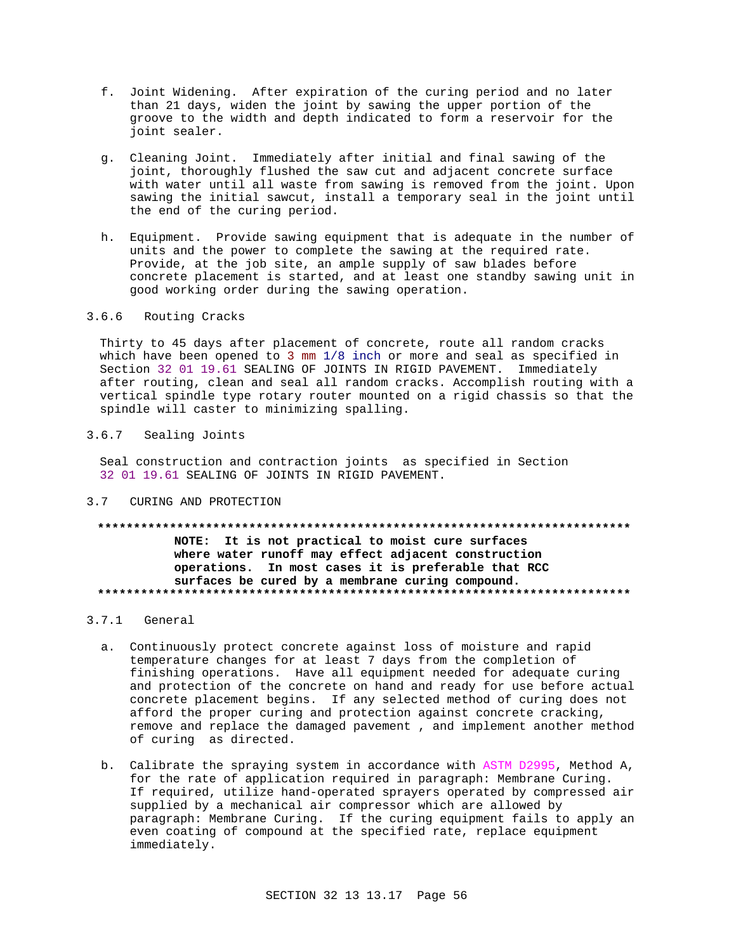- f. Joint Widening. After expiration of the curing period and no later than 21 days, widen the joint by sawing the upper portion of the groove to the width and depth indicated to form a reservoir for the joint sealer.
- g. Cleaning Joint. Immediately after initial and final sawing of the joint, thoroughly flushed the saw cut and adjacent concrete surface with water until all waste from sawing is removed from the joint. Upon sawing the initial sawcut, install a temporary seal in the joint until the end of the curing period.
- h. Equipment. Provide sawing equipment that is adequate in the number of units and the power to complete the sawing at the required rate. Provide, at the job site, an ample supply of saw blades before concrete placement is started, and at least one standby sawing unit in good working order during the sawing operation.

## 3.6.6 Routing Cracks

Thirty to 45 days after placement of concrete, route all random cracks which have been opened to 3 mm 1/8 inch or more and seal as specified in Section 32 01 19.61 SEALING OF JOINTS IN RIGID PAVEMENT. Immediately after routing, clean and seal all random cracks. Accomplish routing with a vertical spindle type rotary router mounted on a rigid chassis so that the spindle will caster to minimizing spalling.

## 3.6.7 Sealing Joints

Seal construction and contraction joints as specified in Section 32 01 19.61 SEALING OF JOINTS IN RIGID PAVEMENT.

3.7 CURING AND PROTECTION

## **\*\*\*\*\*\*\*\*\*\*\*\*\*\*\*\*\*\*\*\*\*\*\*\*\*\*\*\*\*\*\*\*\*\*\*\*\*\*\*\*\*\*\*\*\*\*\*\*\*\*\*\*\*\*\*\*\*\*\*\*\*\*\*\*\*\*\*\*\*\*\*\*\*\* NOTE: It is not practical to moist cure surfaces where water runoff may effect adjacent construction operations. In most cases it is preferable that RCC surfaces be cured by a membrane curing compound. \*\*\*\*\*\*\*\*\*\*\*\*\*\*\*\*\*\*\*\*\*\*\*\*\*\*\*\*\*\*\*\*\*\*\*\*\*\*\*\*\*\*\*\*\*\*\*\*\*\*\*\*\*\*\*\*\*\*\*\*\*\*\*\*\*\*\*\*\*\*\*\*\*\***

#### 3.7.1 General

- a. Continuously protect concrete against loss of moisture and rapid temperature changes for at least 7 days from the completion of finishing operations. Have all equipment needed for adequate curing and protection of the concrete on hand and ready for use before actual concrete placement begins. If any selected method of curing does not afford the proper curing and protection against concrete cracking, remove and replace the damaged pavement , and implement another method of curing as directed.
- b. Calibrate the spraying system in accordance with ASTM D2995, Method A, for the rate of application required in paragraph: Membrane Curing. If required, utilize hand-operated sprayers operated by compressed air supplied by a mechanical air compressor which are allowed by paragraph: Membrane Curing. If the curing equipment fails to apply an even coating of compound at the specified rate, replace equipment immediately.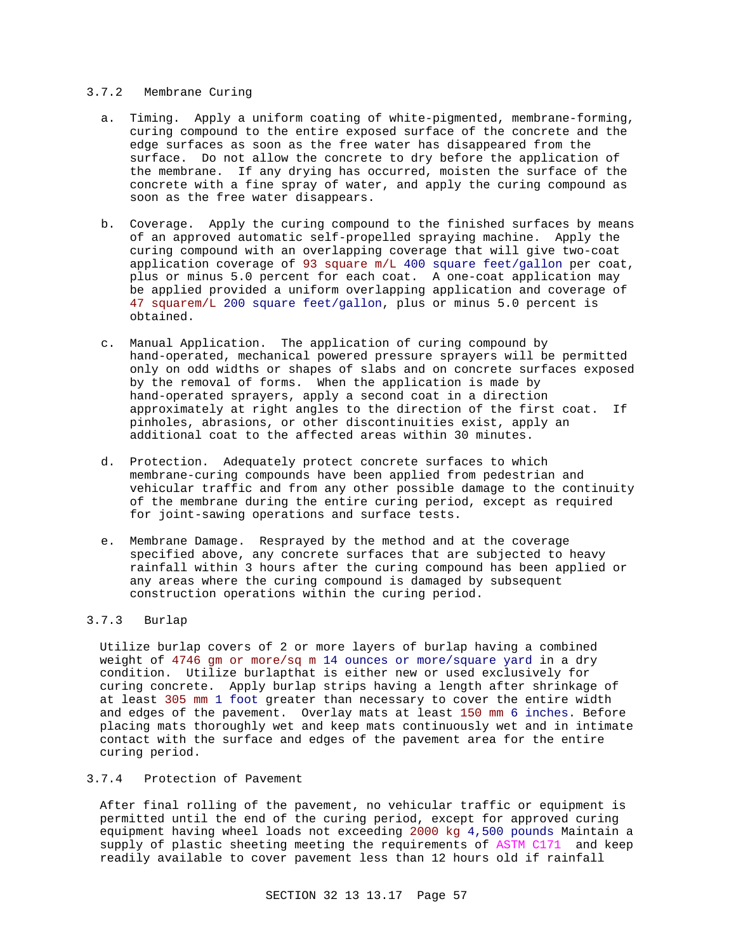### 3.7.2 Membrane Curing

- a. Timing. Apply a uniform coating of white-pigmented, membrane-forming, curing compound to the entire exposed surface of the concrete and the edge surfaces as soon as the free water has disappeared from the surface. Do not allow the concrete to dry before the application of the membrane. If any drying has occurred, moisten the surface of the concrete with a fine spray of water, and apply the curing compound as soon as the free water disappears.
- b. Coverage. Apply the curing compound to the finished surfaces by means of an approved automatic self-propelled spraying machine. Apply the curing compound with an overlapping coverage that will give two-coat application coverage of 93 square m/L 400 square feet/gallon per coat, plus or minus 5.0 percent for each coat. A one-coat application may be applied provided a uniform overlapping application and coverage of 47 squarem/L 200 square feet/gallon, plus or minus 5.0 percent is obtained.
- c. Manual Application. The application of curing compound by hand-operated, mechanical powered pressure sprayers will be permitted only on odd widths or shapes of slabs and on concrete surfaces exposed by the removal of forms. When the application is made by hand-operated sprayers, apply a second coat in a direction approximately at right angles to the direction of the first coat. If pinholes, abrasions, or other discontinuities exist, apply an additional coat to the affected areas within 30 minutes.
- d. Protection. Adequately protect concrete surfaces to which membrane-curing compounds have been applied from pedestrian and vehicular traffic and from any other possible damage to the continuity of the membrane during the entire curing period, except as required for joint-sawing operations and surface tests.
- e. Membrane Damage. Resprayed by the method and at the coverage specified above, any concrete surfaces that are subjected to heavy rainfall within 3 hours after the curing compound has been applied or any areas where the curing compound is damaged by subsequent construction operations within the curing period.

#### 3.7.3 Burlap

Utilize burlap covers of 2 or more layers of burlap having a combined weight of 4746 gm or more/sq m 14 ounces or more/square yard in a dry condition. Utilize burlapthat is either new or used exclusively for curing concrete. Apply burlap strips having a length after shrinkage of at least 305 mm 1 foot greater than necessary to cover the entire width and edges of the pavement. Overlay mats at least 150 mm 6 inches. Before placing mats thoroughly wet and keep mats continuously wet and in intimate contact with the surface and edges of the pavement area for the entire curing period.

### 3.7.4 Protection of Pavement

After final rolling of the pavement, no vehicular traffic or equipment is permitted until the end of the curing period, except for approved curing equipment having wheel loads not exceeding 2000 kg 4,500 pounds Maintain a supply of plastic sheeting meeting the requirements of ASTM C171 and keep readily available to cover pavement less than 12 hours old if rainfall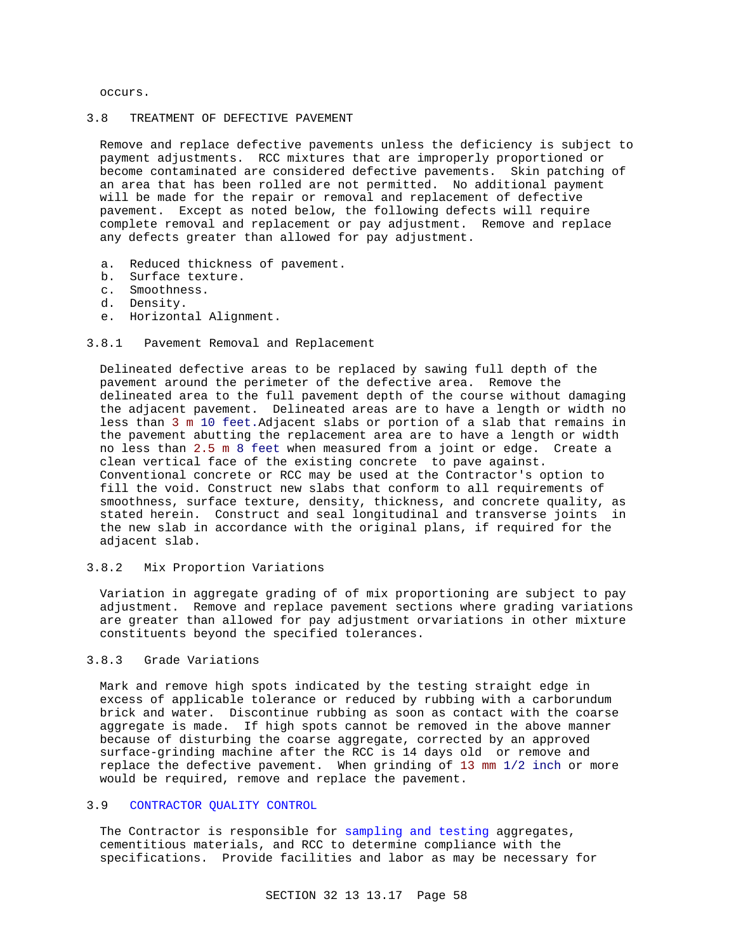occurs.

### 3.8 TREATMENT OF DEFECTIVE PAVEMENT

Remove and replace defective pavements unless the deficiency is subject to payment adjustments. RCC mixtures that are improperly proportioned or become contaminated are considered defective pavements. Skin patching of an area that has been rolled are not permitted. No additional payment will be made for the repair or removal and replacement of defective pavement. Except as noted below, the following defects will require complete removal and replacement or pay adjustment. Remove and replace any defects greater than allowed for pay adjustment.

- a. Reduced thickness of pavement.
- b. Surface texture.
- c. Smoothness.
- d. Density.
- e. Horizontal Alignment.
- 3.8.1 Pavement Removal and Replacement

Delineated defective areas to be replaced by sawing full depth of the pavement around the perimeter of the defective area. Remove the delineated area to the full pavement depth of the course without damaging the adjacent pavement. Delineated areas are to have a length or width no less than 3 m 10 feet.Adjacent slabs or portion of a slab that remains in the pavement abutting the replacement area are to have a length or width no less than 2.5 m 8 feet when measured from a joint or edge. Create a clean vertical face of the existing concrete to pave against. Conventional concrete or RCC may be used at the Contractor's option to fill the void. Construct new slabs that conform to all requirements of smoothness, surface texture, density, thickness, and concrete quality, as stated herein. Construct and seal longitudinal and transverse joints in the new slab in accordance with the original plans, if required for the adjacent slab.

3.8.2 Mix Proportion Variations

Variation in aggregate grading of of mix proportioning are subject to pay adjustment. Remove and replace pavement sections where grading variations are greater than allowed for pay adjustment orvariations in other mixture constituents beyond the specified tolerances.

### 3.8.3 Grade Variations

Mark and remove high spots indicated by the testing straight edge in excess of applicable tolerance or reduced by rubbing with a carborundum brick and water. Discontinue rubbing as soon as contact with the coarse aggregate is made. If high spots cannot be removed in the above manner because of disturbing the coarse aggregate, corrected by an approved surface-grinding machine after the RCC is 14 days old or remove and replace the defective pavement. When grinding of 13 mm 1/2 inch or more would be required, remove and replace the pavement.

### 3.9 CONTRACTOR QUALITY CONTROL

The Contractor is responsible for sampling and testing aggregates, cementitious materials, and RCC to determine compliance with the specifications. Provide facilities and labor as may be necessary for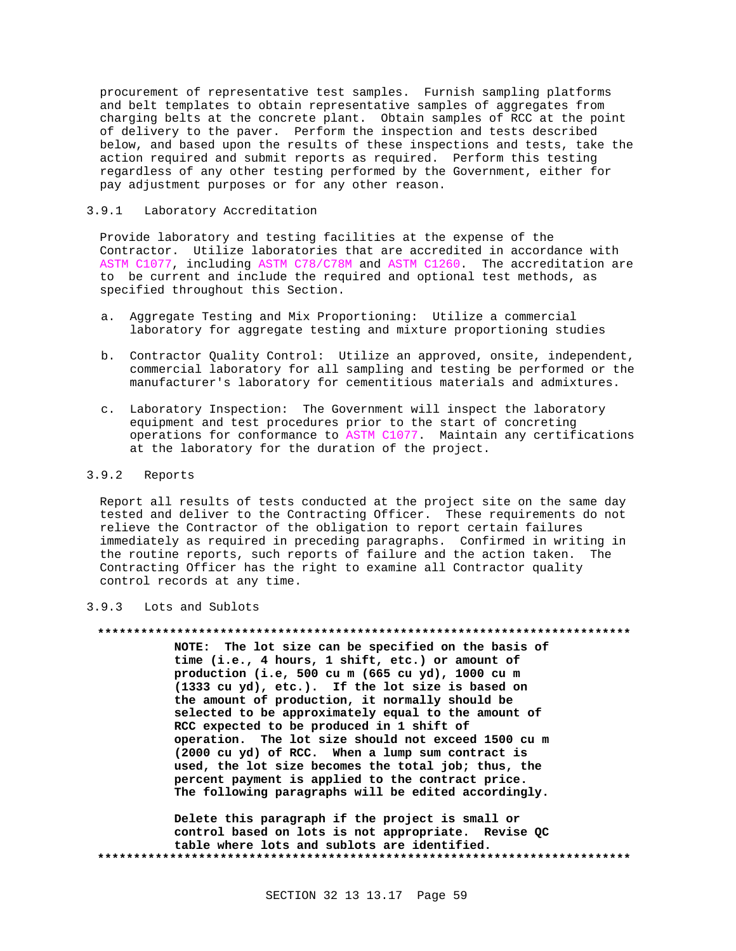procurement of representative test samples. Furnish sampling platforms and belt templates to obtain representative samples of aggregates from charging belts at the concrete plant. Obtain samples of RCC at the point of delivery to the paver. Perform the inspection and tests described below, and based upon the results of these inspections and tests, take the action required and submit reports as required. Perform this testing regardless of any other testing performed by the Government, either for pay adjustment purposes or for any other reason.

#### $3.9.1$ Laboratory Accreditation

Provide laboratory and testing facilities at the expense of the Contractor. Utilize laboratories that are accredited in accordance with ASTM C1077, including ASTM C78/C78M and ASTM C1260. The accreditation are to be current and include the required and optional test methods, as specified throughout this Section.

- a. Aggregate Testing and Mix Proportioning: Utilize a commercial laboratory for aggregate testing and mixture proportioning studies
- b. Contractor Quality Control: Utilize an approved, onsite, independent, commercial laboratory for all sampling and testing be performed or the manufacturer's laboratory for cementitious materials and admixtures.
- c. Laboratory Inspection: The Government will inspect the laboratory equipment and test procedures prior to the start of concreting operations for conformance to ASTM C1077. Maintain any certifications at the laboratory for the duration of the project.

#### $3.9.2$ Reports

Report all results of tests conducted at the project site on the same day tested and deliver to the Contracting Officer. These requirements do not relieve the Contractor of the obligation to report certain failures immediately as required in preceding paragraphs. Confirmed in writing in the routine reports, such reports of failure and the action taken. The Contracting Officer has the right to examine all Contractor quality control records at any time.

#### $3.9.3$ Lots and Sublots

#### 

NOTE: The lot size can be specified on the basis of time (i.e., 4 hours, 1 shift, etc.) or amount of production (i.e, 500 cu m (665 cu yd), 1000 cu m (1333 cu yd), etc.). If the lot size is based on the amount of production, it normally should be selected to be approximately equal to the amount of RCC expected to be produced in 1 shift of operation. The lot size should not exceed 1500 cu m (2000 cu yd) of RCC. When a lump sum contract is used, the lot size becomes the total job; thus, the percent payment is applied to the contract price. The following paragraphs will be edited accordingly.

Delete this paragraph if the project is small or control based on lots is not appropriate. Revise QC table where lots and sublots are identified.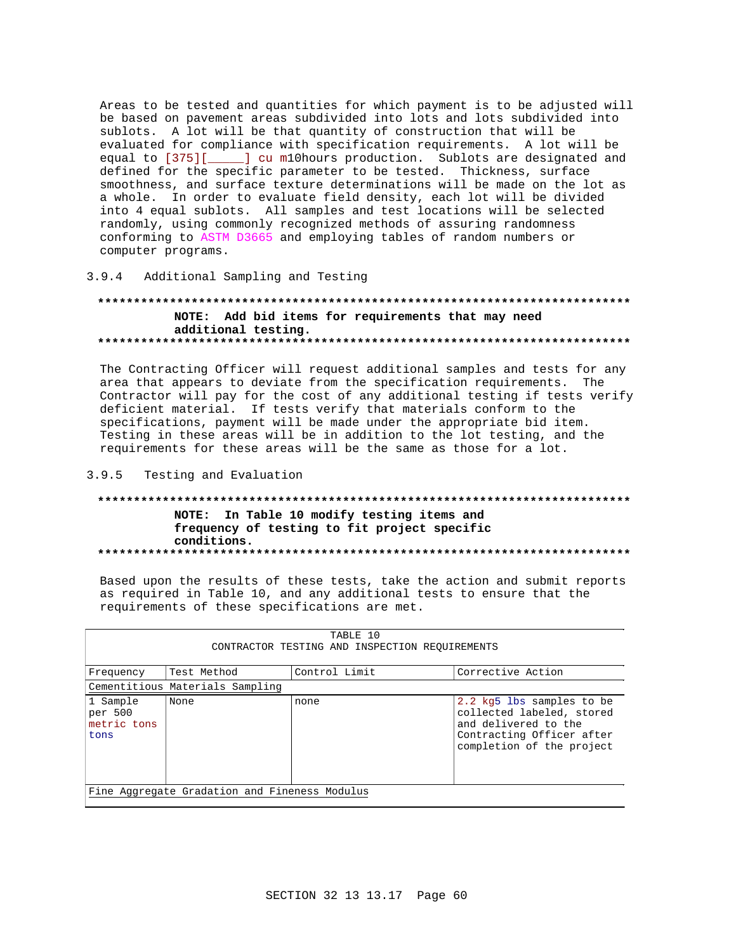Areas to be tested and quantities for which payment is to be adjusted will be based on pavement areas subdivided into lots and lots subdivided into sublots. A lot will be that quantity of construction that will be evaluated for compliance with specification requirements. A lot will be equal to [375][\_\_\_\_\_] cu m10hours production. Sublots are designated and defined for the specific parameter to be tested. Thickness, surface smoothness, and surface texture determinations will be made on the lot as a whole. In order to evaluate field density, each lot will be divided into 4 equal sublots. All samples and test locations will be selected randomly, using commonly recognized methods of assuring randomness conforming to ASTM D3665 and employing tables of random numbers or computer programs.

## 3.9.4 Additional Sampling and Testing

## NOTE: Add bid items for requirements that may need additional testing.

The Contracting Officer will request additional samples and tests for any area that appears to deviate from the specification requirements. The Contractor will pay for the cost of any additional testing if tests verify deficient material. If tests verify that materials conform to the specifications, payment will be made under the appropriate bid item. Testing in these areas will be in addition to the lot testing, and the requirements for these areas will be the same as those for a lot.

#### $3.9.5$ Testing and Evaluation

## NOTE: In Table 10 modify testing items and frequency of testing to fit project specific conditions.

Based upon the results of these tests, take the action and submit reports as required in Table 10, and any additional tests to ensure that the requirements of these specifications are met.

| TABLE 10<br>CONTRACTOR TESTING AND INSPECTION REOUIREMENTS |                                                   |      |                                                                                                                                          |  |  |  |
|------------------------------------------------------------|---------------------------------------------------|------|------------------------------------------------------------------------------------------------------------------------------------------|--|--|--|
| Frequency                                                  | Test Method<br>Control Limit<br>Corrective Action |      |                                                                                                                                          |  |  |  |
|                                                            | Cementitious Materials Sampling                   |      |                                                                                                                                          |  |  |  |
| 1 Sample<br>per 500<br>metric tons<br>tons                 | None                                              | none | 2.2 kg5 lbs samples to be<br>collected labeled, stored<br>and delivered to the<br>Contracting Officer after<br>completion of the project |  |  |  |
| Fine Aggregate Gradation and Fineness Modulus              |                                                   |      |                                                                                                                                          |  |  |  |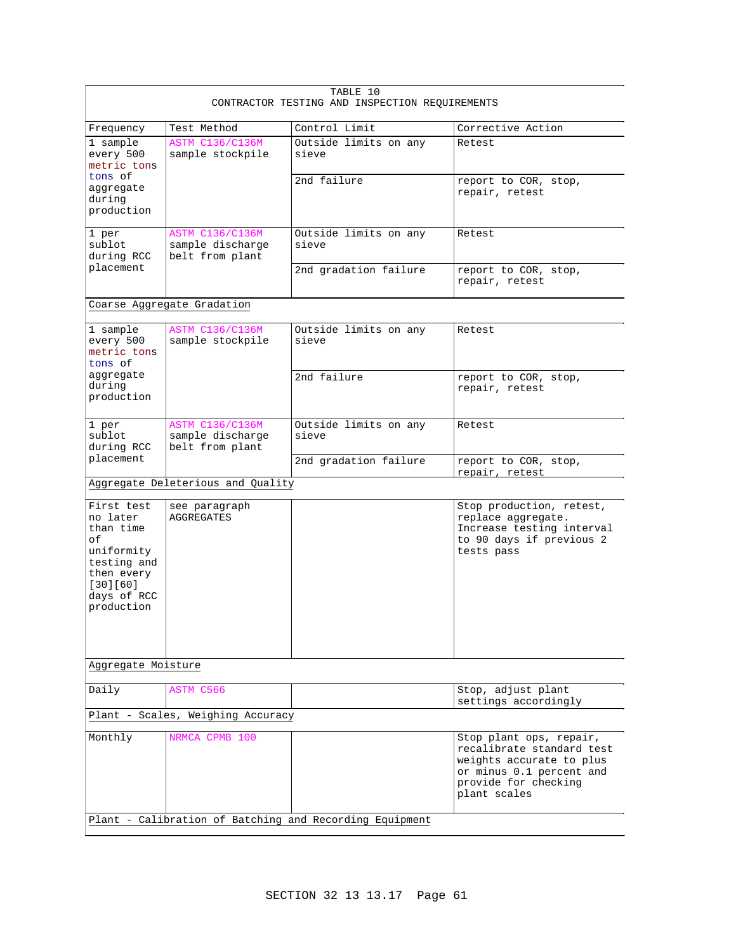| TABLE 10<br>CONTRACTOR TESTING AND INSPECTION REQUIREMENTS                                                                    |                                                               |                                |                                                                                                                                                      |
|-------------------------------------------------------------------------------------------------------------------------------|---------------------------------------------------------------|--------------------------------|------------------------------------------------------------------------------------------------------------------------------------------------------|
| Frequency                                                                                                                     | Test Method                                                   | Control Limit                  | Corrective Action                                                                                                                                    |
| 1 sample<br>every 500<br>metric tons                                                                                          | <b>ASTM C136/C136M</b><br>sample stockpile                    | Outside limits on any<br>sieve | Retest                                                                                                                                               |
| tons of<br>aggregate<br>during<br>production                                                                                  |                                                               | 2nd failure                    | report to COR, stop,<br>repair, retest                                                                                                               |
| 1 per<br>sublot<br>during RCC                                                                                                 | <b>ASTM C136/C136M</b><br>sample discharge<br>belt from plant | Outside limits on any<br>sieve | Retest                                                                                                                                               |
| placement                                                                                                                     |                                                               | 2nd gradation failure          | report to COR, stop,<br>repair, retest                                                                                                               |
|                                                                                                                               | Coarse Aggregate Gradation                                    |                                |                                                                                                                                                      |
| 1 sample<br>every 500<br>metric tons<br>tons of                                                                               | <b>ASTM C136/C136M</b><br>sample stockpile                    | Outside limits on any<br>sieve | Retest                                                                                                                                               |
| aggregate<br>during<br>production                                                                                             |                                                               | 2nd failure                    | report to COR, stop,<br>repair, retest                                                                                                               |
| 1 per<br>sublot<br>during RCC                                                                                                 | <b>ASTM C136/C136M</b><br>sample discharge<br>belt from plant | Outside limits on any<br>sieve | Retest                                                                                                                                               |
| placement                                                                                                                     |                                                               | 2nd gradation failure          | report to COR, stop,<br>repair, retest                                                                                                               |
|                                                                                                                               | Aggregate Deleterious and Quality                             |                                |                                                                                                                                                      |
| First test<br>no later<br>than time<br>оf<br>uniformity<br>testing and<br>then every<br>[30][60]<br>days of RCC<br>production | see paragraph<br><b>AGGREGATES</b>                            |                                | Stop production, retest,<br>replace aggregate.<br>Increase testing interval<br>to 90 days if previous 2<br>tests pass                                |
| Aggregate Moisture                                                                                                            |                                                               |                                |                                                                                                                                                      |
| Daily                                                                                                                         | ASTM C566                                                     |                                | Stop, adjust plant<br>settings accordingly                                                                                                           |
|                                                                                                                               | Plant - Scales, Weighing Accuracy                             |                                |                                                                                                                                                      |
| Monthly                                                                                                                       | NRMCA CPMB 100                                                |                                | Stop plant ops, repair,<br>recalibrate standard test<br>weights accurate to plus<br>or minus 0.1 percent and<br>provide for checking<br>plant scales |
| Plant - Calibration of Batching and Recording Equipment                                                                       |                                                               |                                |                                                                                                                                                      |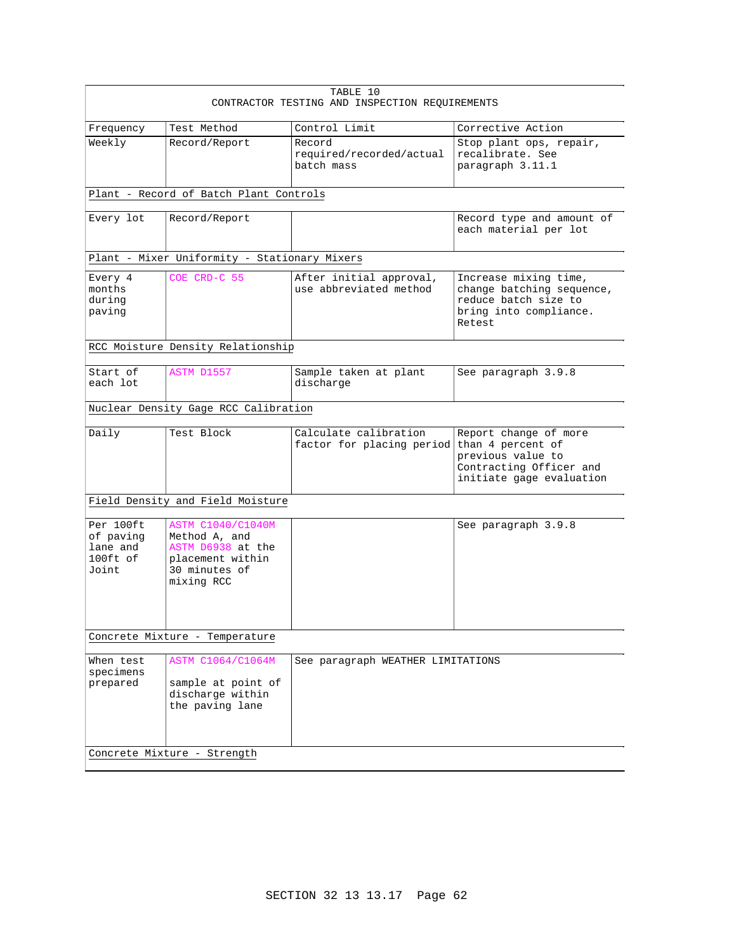| TABLE 10<br>CONTRACTOR TESTING AND INSPECTION REQUIREMENTS                                                        |                                                                 |                                                                                                                                                                     |  |
|-------------------------------------------------------------------------------------------------------------------|-----------------------------------------------------------------|---------------------------------------------------------------------------------------------------------------------------------------------------------------------|--|
| Test Method                                                                                                       | Control Limit                                                   | Corrective Action                                                                                                                                                   |  |
| Record/Report                                                                                                     | Record<br>required/recorded/actual<br>batch mass                | Stop plant ops, repair,<br>recalibrate. See<br>paragraph 3.11.1                                                                                                     |  |
|                                                                                                                   |                                                                 |                                                                                                                                                                     |  |
| Record/Report                                                                                                     |                                                                 | Record type and amount of<br>each material per lot                                                                                                                  |  |
|                                                                                                                   |                                                                 |                                                                                                                                                                     |  |
| COE CRD-C 55                                                                                                      | After initial approval,<br>use abbreviated method               | Increase mixing time,<br>change batching sequence,<br>reduce batch size to<br>bring into compliance.<br>Retest                                                      |  |
|                                                                                                                   |                                                                 |                                                                                                                                                                     |  |
| ASTM D1557                                                                                                        | Sample taken at plant<br>discharge                              | See paragraph 3.9.8                                                                                                                                                 |  |
|                                                                                                                   |                                                                 |                                                                                                                                                                     |  |
| Test Block                                                                                                        | Calculate calibration<br>factor for placing period              | Report change of more<br>than 4 percent of<br>previous value to<br>Contracting Officer and<br>initiate gage evaluation                                              |  |
|                                                                                                                   |                                                                 |                                                                                                                                                                     |  |
| <b>ASTM C1040/C1040M</b><br>Method A, and<br>ASTM D6938 at the<br>placement within<br>30 minutes of<br>mixing RCC |                                                                 | See paragraph 3.9.8                                                                                                                                                 |  |
| Concrete Mixture - Temperature                                                                                    |                                                                 |                                                                                                                                                                     |  |
| ASTM C1064/C1064M<br>sample at point of<br>discharge within<br>the paving lane                                    | See paragraph WEATHER LIMITATIONS                               |                                                                                                                                                                     |  |
|                                                                                                                   | Field Density and Field Moisture<br>Concrete Mixture - Strength | Plant - Record of Batch Plant Controls<br>Plant - Mixer Uniformity - Stationary Mixers<br>RCC Moisture Density Relationship<br>Nuclear Density Gage RCC Calibration |  |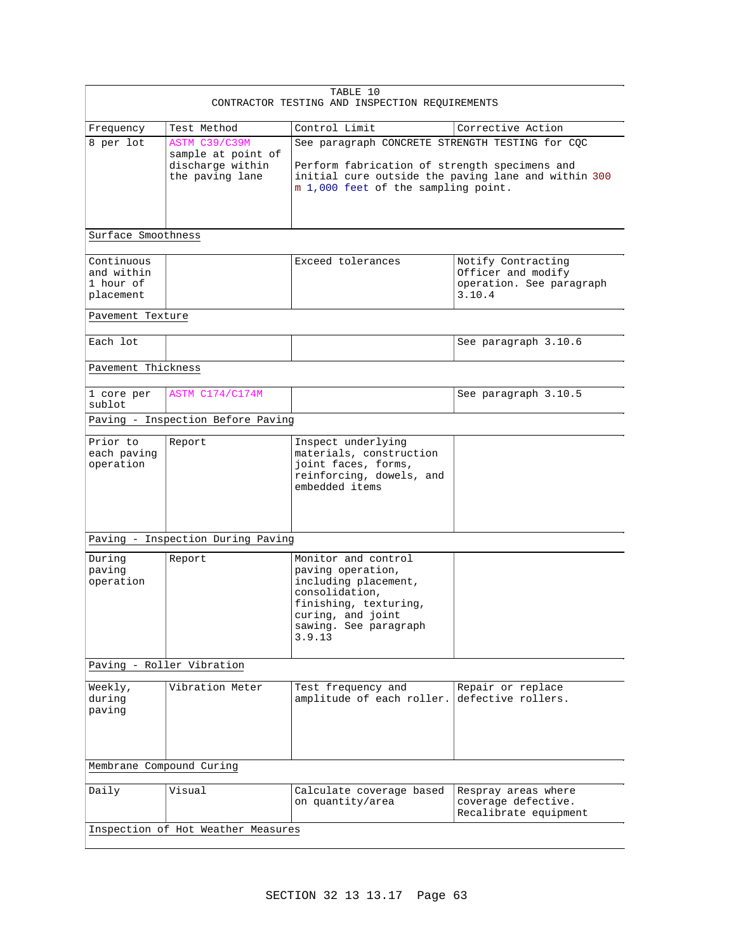| TABLE 10<br>CONTRACTOR TESTING AND INSPECTION REQUIREMENTS |                                                                            |                                                                                                                                                                                                |                                                                                |
|------------------------------------------------------------|----------------------------------------------------------------------------|------------------------------------------------------------------------------------------------------------------------------------------------------------------------------------------------|--------------------------------------------------------------------------------|
| Frequency                                                  | Test Method                                                                | Control Limit                                                                                                                                                                                  | Corrective Action                                                              |
| 8 per lot                                                  | ASTM C39/C39M<br>sample at point of<br>discharge within<br>the paving lane | See paragraph CONCRETE STRENGTH TESTING for CQC<br>Perform fabrication of strength specimens and<br>initial cure outside the paving lane and within 300<br>m 1,000 feet of the sampling point. |                                                                                |
| Surface Smoothness                                         |                                                                            |                                                                                                                                                                                                |                                                                                |
| Continuous<br>and within<br>1 hour of<br>placement         |                                                                            | Exceed tolerances                                                                                                                                                                              | Notify Contracting<br>Officer and modify<br>operation. See paragraph<br>3.10.4 |
| Pavement Texture                                           |                                                                            |                                                                                                                                                                                                |                                                                                |
| Each lot                                                   |                                                                            |                                                                                                                                                                                                | See paragraph 3.10.6                                                           |
| Pavement Thickness                                         |                                                                            |                                                                                                                                                                                                |                                                                                |
| 1 core per<br>sublot                                       | ASTM C174/C174M                                                            |                                                                                                                                                                                                | See paragraph 3.10.5                                                           |
|                                                            | Paving - Inspection Before Paving                                          |                                                                                                                                                                                                |                                                                                |
| Prior to<br>each paving<br>operation                       | Report                                                                     | Inspect underlying<br>materials, construction<br>joint faces, forms,<br>reinforcing, dowels, and<br>embedded items                                                                             |                                                                                |
|                                                            | Paving - Inspection During Paving                                          |                                                                                                                                                                                                |                                                                                |
| During<br>paving<br>operation                              | Report                                                                     | Monitor and control<br>paving operation,<br>including placement,<br>consolidation,<br>finishing, texturing,<br>curing, and joint<br>sawing. See paragraph<br>3.9.13                            |                                                                                |
|                                                            | Paving - Roller Vibration                                                  |                                                                                                                                                                                                |                                                                                |
| Weekly,<br>during<br>paving                                | Vibration Meter                                                            | Test frequency and<br>amplitude of each roller.                                                                                                                                                | Repair or replace<br>defective rollers.                                        |
| Membrane Compound Curing                                   |                                                                            |                                                                                                                                                                                                |                                                                                |
| Daily                                                      | Visual                                                                     | Calculate coverage based<br>on quantity/area                                                                                                                                                   | Respray areas where<br>coverage defective.<br>Recalibrate equipment            |
| Inspection of Hot Weather Measures                         |                                                                            |                                                                                                                                                                                                |                                                                                |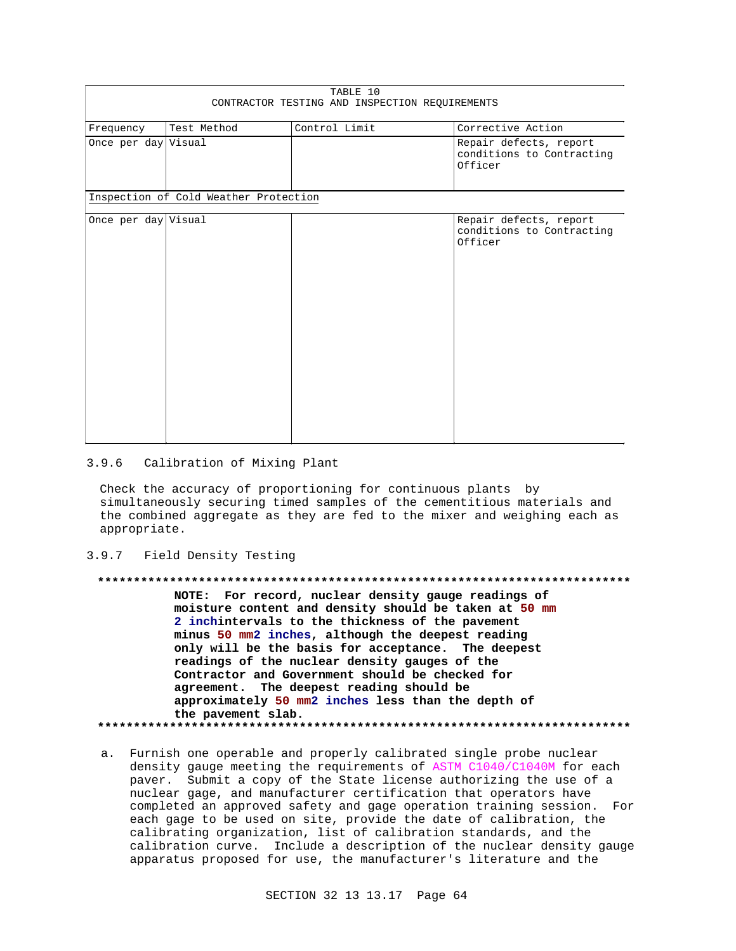| TABLE 10<br>CONTRACTOR TESTING AND INSPECTION REQUIREMENTS |                                       |               |                                                                |
|------------------------------------------------------------|---------------------------------------|---------------|----------------------------------------------------------------|
| Frequency                                                  | Test Method                           | Control Limit | Corrective Action                                              |
| Once per day Visual                                        |                                       |               | Repair defects, report<br>conditions to Contracting<br>Officer |
|                                                            | Inspection of Cold Weather Protection |               |                                                                |
| Once per day Visual                                        |                                       |               | Repair defects, report<br>conditions to Contracting<br>Officer |

#### $3.9.6$ Calibration of Mixing Plant

Check the accuracy of proportioning for continuous plants by simultaneously securing timed samples of the cementitious materials and the combined aggregate as they are fed to the mixer and weighing each as appropriate.

#### $3.9.7$ Field Density Testing

\*\*\*\*\*\*\*\*\*\*\*\*\*\* NOTE: For record, nuclear density gauge readings of moisture content and density should be taken at 50 mm 2 inchintervals to the thickness of the pavement minus 50 mm2 inches, although the deepest reading only will be the basis for acceptance. The deepest readings of the nuclear density gauges of the Contractor and Government should be checked for agreement. The deepest reading should be approximately 50 mm2 inches less than the depth of the pavement slab. \*\*\*\*\*\*\*\*\*\*\*\*\*\*\*\*

a. Furnish one operable and properly calibrated single probe nuclear density gauge meeting the requirements of ASTM C1040/C1040M for each paver. Submit a copy of the State license authorizing the use of a nuclear gage, and manufacturer certification that operators have completed an approved safety and gage operation training session. For each gage to be used on site, provide the date of calibration, the calibrating organization, list of calibration standards, and the calibration curve. Include a description of the nuclear density gauge apparatus proposed for use, the manufacturer's literature and the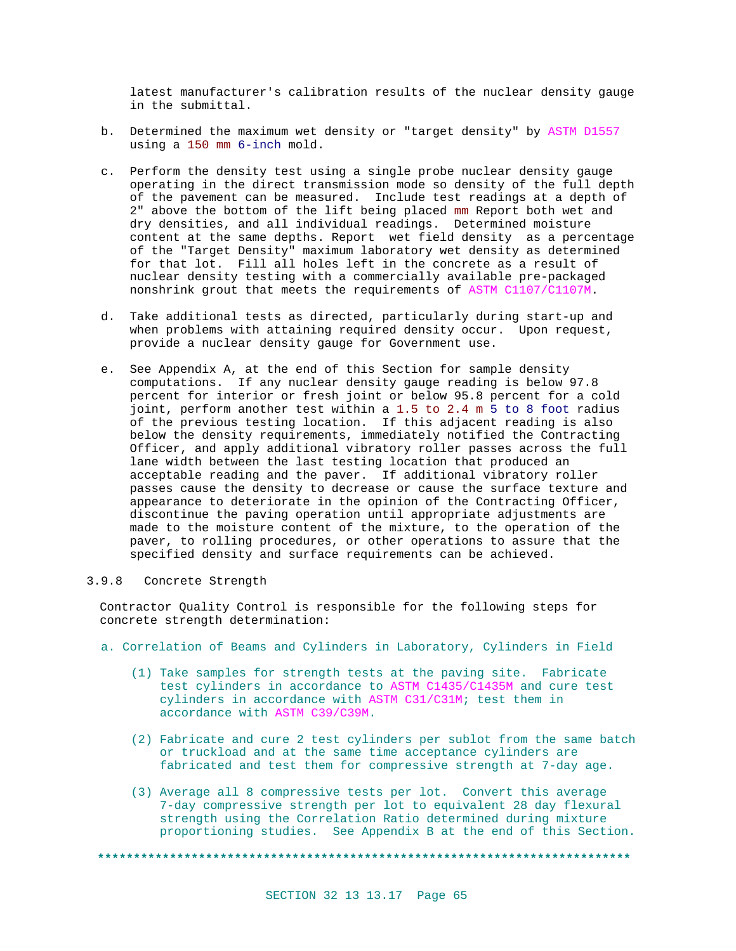latest manufacturer's calibration results of the nuclear density gauge in the submittal.

- b. Determined the maximum wet density or "target density" by ASTM D1557 using a 150 mm 6-inch mold.
- c. Perform the density test using a single probe nuclear density gauge operating in the direct transmission mode so density of the full depth of the pavement can be measured. Include test readings at a depth of 2" above the bottom of the lift being placed mm Report both wet and dry densities, and all individual readings. Determined moisture content at the same depths. Report wet field density as a percentage of the "Target Density" maximum laboratory wet density as determined for that lot. Fill all holes left in the concrete as a result of nuclear density testing with a commercially available pre-packaged nonshrink grout that meets the requirements of ASTM C1107/C1107M.
- d. Take additional tests as directed, particularly during start-up and when problems with attaining required density occur. Upon request, provide a nuclear density gauge for Government use.
- e. See Appendix A, at the end of this Section for sample density computations. If any nuclear density gauge reading is below 97.8 percent for interior or fresh joint or below 95.8 percent for a cold joint, perform another test within a 1.5 to 2.4 m 5 to 8 foot radius of the previous testing location. If this adjacent reading is also below the density requirements, immediately notified the Contracting Officer, and apply additional vibratory roller passes across the full lane width between the last testing location that produced an acceptable reading and the paver. If additional vibratory roller passes cause the density to decrease or cause the surface texture and appearance to deteriorate in the opinion of the Contracting Officer, discontinue the paving operation until appropriate adjustments are made to the moisture content of the mixture, to the operation of the paver, to rolling procedures, or other operations to assure that the specified density and surface requirements can be achieved.

#### 3.9.8 Concrete Strength

Contractor Quality Control is responsible for the following steps for concrete strength determination:

- a. Correlation of Beams and Cylinders in Laboratory, Cylinders in Field
	- (1) Take samples for strength tests at the paving site. Fabricate test cylinders in accordance to ASTM C1435/C1435M and cure test cylinders in accordance with ASTM C31/C31M; test them in accordance with ASTM C39/C39M.
	- (2) Fabricate and cure 2 test cylinders per sublot from the same batch or truckload and at the same time acceptance cylinders are fabricated and test them for compressive strength at 7-day age.
	- (3) Average all 8 compressive tests per lot. Convert this average 7-day compressive strength per lot to equivalent 28 day flexural strength using the Correlation Ratio determined during mixture proportioning studies. See Appendix B at the end of this Section.

**\*\*\*\*\*\*\*\*\*\*\*\*\*\*\*\*\*\*\*\*\*\*\*\*\*\*\*\*\*\*\*\*\*\*\*\*\*\*\*\*\*\*\*\*\*\*\*\*\*\*\*\*\*\*\*\*\*\*\*\*\*\*\*\*\*\*\*\*\*\*\*\*\*\***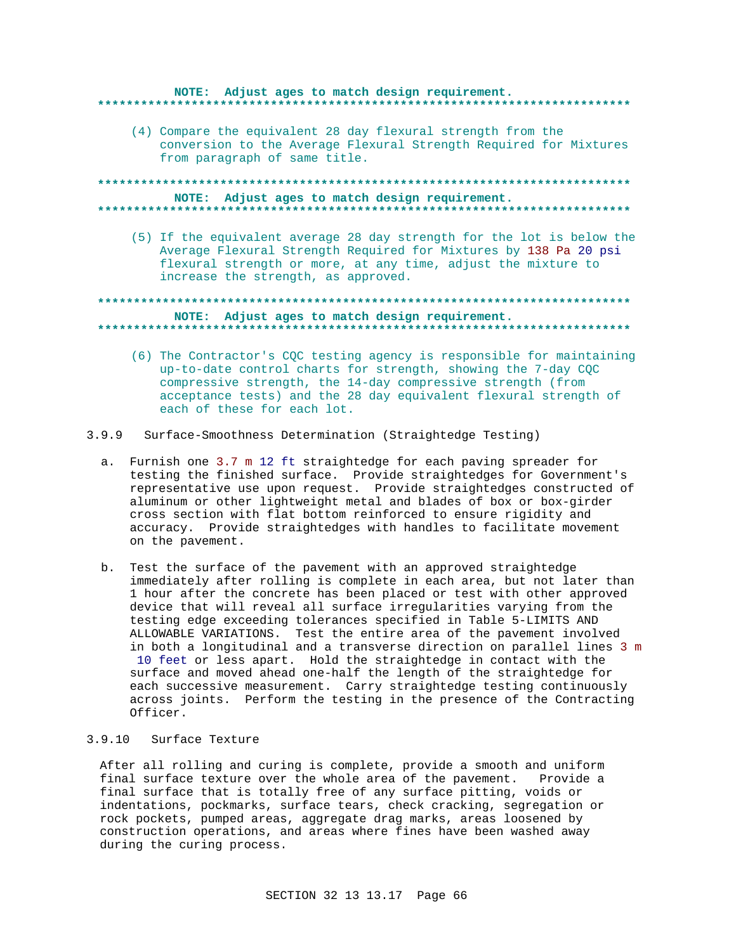#### NOTE: Adjust ages to match design requirement. \*\*\*\*\*\*\*\*\*\* . . . . . . . . . . . . . . .

(4) Compare the equivalent 28 day flexural strength from the conversion to the Average Flexural Strength Required for Mixtures from paragraph of same title.

## NOTE: Adjust ages to match design requirement.

(5) If the equivalent average 28 day strength for the lot is below the Average Flexural Strength Required for Mixtures by 138 Pa 20 psi flexural strength or more, at any time, adjust the mixture to increase the strength, as approved.

## NOTE: Adjust ages to match design requirement.

- (6) The Contractor's CQC testing agency is responsible for maintaining up-to-date control charts for strength, showing the 7-day CQC compressive strength, the 14-day compressive strength (from acceptance tests) and the 28 day equivalent flexural strength of each of these for each lot.
- 3.9.9 Surface-Smoothness Determination (Straightedge Testing)
	- a. Furnish one 3.7 m 12 ft straightedge for each paving spreader for testing the finished surface. Provide straightedges for Government's representative use upon request. Provide straightedges constructed of aluminum or other lightweight metal and blades of box or box-girder cross section with flat bottom reinforced to ensure rigidity and accuracy. Provide straightedges with handles to facilitate movement on the pavement.
	- b. Test the surface of the pavement with an approved straightedge immediately after rolling is complete in each area, but not later than 1 hour after the concrete has been placed or test with other approved device that will reveal all surface irregularities varying from the testing edge exceeding tolerances specified in Table 5-LIMITS AND ALLOWABLE VARIATIONS. Test the entire area of the pavement involved in both a longitudinal and a transverse direction on parallel lines 3 m 10 feet or less apart. Hold the straightedge in contact with the surface and moved ahead one-half the length of the straightedge for each successive measurement. Carry straightedge testing continuously across joints. Perform the testing in the presence of the Contracting Officer.

#### 3.9.10 Surface Texture

After all rolling and curing is complete, provide a smooth and uniform final surface texture over the whole area of the pavement. Provide a final surface that is totally free of any surface pitting, voids or indentations, pockmarks, surface tears, check cracking, segregation or rock pockets, pumped areas, aggregate drag marks, areas loosened by construction operations, and areas where fines have been washed away during the curing process.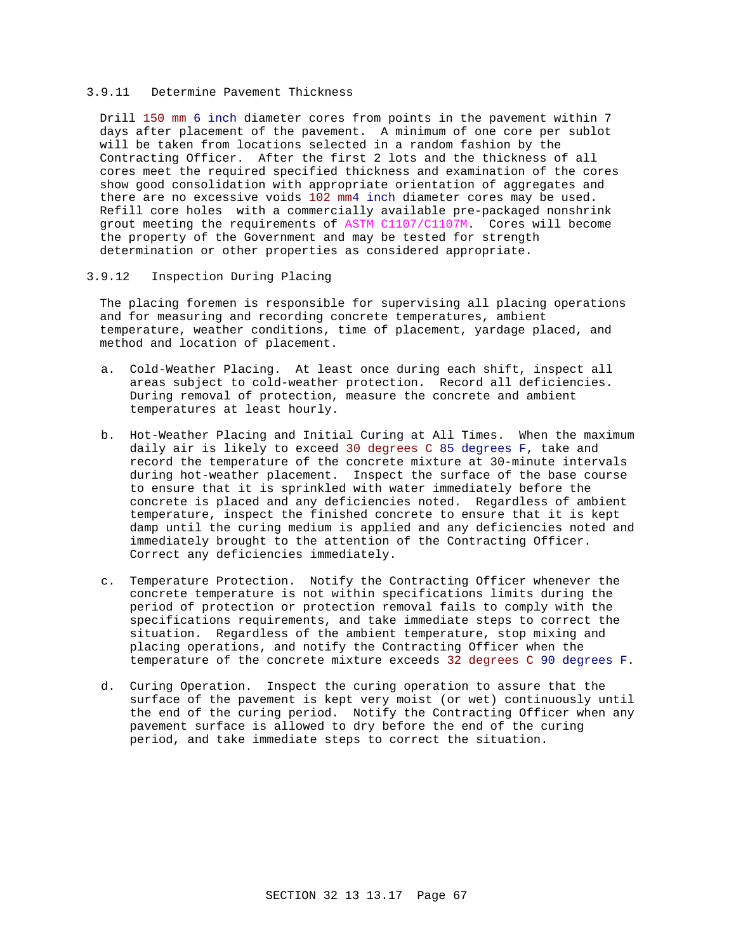### 3.9.11 Determine Pavement Thickness

Drill 150 mm 6 inch diameter cores from points in the pavement within 7 days after placement of the pavement. A minimum of one core per sublot will be taken from locations selected in a random fashion by the Contracting Officer. After the first 2 lots and the thickness of all cores meet the required specified thickness and examination of the cores show good consolidation with appropriate orientation of aggregates and there are no excessive voids 102 mm4 inch diameter cores may be used. Refill core holes with a commercially available pre-packaged nonshrink grout meeting the requirements of ASTM C1107/C1107M. Cores will become the property of the Government and may be tested for strength determination or other properties as considered appropriate.

### 3.9.12 Inspection During Placing

The placing foremen is responsible for supervising all placing operations and for measuring and recording concrete temperatures, ambient temperature, weather conditions, time of placement, yardage placed, and method and location of placement.

- a. Cold-Weather Placing. At least once during each shift, inspect all areas subject to cold-weather protection. Record all deficiencies. During removal of protection, measure the concrete and ambient temperatures at least hourly.
- b. Hot-Weather Placing and Initial Curing at All Times. When the maximum daily air is likely to exceed 30 degrees C 85 degrees F, take and record the temperature of the concrete mixture at 30-minute intervals during hot-weather placement. Inspect the surface of the base course to ensure that it is sprinkled with water immediately before the concrete is placed and any deficiencies noted. Regardless of ambient temperature, inspect the finished concrete to ensure that it is kept damp until the curing medium is applied and any deficiencies noted and immediately brought to the attention of the Contracting Officer. Correct any deficiencies immediately.
- c. Temperature Protection. Notify the Contracting Officer whenever the concrete temperature is not within specifications limits during the period of protection or protection removal fails to comply with the specifications requirements, and take immediate steps to correct the situation. Regardless of the ambient temperature, stop mixing and placing operations, and notify the Contracting Officer when the temperature of the concrete mixture exceeds 32 degrees C 90 degrees F.
- d. Curing Operation. Inspect the curing operation to assure that the surface of the pavement is kept very moist (or wet) continuously until the end of the curing period. Notify the Contracting Officer when any pavement surface is allowed to dry before the end of the curing period, and take immediate steps to correct the situation.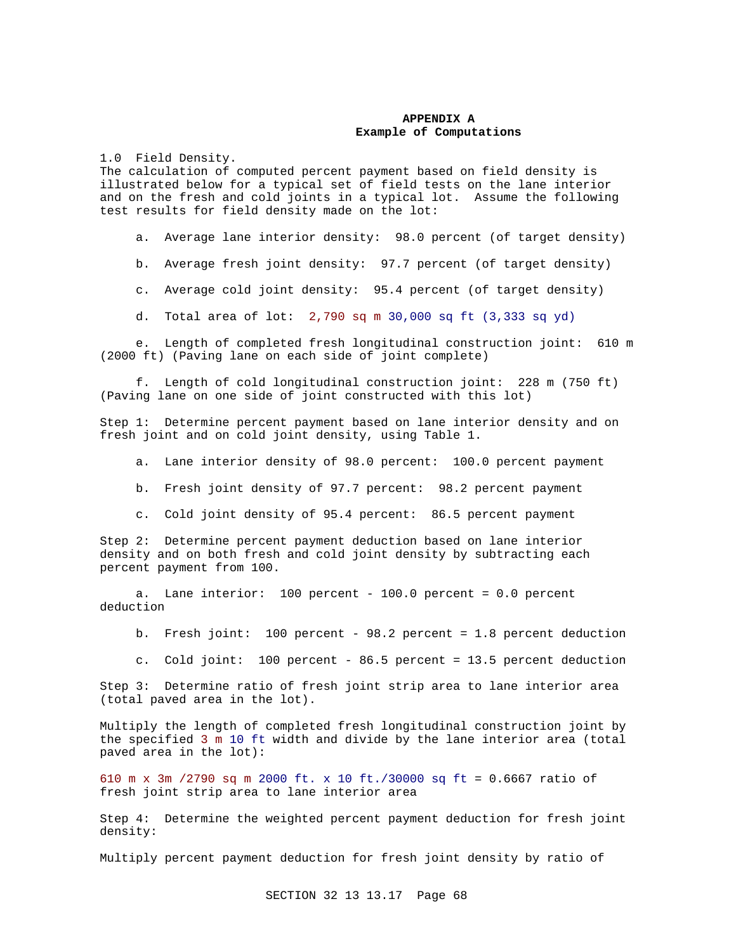## **APPENDIX A Example of Computations**

1.0 Field Density.

The calculation of computed percent payment based on field density is illustrated below for a typical set of field tests on the lane interior and on the fresh and cold joints in a typical lot. Assume the following test results for field density made on the lot:

a. Average lane interior density: 98.0 percent (of target density)

b. Average fresh joint density: 97.7 percent (of target density)

c. Average cold joint density: 95.4 percent (of target density)

d. Total area of lot: 2,790 sq m 30,000 sq ft (3,333 sq yd)

 e. Length of completed fresh longitudinal construction joint: 610 m (2000 ft) (Paving lane on each side of joint complete)

 f. Length of cold longitudinal construction joint: 228 m (750 ft) (Paving lane on one side of joint constructed with this lot)

Step 1: Determine percent payment based on lane interior density and on fresh joint and on cold joint density, using Table 1.

a. Lane interior density of 98.0 percent: 100.0 percent payment

b. Fresh joint density of 97.7 percent: 98.2 percent payment

c. Cold joint density of 95.4 percent: 86.5 percent payment

Step 2: Determine percent payment deduction based on lane interior density and on both fresh and cold joint density by subtracting each percent payment from 100.

 a. Lane interior: 100 percent - 100.0 percent = 0.0 percent deduction

b. Fresh joint: 100 percent - 98.2 percent = 1.8 percent deduction

c. Cold joint: 100 percent - 86.5 percent = 13.5 percent deduction

Step 3: Determine ratio of fresh joint strip area to lane interior area (total paved area in the lot).

Multiply the length of completed fresh longitudinal construction joint by the specified 3 m 10 ft width and divide by the lane interior area (total paved area in the lot):

610 m x 3m /2790 sq m 2000 ft. x 10 ft./30000 sq ft = 0.6667 ratio of fresh joint strip area to lane interior area

Step 4: Determine the weighted percent payment deduction for fresh joint density:

Multiply percent payment deduction for fresh joint density by ratio of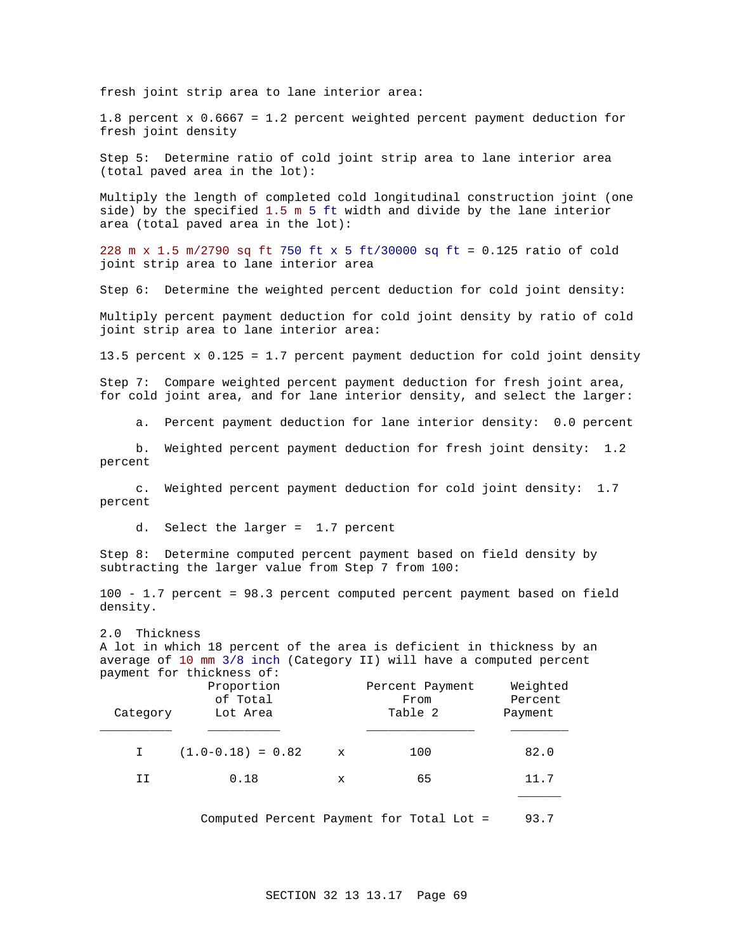fresh joint strip area to lane interior area:

1.8 percent x 0.6667 = 1.2 percent weighted percent payment deduction for fresh joint density

Step 5: Determine ratio of cold joint strip area to lane interior area (total paved area in the lot):

Multiply the length of completed cold longitudinal construction joint (one side) by the specified 1.5 m 5 ft width and divide by the lane interior area (total paved area in the lot):

228 m x 1.5 m/2790 sq ft 750 ft x 5 ft/30000 sq ft = 0.125 ratio of cold joint strip area to lane interior area

Step 6: Determine the weighted percent deduction for cold joint density:

Multiply percent payment deduction for cold joint density by ratio of cold joint strip area to lane interior area:

13.5 percent x 0.125 = 1.7 percent payment deduction for cold joint density

Step 7: Compare weighted percent payment deduction for fresh joint area, for cold joint area, and for lane interior density, and select the larger:

a. Percent payment deduction for lane interior density: 0.0 percent

 b. Weighted percent payment deduction for fresh joint density: 1.2 percent

 c. Weighted percent payment deduction for cold joint density: 1.7 percent

d. Select the larger = 1.7 percent

Step 8: Determine computed percent payment based on field density by subtracting the larger value from Step 7 from 100:

100 - 1.7 percent = 98.3 percent computed percent payment based on field density.

2.0 Thickness A lot in which 18 percent of the area is deficient in thickness by an average of 10 mm 3/8 inch (Category II) will have a computed percent payment for thickness of:

| Category | Proportion<br>of Total<br>Lot Area |             | Percent Payment<br>From<br>Table 2 | Weighted<br>Percent<br>Payment |
|----------|------------------------------------|-------------|------------------------------------|--------------------------------|
|          | $(1.0-0.18) = 0.82$                | $\mathbf x$ | 100                                | 82.0                           |
| ΙI       | 0.18                               | x           | 65                                 | 11.7                           |
|          |                                    |             |                                    |                                |

Computed Percent Payment for Total Lot = 93.7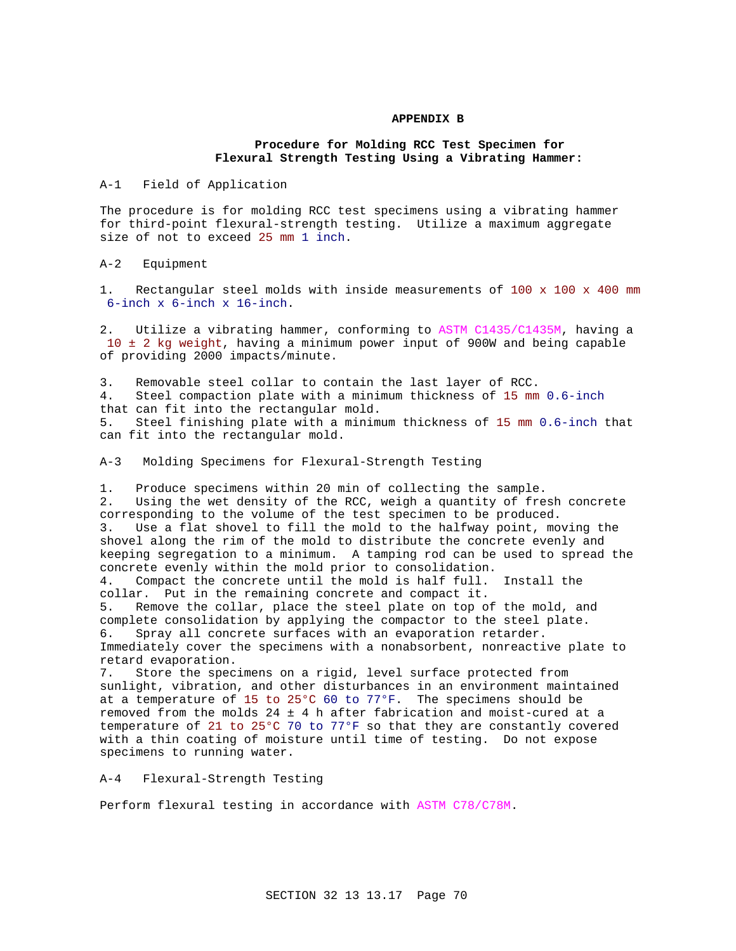## **APPENDIX B**

## **Procedure for Molding RCC Test Specimen for Flexural Strength Testing Using a Vibrating Hammer:**

A-1 Field of Application

The procedure is for molding RCC test specimens using a vibrating hammer for third-point flexural-strength testing. Utilize a maximum aggregate size of not to exceed 25 mm 1 inch.

A-2 Equipment

1. Rectangular steel molds with inside measurements of 100 x 100 x 400 mm 6-inch x 6-inch x 16-inch.

2. Utilize a vibrating hammer, conforming to ASTM C1435/C1435M, having a 10 ± 2 kg weight, having a minimum power input of 900W and being capable of providing 2000 impacts/minute.

3. Removable steel collar to contain the last layer of RCC. 4. Steel compaction plate with a minimum thickness of 15 mm 0.6-inch that can fit into the rectangular mold. 5. Steel finishing plate with a minimum thickness of 15 mm 0.6-inch that can fit into the rectangular mold.

A-3 Molding Specimens for Flexural-Strength Testing

1. Produce specimens within 20 min of collecting the sample. 2. Using the wet density of the RCC, weigh a quantity of fresh concrete corresponding to the volume of the test specimen to be produced. 3. Use a flat shovel to fill the mold to the halfway point, moving the shovel along the rim of the mold to distribute the concrete evenly and keeping segregation to a minimum. A tamping rod can be used to spread the concrete evenly within the mold prior to consolidation. 4. Compact the concrete until the mold is half full. Install the

collar. Put in the remaining concrete and compact it. 5. Remove the collar, place the steel plate on top of the mold, and complete consolidation by applying the compactor to the steel plate. 6. Spray all concrete surfaces with an evaporation retarder. Immediately cover the specimens with a nonabsorbent, nonreactive plate to retard evaporation.

7. Store the specimens on a rigid, level surface protected from sunlight, vibration, and other disturbances in an environment maintained at a temperature of 15 to 25°C 60 to 77°F. The specimens should be removed from the molds  $24 \pm 4$  h after fabrication and moist-cured at a temperature of 21 to 25°C 70 to 77°F so that they are constantly covered with a thin coating of moisture until time of testing. Do not expose specimens to running water.

A-4 Flexural-Strength Testing

Perform flexural testing in accordance with ASTM C78/C78M.